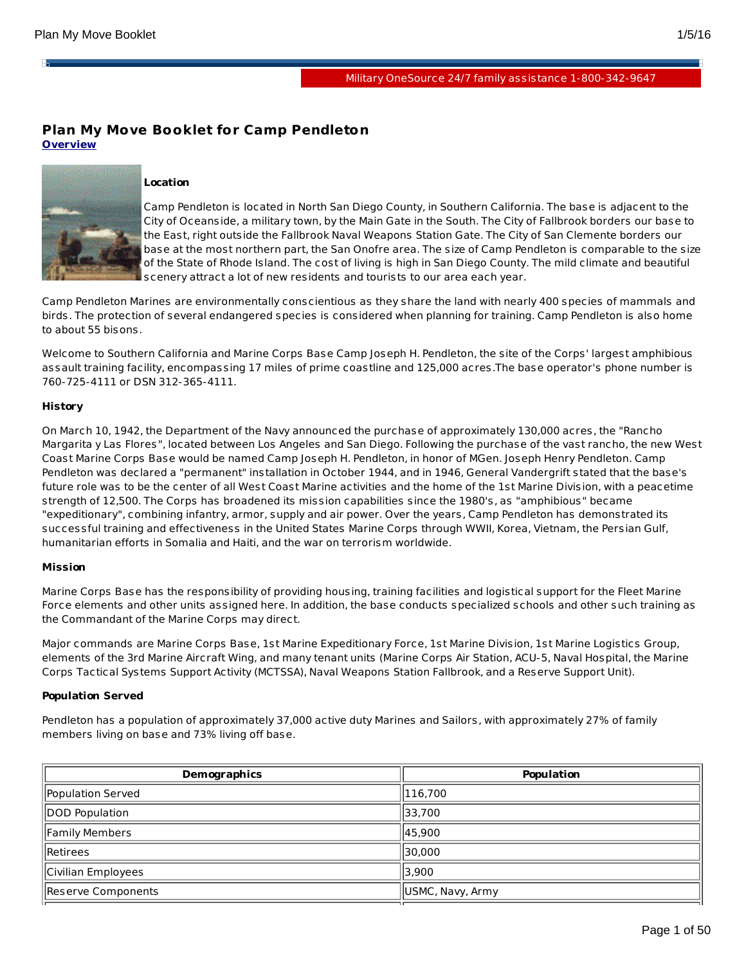н

# Military OneSource 24/7 family assistance [1-800-342-9647](http://www.militaryonesource.mil)

# **Plan My Move Booklet for Camp Pendleton Overview**



## **Location**

Camp Pendleton is located in North San Diego County, in Southern California. The base is adjacent to the City of Oceanside, a military town, by the Main Gate in the South. The City of Fallbrook borders our base to the East, right outside the Fallbrook Naval Weapons Station Gate. The City of San Clemente borders our base at the most northern part, the San Onofre area. The size of Camp Pendleton is comparable to the size of the State of Rhode Island. The cost of living is high in San Diego County. The mild climate and beautiful scenery attract a lot of new residents and tourists to our area each year.

Camp Pendleton Marines are environmentally conscientious as they share the land with nearly 400 species of mammals and birds. The protection of several endangered species is considered when planning for training. Camp Pendleton is also home to about 55 bisons.

Welcome to Southern California and Marine Corps Base Camp Joseph H. Pendleton, the site of the Corps' largest amphibious assault training facility, encompassing 17 miles of prime coastline and 125,000 acres.The base operator's phone number is 760-725-4111 or DSN 312-365-4111.

## **History**

On March 10, 1942, the Department of the Navy announced the purchase of approximately 130,000 acres, the "Rancho Margarita y Las Flores", located between Los Angeles and San Diego. Following the purchase of the vast rancho, the new West Coast Marine Corps Base would be named Camp Joseph H. Pendleton, in honor of MGen. Joseph Henry Pendleton. Camp Pendleton was declared a "permanent" installation in October 1944, and in 1946, General Vandergrift stated that the base's future role was to be the center of all West Coast Marine activities and the home of the 1st Marine Division, with a peacetime strength of 12,500. The Corps has broadened its mission capabilities since the 1980's, as "amphibious" became "expeditionary", combining infantry, armor, supply and air power. Over the years, Camp Pendleton has demonstrated its successful training and effectiveness in the United States Marine Corps through WWII, Korea, Vietnam, the Persian Gulf, humanitarian efforts in Somalia and Haiti, and the war on terrorism worldwide.

## **Mission**

Marine Corps Base has the responsibility of providing housing, training facilities and logistical support for the Fleet Marine Force elements and other units assigned here. In addition, the base conducts specialized schools and other such training as the Commandant of the Marine Corps may direct.

Major commands are Marine Corps Base, 1st Marine Expeditionary Force, 1st Marine Division, 1st Marine Logistics Group, elements of the 3rd Marine Aircraft Wing, and many tenant units (Marine Corps Air Station, ACU-5, Naval Hospital, the Marine Corps Tactical Systems Support Activity (MCTSSA), Naval Weapons Station Fallbrook, and a Reserve Support Unit).

# **Population Served**

Pendleton has a population of approximately 37,000 active duty Marines and Sailors, with approximately 27% of family members living on base and 73% living off base.

| <b>Demographics</b> | Population       |
|---------------------|------------------|
| Population Served   | 116,700          |
| DOD Population      | 33,700           |
| Family Members      | 45,900           |
| <b>IRetirees</b>    | 30,000           |
| Civilian Employees  | 3,900            |
| Reserve Components  | USMC, Navy, Army |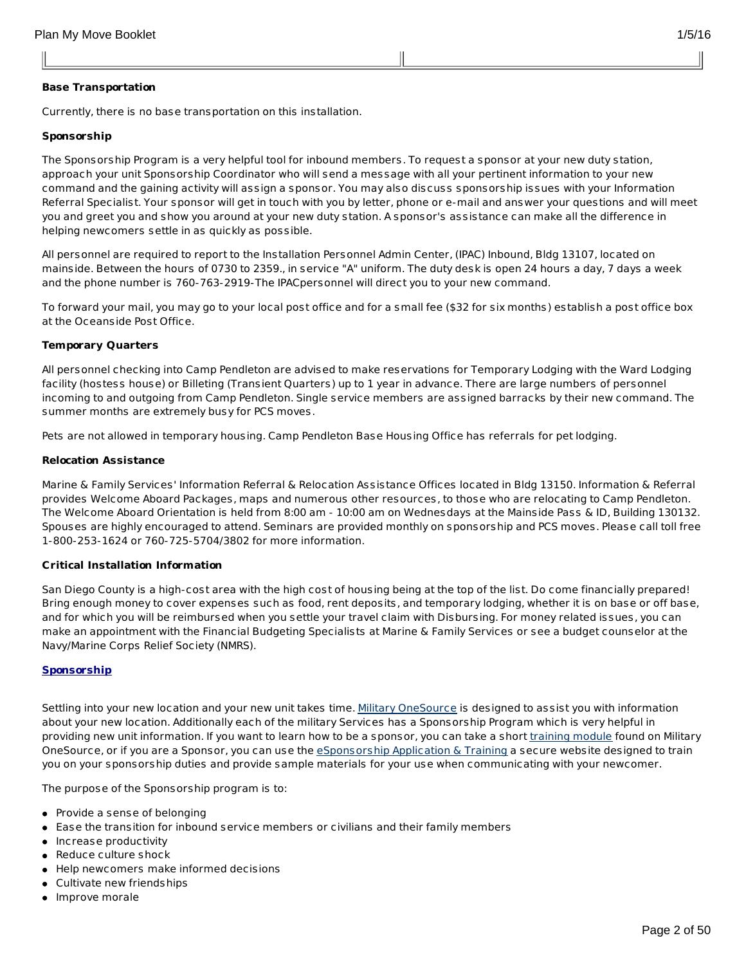# **Base Transportation**

Currently, there is no base transportation on this installation.

## **Sponsorship**

The Sponsorship Program is a very helpful tool for inbound members. To request a sponsor at your new duty station, approach your unit Sponsorship Coordinator who will send a message with all your pertinent information to your new command and the gaining activity will assign a sponsor. You may also discuss sponsorship issues with your Information Referral Specialist. Your sponsor will get in touch with you by letter, phone or e-mail and answer your questions and will meet you and greet you and show you around at your new duty station. A sponsor's assistance can make all the difference in helping newcomers settle in as quickly as possible.

All personnel are required to report to the Installation Personnel Admin Center, (IPAC) Inbound, Bldg 13107, located on mainside. Between the hours of 0730 to 2359., in service "A" uniform. The duty desk is open 24 hours a day, 7 days a week and the phone number is 760-763-2919-The IPACpersonnel will direct you to your new command.

To forward your mail, you may go to your local post office and for a small fee (\$32 for six months) establish a post office box at the Oceanside Post Office.

## **Temporary Quarters**

All personnel checking into Camp Pendleton are advised to make reservations for Temporary Lodging with the Ward Lodging facility (hostess house) or Billeting (Transient Quarters) up to 1 year in advance. There are large numbers of personnel incoming to and outgoing from Camp Pendleton. Single service members are assigned barracks by their new command. The summer months are extremely busy for PCS moves.

Pets are not allowed in temporary housing. Camp Pendleton Base Housing Office has referrals for pet lodging.

## **Relocation Assistance**

Marine & Family Services' Information Referral & Relocation Assistance Offices located in Bldg 13150. Information & Referral provides Welcome Aboard Packages, maps and numerous other resources, to those who are relocating to Camp Pendleton. The Welcome Aboard Orientation is held from 8:00 am - 10:00 am on Wednesdays at the Mainside Pass & ID, Building 130132. Spouses are highly encouraged to attend. Seminars are provided monthly on sponsorship and PCS moves. Please call toll free 1-800-253-1624 or 760-725-5704/3802 for more information.

## **Critical Installation Information**

San Diego County is a high-cost area with the high cost of housing being at the top of the list. Do come financially prepared! Bring enough money to cover expenses such as food, rent deposits, and temporary lodging, whether it is on base or off base, and for which you will be reimbursed when you settle your travel claim with Disbursing. For money related issues, you can make an appointment with the Financial Budgeting Specialists at Marine & Family Services or see a budget counselor at the Navy/Marine Corps Relief Society (NMRS).

## **Sponsorship**

Settling into your new location and your new unit takes time. Military [OneSource](http://www.militaryonesource.mil/) is designed to assist you with information about your new location. Additionally each of the military Services has a Sponsorship Program which is very helpful in providing new unit information. If you want to learn how to be a sponsor, you can take a short *[training](http://apps.militaryonesource.mil/MOS/f?p=ESAT:WELCOMEP) module* found on Military OneSource, or if you are a Sponsor, you can use the [eSponsorship](http://apps.militaryonesource.mil/esat) Application & Training a secure website designed to train you on your sponsorship duties and provide sample materials for your use when communicating with your newcomer.

The purpose of the Sponsorship program is to:

- Provide a sense of belonging
- Ease the transition for inbound service members or civilians and their family members
- Increase productivity
- Reduce culture shock
- Help newcomers make informed decisions
- Cultivate new friendships
- Improve morale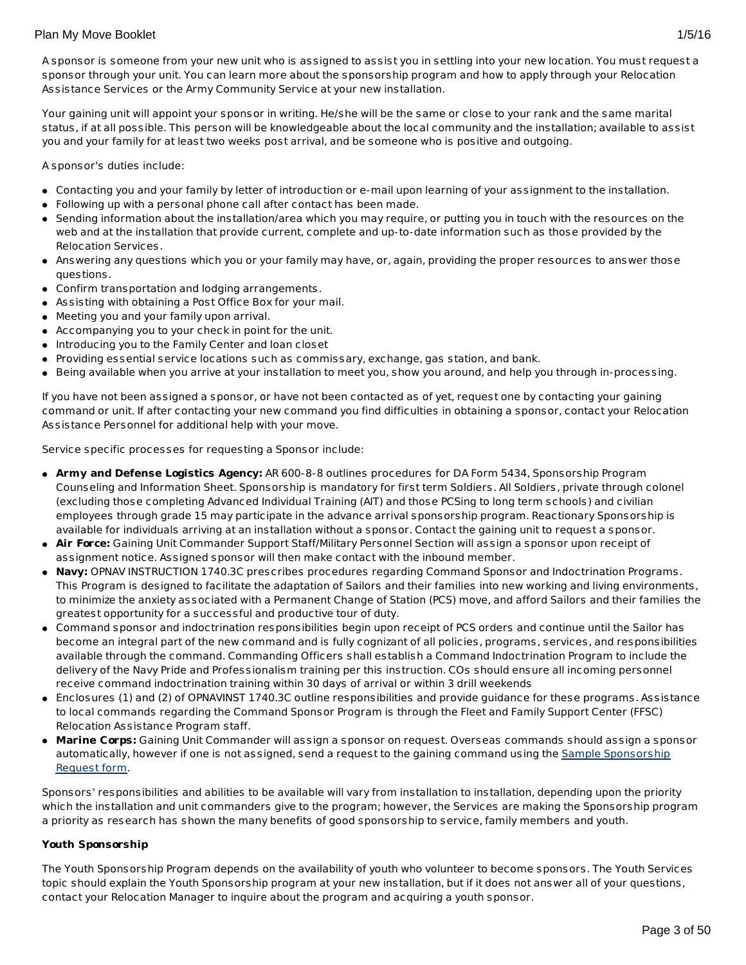A sponsor is someone from your new unit who is assigned to assist you in settling into your new location. You must request a sponsor through your unit. You can learn more about the sponsorship program and how to apply through your Relocation Assistance Services or the Army Community Service at your new installation.

Your gaining unit will appoint your sponsor in writing. He/she will be the same or close to your rank and the same marital status, if at all possible. This person will be knowledgeable about the local community and the installation; available to assist you and your family for at least two weeks post arrival, and be someone who is positive and outgoing.

A sponsor's duties include:

- Contacting you and your family by letter of introduction or e-mail upon learning of your assignment to the installation.
- Following up with a personal phone call after contact has been made.
- Sending information about the installation/area which you may require, or putting you in touch with the resources on the web and at the installation that provide current, complete and up-to-date information such as those provided by the Relocation Services.
- Answering any questions which you or your family may have, or, again, providing the proper resources to answer those questions.
- Confirm transportation and lodging arrangements.
- Assisting with obtaining a Post Office Box for your mail.
- Meeting you and your family upon arrival.
- Accompanying you to your check in point for the unit.
- Introducing you to the Family Center and loan closet
- Providing essential service locations such as commissary, exchange, gas station, and bank.
- Being available when you arrive at your installation to meet you, show you around, and help you through in-processing.

If you have not been assigned a sponsor, or have not been contacted as of yet, request one by contacting your gaining command or unit. If after contacting your new command you find difficulties in obtaining a sponsor, contact your Relocation Assistance Personnel for additional help with your move.

Service specific processes for requesting a Sponsor include:

- **Army and Defense Logistics Agency:** AR 600-8-8 outlines procedures for DA Form 5434, Sponsorship Program Counseling and Information Sheet. Sponsorship is mandatory for first term Soldiers. All Soldiers, private through colonel (excluding those completing Advanced Individual Training (AIT) and those PCSing to long term schools) and civilian employees through grade 15 may participate in the advance arrival sponsorship program. Reactionary Sponsorship is available for individuals arriving at an installation without a sponsor. Contact the gaining unit to request a sponsor.
- **Air Force:** Gaining Unit Commander Support Staff/Military Personnel Section will assign a sponsor upon receipt of assignment notice. Assigned sponsor will then make contact with the inbound member.
- **Navy:** OPNAV INSTRUCTION 1740.3C prescribes procedures regarding Command Sponsor and Indoctrination Programs. This Program is designed to facilitate the adaptation of Sailors and their families into new working and living environments, to minimize the anxiety associated with a Permanent Change of Station (PCS) move, and afford Sailors and their families the greatest opportunity for a successful and productive tour of duty.
- Command sponsor and indoctrination responsibilities begin upon receipt of PCS orders and continue until the Sailor has become an integral part of the new command and is fully cognizant of all policies, programs, services, and responsibilities available through the command. Commanding Officers shall establish a Command Indoctrination Program to include the delivery of the Navy Pride and Professionalism training per this instruction. COs should ensure all incoming personnel receive command indoctrination training within 30 days of arrival or within 3 drill weekends
- Enclosures (1) and (2) of OPNAVINST 1740.3C outline responsibilities and provide guidance for these programs. Assistance to local commands regarding the Command Sponsor Program is through the Fleet and Family Support Center (FFSC) Relocation Assistance Program staff.
- **Marine Corps:** Gaining Unit Commander will assign a sponsor on request. Overseas commands should assign a sponsor [automatically,](http://www.militaryonesource.mil/12038/MyDoD/Spons Request Form.doc) however if one is not assigned, send a request to the gaining command using the Sample Sponsorship Request form.

Sponsors' responsibilities and abilities to be available will vary from installation to installation, depending upon the priority which the installation and unit commanders give to the program; however, the Services are making the Sponsorship program a priority as research has shown the many benefits of good sponsorship to service, family members and youth.

# **Youth Sponsorship**

The Youth Sponsorship Program depends on the availability of youth who volunteer to become sponsors. The Youth Services topic should explain the Youth Sponsorship program at your new installation, but if it does not answer all of your questions, contact your Relocation Manager to inquire about the program and acquiring a youth sponsor.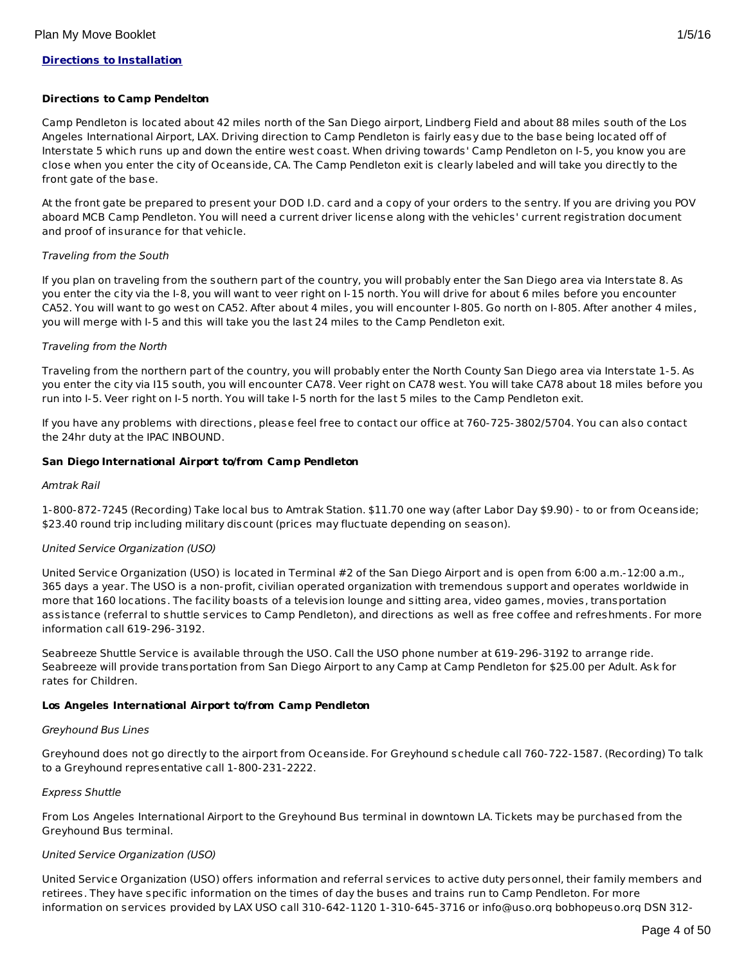## **Directions to Installation**

#### **Directions to Camp Pendelton**

Camp Pendleton is located about 42 miles north of the San Diego airport, Lindberg Field and about 88 miles south of the Los Angeles International Airport, LAX. Driving direction to Camp Pendleton is fairly easy due to the base being located off of Interstate 5 which runs up and down the entire west coast. When driving towards' Camp Pendleton on I-5, you know you are close when you enter the city of Oceanside, CA. The Camp Pendleton exit is clearly labeled and will take you directly to the front gate of the base.

At the front gate be prepared to present your DOD I.D. card and a copy of your orders to the sentry. If you are driving you POV aboard MCB Camp Pendleton. You will need a current driver license along with the vehicles' current registration document and proof of insurance for that vehicle.

## Traveling from the South

If you plan on traveling from the southern part of the country, you will probably enter the San Diego area via Interstate 8. As you enter the city via the I-8, you will want to veer right on I-15 north. You will drive for about 6 miles before you encounter CA52. You will want to go west on CA52. After about 4 miles, you will encounter I-805. Go north on I-805. After another 4 miles, you will merge with I-5 and this will take you the last 24 miles to the Camp Pendleton exit.

## Traveling from the North

Traveling from the northern part of the country, you will probably enter the North County San Diego area via Interstate 1-5. As you enter the city via I15 south, you will encounter CA78. Veer right on CA78 west. You will take CA78 about 18 miles before you run into I-5. Veer right on I-5 north. You will take I-5 north for the last 5 miles to the Camp Pendleton exit.

If you have any problems with directions, please feel free to contact our office at 760-725-3802/5704. You can also contact the 24hr duty at the IPAC INBOUND.

#### **San Diego International Airport to/from Camp Pendleton**

#### Amtrak Rail

1-800-872-7245 (Recording) Take local bus to Amtrak Station. \$11.70 one way (after Labor Day \$9.90) - to or from Oceanside; \$23.40 round trip including military discount (prices may fluctuate depending on season).

## United Service Organization (USO)

United Service Organization (USO) is located in Terminal #2 of the San Diego Airport and is open from 6:00 a.m.-12:00 a.m., 365 days a year. The USO is a non-profit, civilian operated organization with tremendous support and operates worldwide in more that 160 locations. The facility boasts of a television lounge and sitting area, video games, movies, transportation assistance (referral to shuttle services to Camp Pendleton), and directions as well as free coffee and refreshments. For more information call 619-296-3192.

Seabreeze Shuttle Service is available through the USO. Call the USO phone number at 619-296-3192 to arrange ride. Seabreeze will provide transportation from San Diego Airport to any Camp at Camp Pendleton for \$25.00 per Adult. Ask for rates for Children.

## **Los Angeles International Airport to/from Camp Pendleton**

#### Greyhound Bus Lines

Greyhound does not go directly to the airport from Oceanside. For Greyhound schedule call 760-722-1587. (Recording) To talk to a Greyhound representative call 1-800-231-2222.

## Express Shuttle

From Los Angeles International Airport to the Greyhound Bus terminal in downtown LA. Tickets may be purchased from the Greyhound Bus terminal.

## United Service Organization (USO)

United Service Organization (USO) offers information and referral services to active duty personnel, their family members and retirees. They have specific information on the times of day the buses and trains run to Camp Pendleton. For more information on services provided by LAX USO call 310-642-1120 1-310-645-3716 or info@uso.org bobhopeuso.org DSN 312-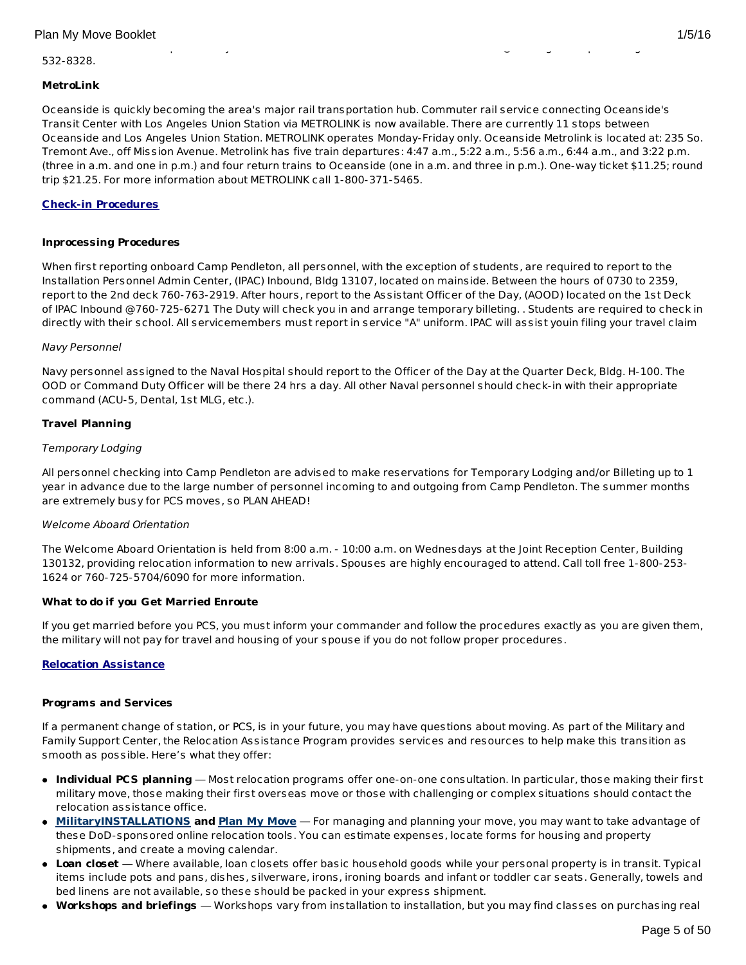#### information on services provided by LAX USO call 310-642-1120 1-310-645-3716 or info@uso.org bobhopeuso.org DSN 312- 532-8328.

# **MetroLink**

Oceanside is quickly becoming the area's major rail transportation hub. Commuter rail service connecting Oceanside's Transit Center with Los Angeles Union Station via METROLINK is now available. There are currently 11 stops between Oceanside and Los Angeles Union Station. METROLINK operates Monday-Friday only. Oceanside Metrolink is located at: 235 So. Tremont Ave., off Mission Avenue. Metrolink has five train departures: 4:47 a.m., 5:22 a.m., 5:56 a.m., 6:44 a.m., and 3:22 p.m. (three in a.m. and one in p.m.) and four return trains to Oceanside (one in a.m. and three in p.m.). One-way ticket \$11.25; round trip \$21.25. For more information about METROLINK call 1-800-371-5465.

## **Check-in Procedures**

## **Inprocessing Procedures**

When first reporting onboard Camp Pendleton, all personnel, with the exception of students, are required to report to the Installation Personnel Admin Center, (IPAC) Inbound, Bldg 13107, located on mainside. Between the hours of 0730 to 2359, report to the 2nd deck 760-763-2919. After hours, report to the Assistant Officer of the Day, (AOOD) located on the 1st Deck of IPAC Inbound @760-725-6271 The Duty will check you in and arrange temporary billeting. . Students are required to check in directly with their school. All servicemembers must report in service "A" uniform. IPAC will assist youin filing your travel claim

## Navy Personnel

Navy personnel assigned to the Naval Hospital should report to the Officer of the Day at the Quarter Deck, Bldg. H-100. The OOD or Command Duty Officer will be there 24 hrs a day. All other Naval personnel should check-in with their appropriate command (ACU-5, Dental, 1st MLG, etc.).

## **Travel Planning**

## Temporary Lodging

All personnel checking into Camp Pendleton are advised to make reservations for Temporary Lodging and/or Billeting up to 1 year in advance due to the large number of personnel incoming to and outgoing from Camp Pendleton. The summer months are extremely busy for PCS moves, so PLAN AHEAD!

## Welcome Aboard Orientation

The Welcome Aboard Orientation is held from 8:00 a.m. - 10:00 a.m. on Wednesdays at the Joint Reception Center, Building 130132, providing relocation information to new arrivals. Spouses are highly encouraged to attend. Call toll free 1-800-253- 1624 or 760-725-5704/6090 for more information.

## **What to do if you Get Married Enroute**

If you get married before you PCS, you must inform your commander and follow the procedures exactly as you are given them, the military will not pay for travel and housing of your spouse if you do not follow proper procedures.

## **Relocation Assistance**

## **Programs and Services**

If a permanent change of station, or PCS, is in your future, you may have questions about moving. As part of the Military and Family Support Center, the Relocation Assistance Program provides services and resources to help make this transition as smooth as possible. Here's what they offer:

- **Individual PCS planning** Most relocation programs offer one-on-one consultation. In particular, those making their first military move, those making their first overseas move or those with challenging or complex situations should contact the relocation assistance office.
- **[MilitaryINSTALLATIONS](http://www.militaryinstallations.dod.mil) and Plan My [Move](http://apps.militaryonesource.mil/MOS/f?p=PMM:ENTRY:0)** For managing and planning your move, you may want to take advantage of these DoD-sponsored online relocation tools. You can estimate expenses, locate forms for housing and property shipments, and create a moving calendar.
- **Loan closet** Where available, loan closets offer basic household goods while your personal property is in transit. Typical items include pots and pans, dishes, silverware, irons, ironing boards and infant or toddler car seats. Generally, towels and bed linens are not available, so these should be packed in your express shipment.
- **Workshops and briefings** Workshops vary from installation to installation, but you may find classes on purchasing real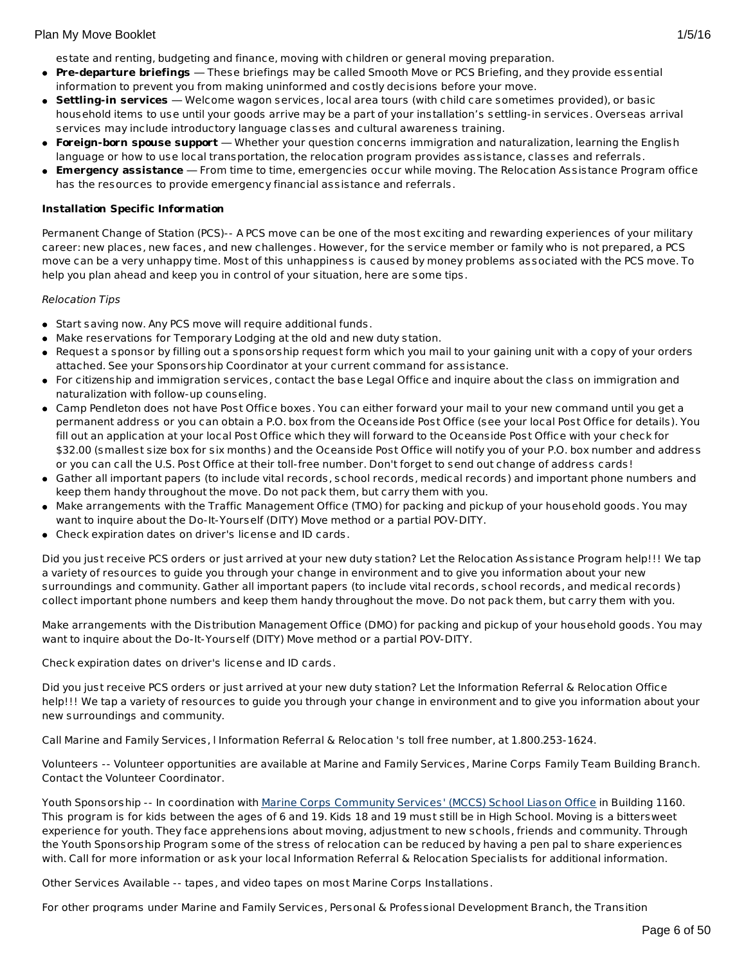estate and renting, budgeting and finance, moving with children or general moving preparation.

- **Pre-departure briefings** These briefings may be called Smooth Move or PCS Briefing, and they provide essential information to prevent you from making uninformed and costly decisions before your move.
- **Settling-in services** Welcome wagon services, local area tours (with child care sometimes provided), or basic household items to use until your goods arrive may be a part of your installation's settling-in services. Overseas arrival services may include introductory language classes and cultural awareness training.
- **Foreign-born spouse support** Whether your question concerns immigration and naturalization, learning the English language or how to use local transportation, the relocation program provides assistance, classes and referrals.
- **Emergency assistance** From time to time, emergencies occur while moving. The Relocation Assistance Program office has the resources to provide emergency financial assistance and referrals.

## **Installation Specific Information**

Permanent Change of Station (PCS)-- A PCS move can be one of the most exciting and rewarding experiences of your military career: new places, new faces, and new challenges. However, for the service member or family who is not prepared, a PCS move can be a very unhappy time. Most of this unhappiness is caused by money problems associated with the PCS move. To help you plan ahead and keep you in control of your situation, here are some tips.

## Relocation Tips

- Start saving now. Any PCS move will require additional funds.
- Make reservations for Temporary Lodging at the old and new duty station.
- Request a sponsor by filling out a sponsorship request form which you mail to your gaining unit with a copy of your orders attached. See your Sponsorship Coordinator at your current command for assistance.
- For citizenship and immigration services, contact the base Legal Office and inquire about the class on immigration and naturalization with follow-up counseling.
- Camp Pendleton does not have Post Office boxes. You can either forward your mail to your new command until you get a permanent address or you can obtain a P.O. box from the Oceanside Post Office (see your local Post Office for details). You fill out an application at your local Post Office which they will forward to the Oceanside Post Office with your check for \$32.00 (smallest size box for six months) and the Oceanside Post Office will notify you of your P.O. box number and address or you can call the U.S. Post Office at their toll-free number. Don't forget to send out change of address cards!
- Gather all important papers (to include vital records, school records, medical records) and important phone numbers and keep them handy throughout the move. Do not pack them, but carry them with you.
- Make arrangements with the Traffic Management Office (TMO) for packing and pickup of your household goods. You may want to inquire about the Do-It-Yourself (DITY) Move method or a partial POV-DITY.
- Check expiration dates on driver's license and ID cards.

Did you just receive PCS orders or just arrived at your new duty station? Let the Relocation Assistance Program help!!! We tap a variety of resources to guide you through your change in environment and to give you information about your new surroundings and community. Gather all important papers (to include vital records, school records, and medical records) collect important phone numbers and keep them handy throughout the move. Do not pack them, but carry them with you.

Make arrangements with the Distribution Management Office (DMO) for packing and pickup of your household goods. You may want to inquire about the Do-It-Yourself (DITY) Move method or a partial POV-DITY.

Check expiration dates on driver's license and ID cards.

Did you just receive PCS orders or just arrived at your new duty station? Let the Information Referral & Relocation Office help!!! We tap a variety of resources to guide you through your change in environment and to give you information about your new surroundings and community.

Call Marine and Family Services, l Information Referral & Relocation 's toll free number, at 1.800.253-1624.

Volunteers -- Volunteer opportunities are available at Marine and Family Services, Marine Corps Family Team Building Branch. Contact the Volunteer Coordinator.

Youth Sponsorship -- In coordination with Marine Corps [Community](http://www.pendleton.marines.mil/Services/SchoolLiaison.aspx) Services' (MCCS) School Liason Office in Building 1160. This program is for kids between the ages of 6 and 19. Kids 18 and 19 must still be in High School. Moving is a bittersweet experience for youth. They face apprehensions about moving, adjustment to new schools, friends and community. Through the Youth Sponsorship Program some of the stress of relocation can be reduced by having a pen pal to share experiences with. Call for more information or ask your local Information Referral & Relocation Specialists for additional information.

Other Services Available -- tapes, and video tapes on most Marine Corps Installations.

For other programs under Marine and Family Services, Personal & Professional Development Branch, the Transition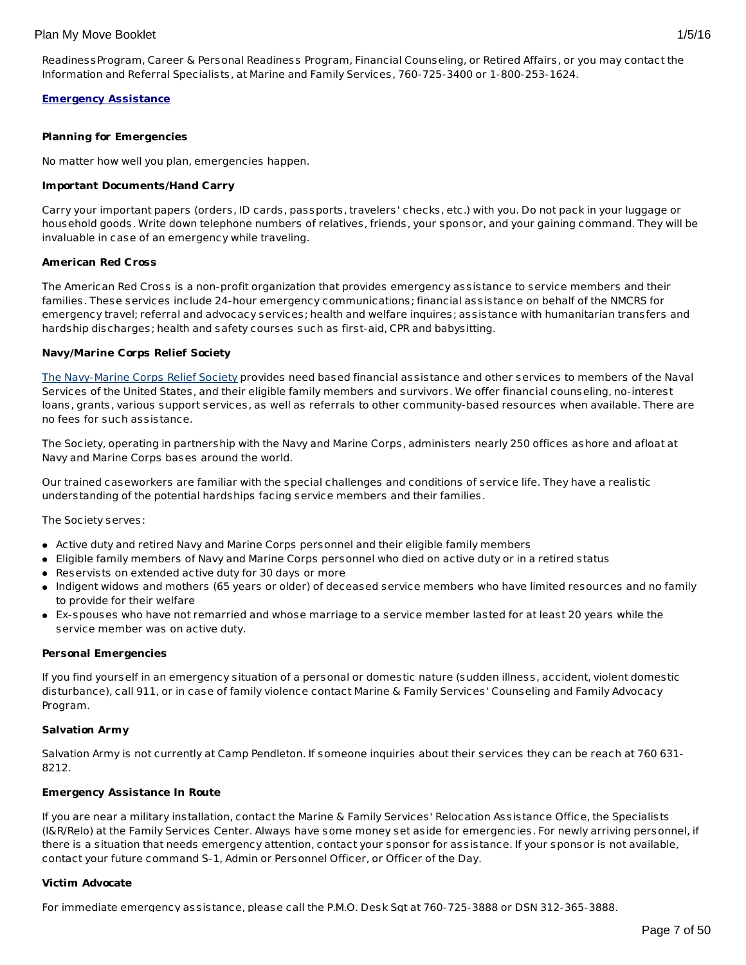## **Emergency Assistance**

## **Planning for Emergencies**

No matter how well you plan, emergencies happen.

## **Important Documents/Hand Carry**

Carry your important papers (orders, ID cards, passports, travelers' checks, etc.) with you. Do not pack in your luggage or household goods. Write down telephone numbers of relatives, friends, your sponsor, and your gaining command. They will be invaluable in case of an emergency while traveling.

## **American Red Cross**

The American Red Cross is a non-profit organization that provides emergency assistance to service members and their families. These services include 24-hour emergency communications; financial assistance on behalf of the NMCRS for emergency travel; referral and advocacy services; health and welfare inquires; assistance with humanitarian transfers and hardship discharges; health and safety courses such as first-aid, CPR and babysitting.

## **Navy/Marine Corps Relief Society**

The [Navy-Marine](http://www.nmcrs.org/services.html) Corps Relief Society provides need based financial assistance and other services to members of the Naval Services of the United States, and their eligible family members and survivors. We offer financial counseling, no-interest loans, grants, various support services, as well as referrals to other community-based resources when available. There are no fees for such assistance.

The Society, operating in partnership with the Navy and Marine Corps, administers nearly 250 offices ashore and afloat at Navy and Marine Corps bases around the world.

Our trained caseworkers are familiar with the special challenges and conditions of service life. They have a realistic understanding of the potential hardships facing service members and their families.

The Society serves:

- Active duty and retired Navy and Marine Corps personnel and their eligible family members
- Eligible family members of Navy and Marine Corps personnel who died on active duty or in a retired status
- Reservists on extended active duty for 30 days or more
- Indigent widows and mothers (65 years or older) of deceased service members who have limited resources and no family to provide for their welfare
- Ex-spouses who have not remarried and whose marriage to a service member lasted for at least 20 years while the service member was on active duty.

## **Personal Emergencies**

If you find yourself in an emergency situation of a personal or domestic nature (sudden illness, accident, violent domestic disturbance), call 911, or in case of family violence contact Marine & Family Services' Counseling and Family Advocacy Program.

## **Salvation Army**

Salvation Army is not currently at Camp Pendleton. If someone inquiries about their services they can be reach at 760 631- 8212.

## **Emergency Assistance In Route**

If you are near a military installation, contact the Marine & Family Services' Relocation Assistance Office, the Specialists (I&R/Relo) at the Family Services Center. Always have some money set aside for emergencies. For newly arriving personnel, if there is a situation that needs emergency attention, contact your sponsor for assistance. If your sponsor is not available, contact your future command S-1, Admin or Personnel Officer, or Officer of the Day.

## **Victim Advocate**

For immediate emergency assistance, please call the P.M.O. Desk Sgt at 760-725-3888 or DSN 312-365-3888.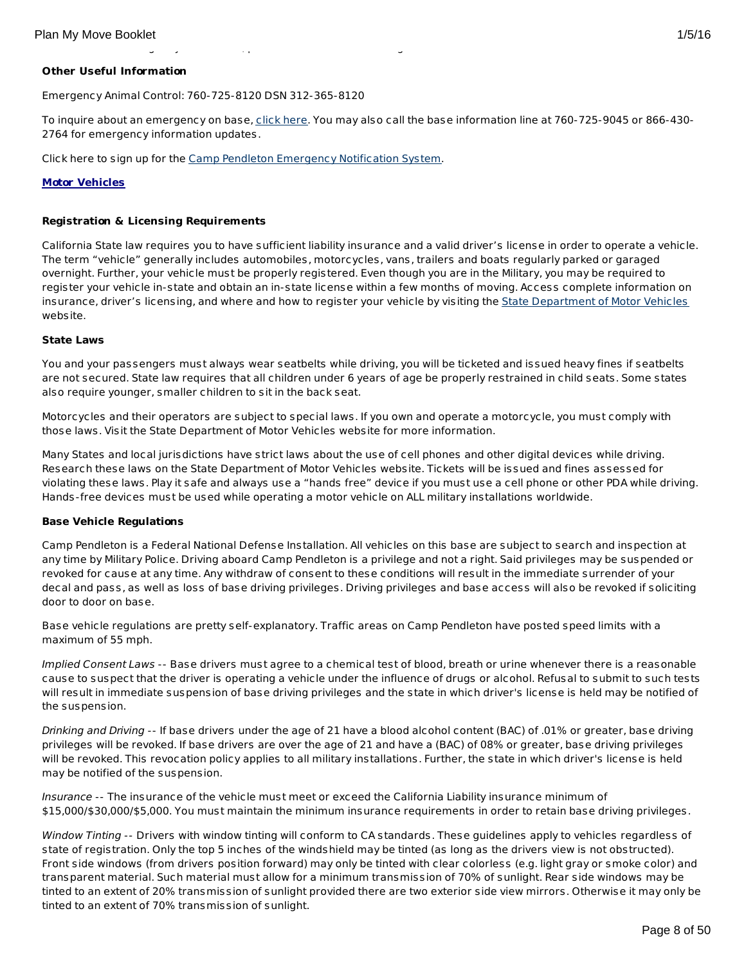# **Other Useful Information**

Emergency Animal Control: 760-725-8120 DSN 312-365-8120

To inquire about an emergency on base, [click](http://www.pendleton.usmc.mil/emergency.asp) here. You may also call the base information line at 760-725-9045 or 866-430-2764 for emergency information updates.

For immediate emergency assistance, please call the P.M.O. Desk Sgt at 760-725-3888 or DSN 312-365-3888.

Click here to sign up for the Camp Pendleton [Emergency](http://entry.inspironlogistics.com/camp_pendleton/wens.cfm) Notification System.

# **Motor Vehicles**

# **Registration & Licensing Requirements**

California State law requires you to have sufficient liability insurance and a valid driver's license in order to operate a vehicle. The term "vehicle" generally includes automobiles, motorcycles, vans, trailers and boats regularly parked or garaged overnight. Further, your vehicle must be properly registered. Even though you are in the Military, you may be required to register your vehicle in-state and obtain an in-state license within a few months of moving. Access complete information on insurance, driver's licensing, and where and how to register your vehicle by visiting the State [Department](http://www.dmv.ca.gov/) of Motor Vehicles website.

## **State Laws**

You and your passengers must always wear seatbelts while driving, you will be ticketed and issued heavy fines if seatbelts are not secured. State law requires that all children under 6 years of age be properly restrained in child seats. Some states also require younger, smaller children to sit in the back seat.

Motorcycles and their operators are subject to special laws. If you own and operate a motorcycle, you must comply with those laws. Visit the State Department of Motor Vehicles website for more information.

Many States and local jurisdictions have strict laws about the use of cell phones and other digital devices while driving. Research these laws on the State Department of Motor Vehicles website. Tickets will be issued and fines assessed for violating these laws. Play it safe and always use a "hands free" device if you must use a cell phone or other PDA while driving. Hands-free devices must be used while operating a motor vehicle on ALL military installations worldwide.

## **Base Vehicle Regulations**

Camp Pendleton is a Federal National Defense Installation. All vehicles on this base are subject to search and inspection at any time by Military Police. Driving aboard Camp Pendleton is a privilege and not a right. Said privileges may be suspended or revoked for cause at any time. Any withdraw of consent to these conditions will result in the immediate surrender of your decal and pass, as well as loss of base driving privileges. Driving privileges and base access will also be revoked if soliciting door to door on base.

Base vehicle regulations are pretty self-explanatory. Traffic areas on Camp Pendleton have posted speed limits with a maximum of 55 mph.

Implied Consent Laws -- Base drivers must agree to a chemical test of blood, breath or urine whenever there is a reasonable cause to suspect that the driver is operating a vehicle under the influence of drugs or alcohol. Refusal to submit to such tests will result in immediate suspension of base driving privileges and the state in which driver's license is held may be notified of the suspension.

Drinking and Driving -- If base drivers under the age of 21 have a blood alcohol content (BAC) of .01% or greater, base driving privileges will be revoked. If base drivers are over the age of 21 and have a (BAC) of 08% or greater, base driving privileges will be revoked. This revocation policy applies to all military installations. Further, the state in which driver's license is held may be notified of the suspension.

Insurance -- The insurance of the vehicle must meet or exceed the California Liability insurance minimum of \$15,000/\$30,000/\$5,000. You must maintain the minimum insurance requirements in order to retain base driving privileges.

Window Tinting -- Drivers with window tinting will conform to CA standards. These guidelines apply to vehicles regardless of state of registration. Only the top 5 inches of the windshield may be tinted (as long as the drivers view is not obstructed). Front side windows (from drivers position forward) may only be tinted with clear colorless (e.g. light gray or smoke color) and transparent material. Such material must allow for a minimum transmission of 70% of sunlight. Rear side windows may be tinted to an extent of 20% transmission of sunlight provided there are two exterior side view mirrors. Otherwise it may only be tinted to an extent of 70% transmission of sunlight.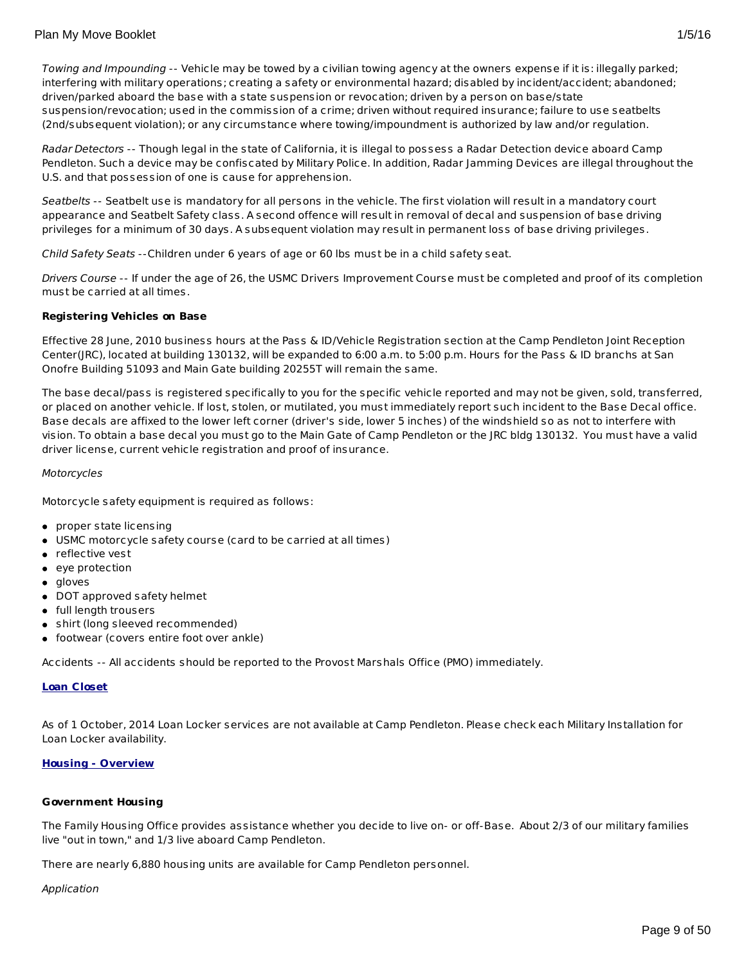Radar Detectors -- Though legal in the state of California, it is illegal to possess a Radar Detection device aboard Camp Pendleton. Such a device may be confiscated by Military Police. In addition, Radar Jamming Devices are illegal throughout the U.S. and that possession of one is cause for apprehension.

Seatbelts -- Seatbelt use is mandatory for all persons in the vehicle. The first violation will result in a mandatory court appearance and Seatbelt Safety class. A second offence will result in removal of decal and suspension of base driving privileges for a minimum of 30 days. A subsequent violation may result in permanent loss of base driving privileges.

Child Safety Seats --Children under 6 years of age or 60 lbs must be in a child safety seat.

Drivers Course -- If under the age of 26, the USMC Drivers Improvement Course must be completed and proof of its completion must be carried at all times.

# **Registering Vehicles on Base**

Effective 28 June, 2010 business hours at the Pass & ID/Vehicle Registration section at the Camp Pendleton Joint Reception Center(JRC), located at building 130132, will be expanded to 6:00 a.m. to 5:00 p.m. Hours for the Pass & ID branchs at San Onofre Building 51093 and Main Gate building 20255T will remain the same.

The base decal/pass is registered specifically to you for the specific vehicle reported and may not be given, sold, transferred, or placed on another vehicle. If lost, stolen, or mutilated, you must immediately report such incident to the Base Decal office. Base decals are affixed to the lower left corner (driver's side, lower 5 inches) of the windshield so as not to interfere with vision. To obtain a base decal you must go to the Main Gate of Camp Pendleton or the JRC bldg 130132. You must have a valid driver license, current vehicle registration and proof of insurance.

## Motorcycles

Motorcycle safety equipment is required as follows:

- proper state licensing
- USMC motorcycle safety course (card to be carried at all times)
- reflective vest
- eye protection
- gloves
- DOT approved safety helmet
- full length trousers
- shirt (long sleeved recommended)
- footwear (covers entire foot over ankle)

Accidents -- All accidents should be reported to the Provost Marshals Office (PMO) immediately.

## **Loan Closet**

As of 1 October, 2014 Loan Locker services are not available at Camp Pendleton. Please check each Military Installation for Loan Locker availability.

## **Housing - Overview**

## **Government Housing**

The Family Housing Office provides assistance whether you decide to live on- or off-Base. About 2/3 of our military families live "out in town," and 1/3 live aboard Camp Pendleton.

There are nearly 6,880 housing units are available for Camp Pendleton personnel.

## Application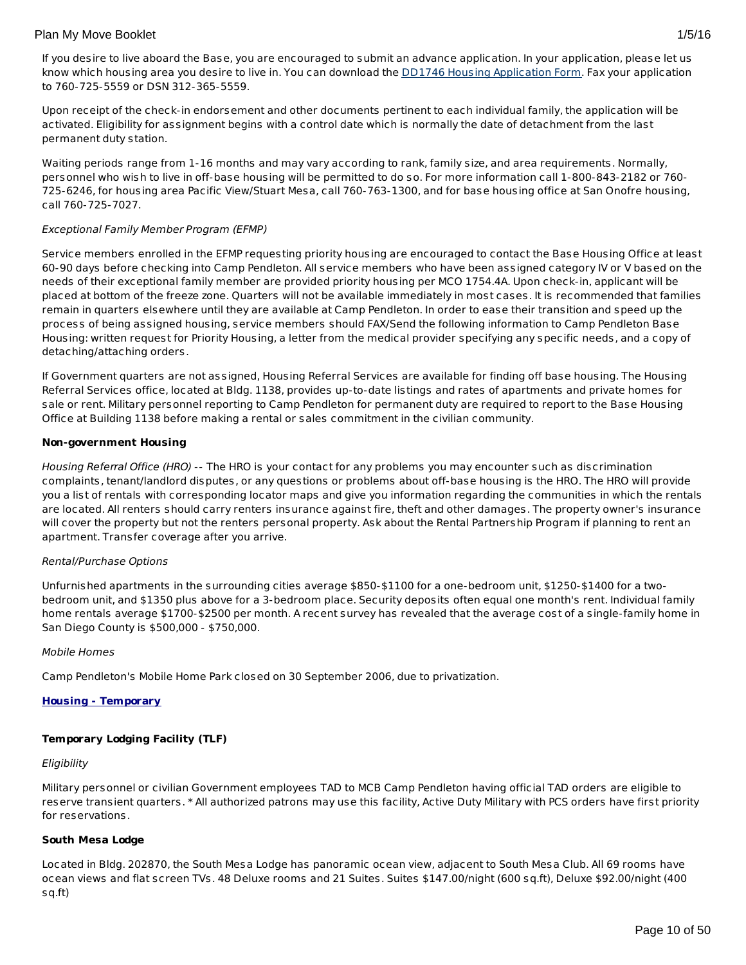If you desire to live aboard the Base, you are encouraged to submit an advance application. In your application, please let us know which housing area you desire to live in. You can download the DD1746 Housing [Application](http://www.pendleton.usmc.mil/base/housing/houseapp.asp) Form. Fax your application to 760-725-5559 or DSN 312-365-5559.

Upon receipt of the check-in endorsement and other documents pertinent to each individual family, the application will be activated. Eligibility for assignment begins with a control date which is normally the date of detachment from the last permanent duty station.

Waiting periods range from 1-16 months and may vary according to rank, family size, and area requirements. Normally, personnel who wish to live in off-base housing will be permitted to do so. For more information call 1-800-843-2182 or 760- 725-6246, for housing area Pacific View/Stuart Mesa, call 760-763-1300, and for base housing office at San Onofre housing, call 760-725-7027.

## Exceptional Family Member Program (EFMP)

Service members enrolled in the EFMP requesting priority housing are encouraged to contact the Base Housing Office at least 60-90 days before checking into Camp Pendleton. All service members who have been assigned category IV or V based on the needs of their exceptional family member are provided priority housing per MCO 1754.4A. Upon check-in, applicant will be placed at bottom of the freeze zone. Quarters will not be available immediately in most cases. It is recommended that families remain in quarters elsewhere until they are available at Camp Pendleton. In order to ease their transition and speed up the process of being assigned housing, service members should FAX/Send the following information to Camp Pendleton Base Housing: written request for Priority Housing, a letter from the medical provider specifying any specific needs, and a copy of detaching/attaching orders.

If Government quarters are not assigned, Housing Referral Services are available for finding off base housing. The Housing Referral Services office, located at Bldg. 1138, provides up-to-date listings and rates of apartments and private homes for sale or rent. Military personnel reporting to Camp Pendleton for permanent duty are required to report to the Base Housing Office at Building 1138 before making a rental or sales commitment in the civilian community.

## **Non-government Housing**

Housing Referral Office (HRO) -- The HRO is your contact for any problems you may encounter such as discrimination complaints, tenant/landlord disputes, or any questions or problems about off-base housing is the HRO. The HRO will provide you a list of rentals with corresponding locator maps and give you information regarding the communities in which the rentals are located. All renters should carry renters insurance against fire, theft and other damages. The property owner's insurance will cover the property but not the renters personal property. Ask about the Rental Partnership Program if planning to rent an apartment. Transfer coverage after you arrive.

## Rental/Purchase Options

Unfurnished apartments in the surrounding cities average \$850-\$1100 for a one-bedroom unit, \$1250-\$1400 for a twobedroom unit, and \$1350 plus above for a 3-bedroom place. Security deposits often equal one month's rent. Individual family home rentals average \$1700-\$2500 per month. A recent survey has revealed that the average cost of a single-family home in San Diego County is \$500,000 - \$750,000.

## Mobile Homes

Camp Pendleton's Mobile Home Park closed on 30 September 2006, due to privatization.

## **Housing - Temporary**

## **Temporary Lodging Facility (TLF)**

## **Eligibility**

Military personnel or civilian Government employees TAD to MCB Camp Pendleton having official TAD orders are eligible to reserve transient quarters. \* All authorized patrons may use this facility, Active Duty Military with PCS orders have first priority for reservations.

## **South Mesa Lodge**

Located in Bldg. 202870, the South Mesa Lodge has panoramic ocean view, adjacent to South Mesa Club. All 69 rooms have ocean views and flat screen TVs. 48 Deluxe rooms and 21 Suites. Suites \$147.00/night (600 sq.ft), Deluxe \$92.00/night (400 sq.ft)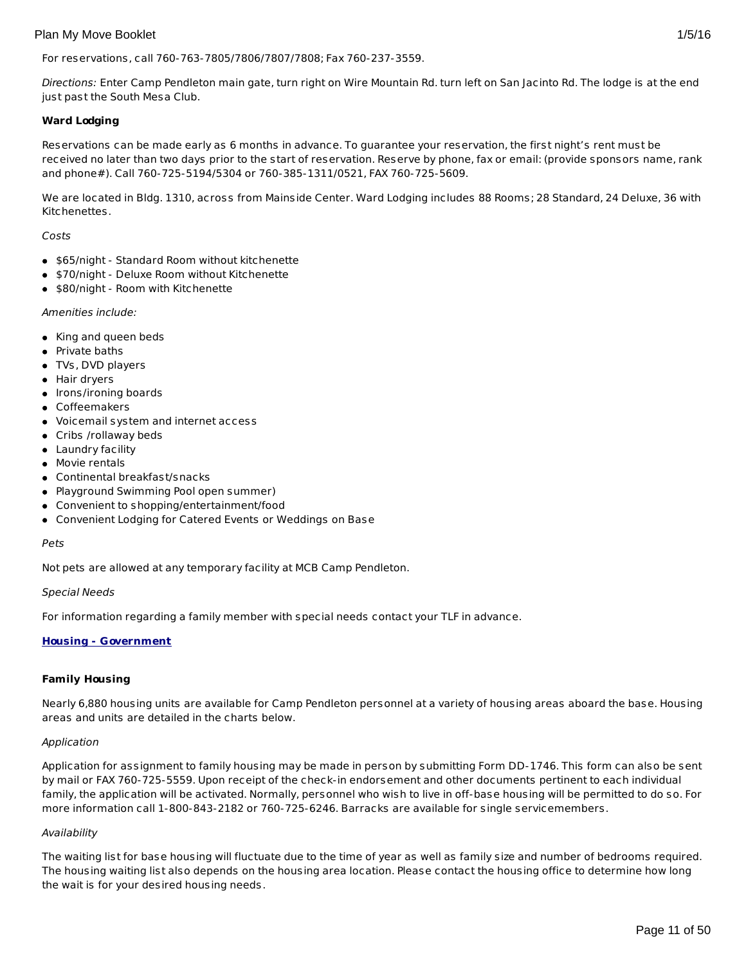## For reservations, call 760-763-7805/7806/7807/7808; Fax 760-237-3559.

Directions: Enter Camp Pendleton main gate, turn right on Wire Mountain Rd. turn left on San Jacinto Rd. The lodge is at the end just past the South Mesa Club.

## **Ward Lodging**

Reservations can be made early as 6 months in advance. To guarantee your reservation, the first night's rent must be received no later than two days prior to the start of reservation. Reserve by phone, fax or email: (provide sponsors name, rank and phone#). Call 760-725-5194/5304 or 760-385-1311/0521, FAX 760-725-5609.

We are located in Bldg. 1310, across from Mainside Center. Ward Lodging includes 88 Rooms; 28 Standard, 24 Deluxe, 36 with Kitchenettes.

## Costs

- \$65/night Standard Room without kitchenette
- \$70/night Deluxe Room without Kitchenette
- \$80/night Room with Kitchenette

## Amenities include:

- King and queen beds
- Private baths
- TVs, DVD players
- Hair dryers
- Irons/ironing boards
- Coffeemakers
- Voicemail system and internet access
- Cribs /rollaway beds
- Laundry facility
- Movie rentals
- Continental breakfast/snacks
- Playground Swimming Pool open summer)
- Convenient to shopping/entertainment/food
- Convenient Lodging for Catered Events or Weddings on Base

#### Pets

Not pets are allowed at any temporary facility at MCB Camp Pendleton.

## Special Needs

For information regarding a family member with special needs contact your TLF in advance.

## **Housing - Government**

## **Family Housing**

Nearly 6,880 housing units are available for Camp Pendleton personnel at a variety of housing areas aboard the base. Housing areas and units are detailed in the charts below.

## Application

Application for assignment to family housing may be made in person by submitting Form DD-1746. This form can also be sent by mail or FAX 760-725-5559. Upon receipt of the check-in endorsement and other documents pertinent to each individual family, the application will be activated. Normally, personnel who wish to live in off-base housing will be permitted to do so. For more information call 1-800-843-2182 or 760-725-6246. Barracks are available for single servicemembers.

## Availability

The waiting list for base housing will fluctuate due to the time of year as well as family size and number of bedrooms required. The housing waiting list also depends on the housing area location. Please contact the housing office to determine how long the wait is for your desired housing needs.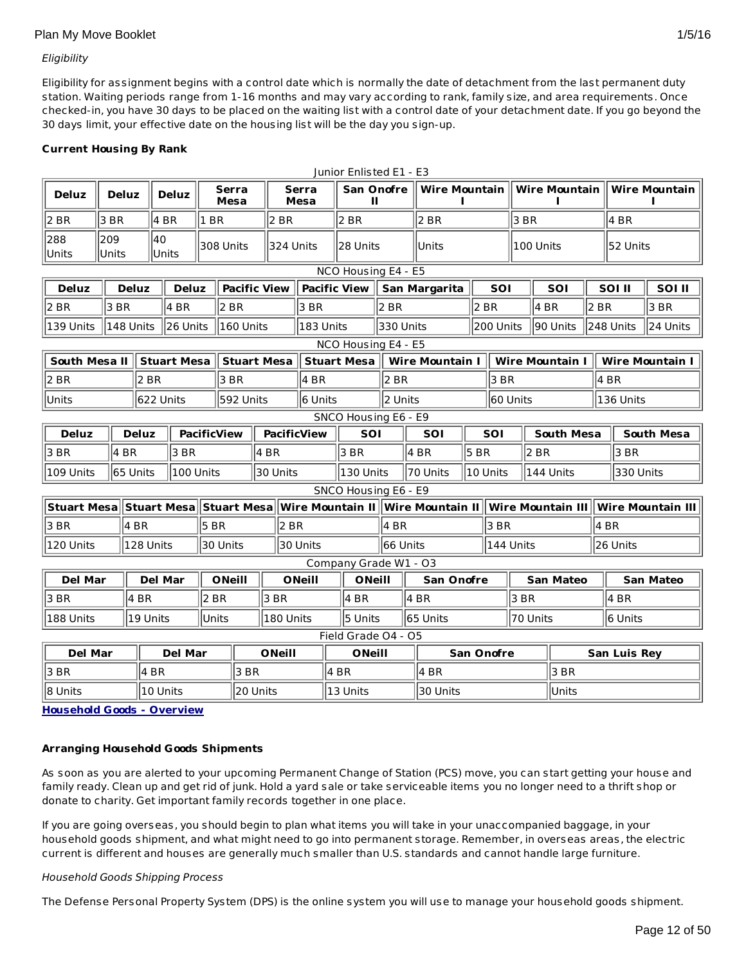## Eligibility

Eligibility for assignment begins with a control date which is normally the date of detachment from the last permanent duty station. Waiting periods range from 1-16 months and may vary according to rank, family size, and area requirements. Once checked-in, you have 30 days to be placed on the waiting list with a control date of your detachment date. If you go beyond the 30 days limit, your effective date on the housing list will be the day you sign-up.

# **Current Housing By Rank**

|                                                                                                           |              |           |                    |                        |                      |                     |                    |                      |               | Junior Enlisted E1 - E3 |                   |                                |            |                        |                        |                  |                   |                        |      |
|-----------------------------------------------------------------------------------------------------------|--------------|-----------|--------------------|------------------------|----------------------|---------------------|--------------------|----------------------|---------------|-------------------------|-------------------|--------------------------------|------------|------------------------|------------------------|------------------|-------------------|------------------------|------|
| <b>Deluz</b>                                                                                              | <b>Deluz</b> |           |                    | <b>Deluz</b>           | Serra<br><b>Mesa</b> |                     |                    | <b>Serra</b><br>Mesa |               | <b>San Onofre</b><br>Ш  |                   | Wire Mountain    Wire Mountain |            |                        |                        |                  |                   | Wire Mountain          |      |
| 2 BR                                                                                                      | 3 BR         |           |                    | $4$ BR<br>$ 1$ BR      |                      |                     | 2 BR               |                      | 2 BR          |                         |                   | 2 BR                           |            |                        | 3 BR                   |                  |                   | 4 BR                   |      |
| 288<br>Units                                                                                              | 209<br>Units |           | 40                 | 308 Units<br>Units     |                      |                     | 324 Units          |                      |               | 28 Units                |                   | lUnits                         |            |                        | 100 Units              |                  |                   | 52 Units               |      |
| NCO Housing E4 - E5                                                                                       |              |           |                    |                        |                      |                     |                    |                      |               |                         |                   |                                |            |                        |                        |                  |                   |                        |      |
| <b>Deluz</b>                                                                                              | <b>Deluz</b> |           | <b>Deluz</b>       |                        |                      | <b>Pacific View</b> |                    | <b>Pacific View</b>  |               | San Margarita           |                   |                                | <b>SOI</b> |                        | SOI                    |                  | SOI II            | SOI II                 |      |
| 2 BR                                                                                                      | 3 BR         |           |                    | 4 BR                   |                      | 2 BR                |                    |                      | 3 BR          |                         | 2 BR              |                                | 2 BR       |                        |                        | 14 BR            | 2 BR              |                        | 3 BR |
| 139 Units                                                                                                 |              | 148 Units |                    | 26 Units               |                      | 160 Units           |                    | l183 Units           |               | 330 Units               | 200 Units         |                                |            | 90 Units               |                        | 248 Units        | 24 Units          |                        |      |
|                                                                                                           |              |           |                    |                        |                      |                     |                    |                      |               | NCO Housing E4 - E5     |                   |                                |            |                        |                        |                  |                   |                        |      |
| South Mesa II                                                                                             |              |           |                    | <b>Stuart Mesa</b>     |                      | Stuart Mesa         |                    |                      |               | <b>Stuart Mesa</b>      |                   | <b>Wire Mountain I</b>         |            |                        | <b>Wire Mountain I</b> |                  |                   | <b>Wire Mountain I</b> |      |
| 2 BR                                                                                                      |              |           | 2 BR               |                        |                      | 3 BR                | 4 BR               |                      | 2 BR          |                         | 3 BR              |                                |            |                        |                        | 4 BR             |                   |                        |      |
| Units                                                                                                     |              |           |                    | 622 Units<br>592 Units |                      |                     |                    | 6 Units              |               |                         |                   | 2 Units<br>60 Units            |            |                        |                        |                  |                   | 136 Units              |      |
| SNCO Housing E6 - E9                                                                                      |              |           |                    |                        |                      |                     |                    |                      |               |                         |                   |                                |            |                        |                        |                  |                   |                        |      |
| <b>Deluz</b><br><b>Deluz</b>                                                                              |              |           |                    | <b>PacificView</b>     |                      |                     | <b>PacificView</b> |                      | <b>SOI</b>    |                         | <b>SOI</b><br>SOI |                                |            | <b>South Mesa</b>      |                        |                  | <b>South Mesa</b> |                        |      |
| 3 BR                                                                                                      | 4 BR         |           |                    | 3 BR                   |                      |                     | 4 BR               |                      |               | 3 BR                    | 4 BR              |                                |            | $5$ BR<br>2 BR         |                        | 3 BR             |                   |                        |      |
| 109 Units                                                                                                 | l65 Units    |           |                    | l100 Units             |                      |                     | 30 Units           |                      |               | l130 Units              |                   | 70 Units                       |            | l10 Units<br>144 Units |                        |                  | 330 Units         |                        |      |
|                                                                                                           |              |           |                    |                        |                      |                     |                    |                      |               | SNCO Housing E6 - E9    |                   |                                |            |                        |                        |                  |                   |                        |      |
| Stuart Mesa Stuart Mesa Stuart Mesa Wire Mountain II Wire Mountain II Wire Mountain III Wire Mountain III |              |           |                    |                        |                      |                     |                    |                      |               |                         |                   |                                |            |                        |                        |                  |                   |                        |      |
| 3 BR                                                                                                      |              | 4 BR      |                    | 5BR                    |                      |                     | 2 BR               |                      |               | 4 BR                    |                   | 3 BR                           |            |                        |                        |                  |                   | 4 BR                   |      |
| 120 Units                                                                                                 |              |           | 128 Units          |                        |                      | 30 Units            | 30 Units           |                      |               | l66 Units               |                   |                                |            | 144 Units              |                        |                  | l26 Units         |                        |      |
|                                                                                                           |              |           |                    |                        |                      |                     |                    |                      |               | Company Grade W1 - O3   |                   |                                |            |                        |                        |                  |                   |                        |      |
| <b>Del Mar</b>                                                                                            |              |           | <b>Del Mar</b>     |                        |                      | <b>ONeill</b>       |                    | <b>ONeill</b>        | <b>ONeill</b> |                         | <b>San Onofre</b> |                                |            |                        |                        | <b>San Mateo</b> |                   | <b>San Mateo</b>       |      |
| 3 BR                                                                                                      |              | 4 BR      |                    |                        | $ 2$ BR              |                     | 3 BR               |                      |               | 4 BR                    |                   | $ 4$ BR                        |            |                        | 3 BR                   |                  |                   | 4 BR                   |      |
| 188 Units                                                                                                 |              |           | Units<br>l19 Units |                        |                      | l180 Units          |                    |                      | 5 Units       |                         | 65 Units          |                                | 70 Units   |                        |                        | 6 Units          |                   |                        |      |
| Field Grade O4 - O5                                                                                       |              |           |                    |                        |                      |                     |                    |                      |               |                         |                   |                                |            |                        |                        |                  |                   |                        |      |
| <b>Del Mar</b>                                                                                            |              |           | <b>Del Mar</b>     |                        |                      |                     |                    | <b>ONeill</b>        |               | <b>ONeill</b>           |                   | <b>San Onofre</b>              |            |                        |                        |                  |                   | San Luis Rey           |      |
| 3 BR                                                                                                      |              |           | 14 BR              |                        |                      | 3 BR                |                    |                      | 4 BR          |                         |                   | 4 BR                           |            |                        |                        | 3 BR             |                   |                        |      |
| 8 Units                                                                                                   |              |           | 10 Units           |                        |                      | 20 Units            |                    |                      | 13 Units      |                         | 30 Units          |                                |            | Units                  |                        |                  |                   |                        |      |
|                                                                                                           |              |           |                    |                        |                      |                     |                    |                      |               |                         |                   |                                |            |                        |                        |                  |                   |                        |      |

**Household Goods - Overview**

# **Arranging Household Goods Shipments**

As soon as you are alerted to your upcoming Permanent Change of Station (PCS) move, you can start getting your house and family ready. Clean up and get rid of junk. Hold a yard sale or take serviceable items you no longer need to a thrift shop or donate to charity. Get important family records together in one place.

If you are going overseas, you should begin to plan what items you will take in your unaccompanied baggage, in your household goods shipment, and what might need to go into permanent storage. Remember, in overseas areas, the electric current is different and houses are generally much smaller than U.S. standards and cannot handle large furniture.

## Household Goods Shipping Process

The Defense Personal Property System (DPS) is the online system you will use to manage your household goods shipment.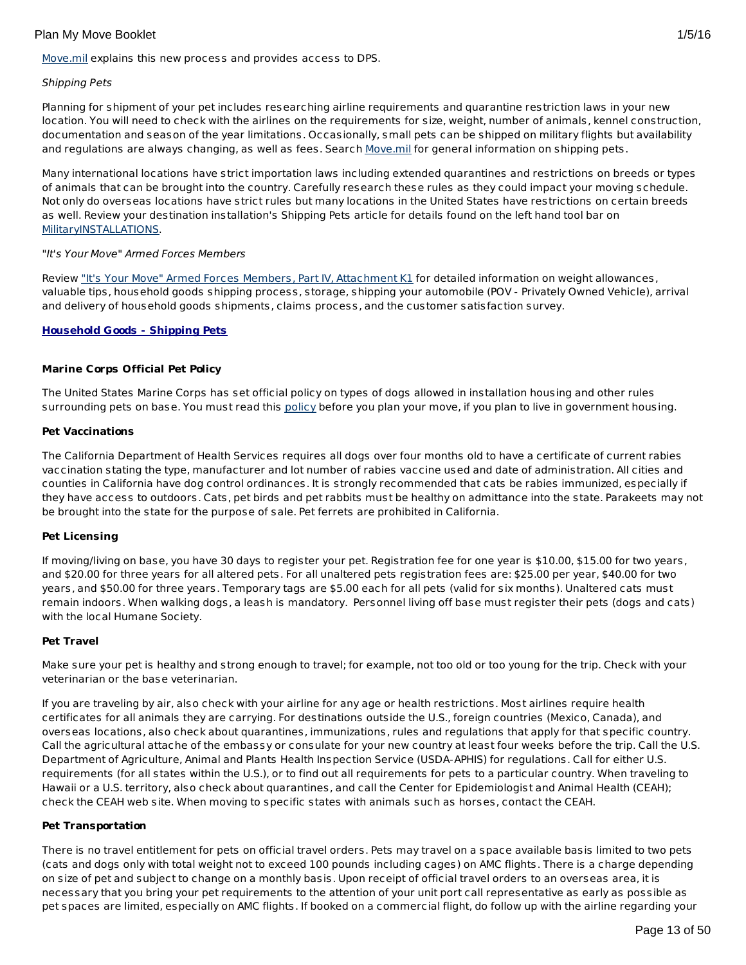[Move.mil](http://www.move.mil/) explains this new process and provides access to DPS.

## Shipping Pets

Planning for shipment of your pet includes researching airline requirements and quarantine restriction laws in your new location. You will need to check with the airlines on the requirements for size, weight, number of animals, kennel construction, documentation and season of the year limitations. Occasionally, small pets can be shipped on military flights but availability and regulations are always changing, as well as fees. Search [Move.mil](http://www.move.mil/dod/travel_information/pets.cfm ) for general information on shipping pets.

Many international locations have strict importation laws including extended quarantines and restrictions on breeds or types of animals that can be brought into the country. Carefully research these rules as they could impact your moving schedule. Not only do overseas locations have strict rules but many locations in the United States have restrictions on certain breeds as well. Review your destination installation's Shipping Pets article for details found on the left hand tool bar on [MilitaryINSTALLATIONS](http://www.militaryinstallations.dod.mil/).

## "It's Your Move" Armed Forces Members

Review "It's Your Move" Armed Forces Members, Part IV, [Attachment](http://www.transcom.mil/dtr/part-iv/dtr_part_iv_app_k_1.pdf) K1 for detailed information on weight allowances, valuable tips, household goods shipping process, storage, shipping your automobile (POV - Privately Owned Vehicle), arrival and delivery of household goods shipments, claims process, and the customer satisfaction survey.

# **Household Goods - Shipping Pets**

## **Marine Corps Official Pet Policy**

The United States Marine Corps has set official policy on types of dogs allowed in installation housing and other rules surrounding pets on base. You must read this [policy](http://www.militaryonesource.mil/12038/Plan My Move/USMC pet policy 8 09.pdf) before you plan your move, if you plan to live in government housing.

## **Pet Vaccinations**

The California Department of Health Services requires all dogs over four months old to have a certificate of current rabies vaccination stating the type, manufacturer and lot number of rabies vaccine used and date of administration. All cities and counties in California have dog control ordinances. It is strongly recommended that cats be rabies immunized, especially if they have access to outdoors. Cats, pet birds and pet rabbits must be healthy on admittance into the state. Parakeets may not be brought into the state for the purpose of sale. Pet ferrets are prohibited in California.

## **Pet Licensing**

If moving/living on base, you have 30 days to register your pet. Registration fee for one year is \$10.00, \$15.00 for two years, and \$20.00 for three years for all altered pets. For all unaltered pets registration fees are: \$25.00 per year, \$40.00 for two years, and \$50.00 for three years. Temporary tags are \$5.00 each for all pets (valid for six months). Unaltered cats must remain indoors. When walking dogs, a leash is mandatory. Personnel living off base must register their pets (dogs and cats) with the local Humane Society.

## **Pet Travel**

Make sure your pet is healthy and strong enough to travel; for example, not too old or too young for the trip. Check with your veterinarian or the base veterinarian.

If you are traveling by air, also check with your airline for any age or health restrictions. Most airlines require health certificates for all animals they are carrying. For destinations outside the U.S., foreign countries (Mexico, Canada), and overseas locations, also check about quarantines, immunizations, rules and regulations that apply for that specific country. Call the agricultural attache of the embassy or consulate for your new country at least four weeks before the trip. Call the U.S. Department of Agriculture, Animal and Plants Health Inspection Service (USDA-APHIS) for regulations. Call for either U.S. requirements (for all states within the U.S.), or to find out all requirements for pets to a particular country. When traveling to Hawaii or a U.S. territory, also check about quarantines, and call the Center for Epidemiologist and Animal Health (CEAH); check the CEAH web site. When moving to specific states with animals such as horses, contact the CEAH.

## **Pet Transportation**

There is no travel entitlement for pets on official travel orders. Pets may travel on a space available basis limited to two pets (cats and dogs only with total weight not to exceed 100 pounds including cages) on AMC flights. There is a charge depending on size of pet and subject to change on a monthly basis. Upon receipt of official travel orders to an overseas area, it is necessary that you bring your pet requirements to the attention of your unit port call representative as early as possible as pet spaces are limited, especially on AMC flights. If booked on a commercial flight, do follow up with the airline regarding your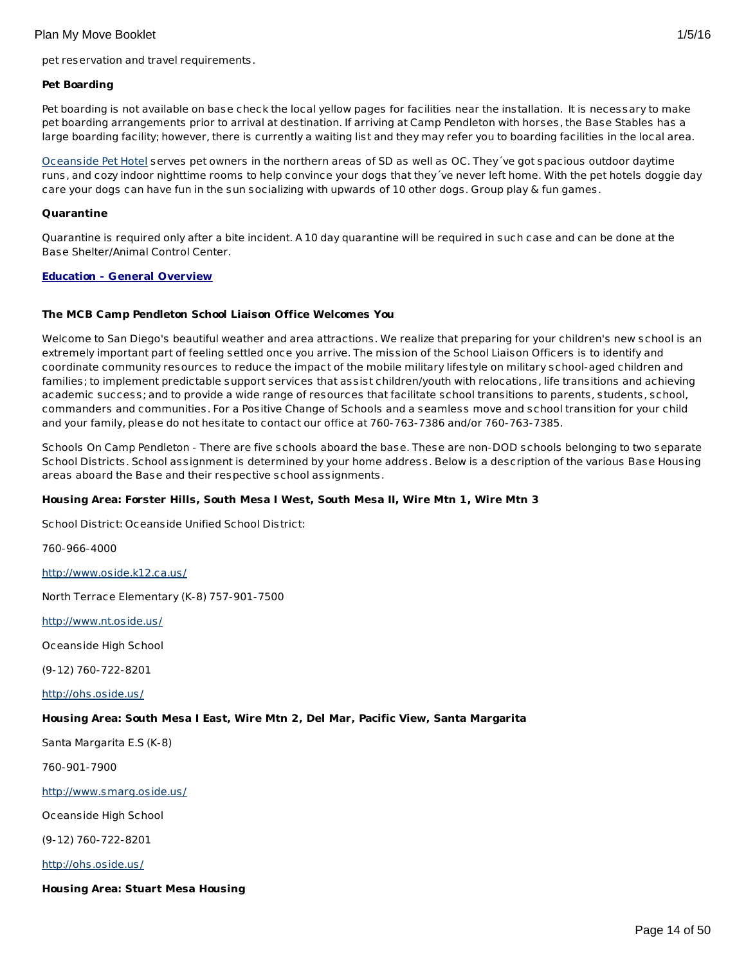#### **Pet Boarding**

Pet boarding is not available on base check the local yellow pages for facilities near the installation. It is necessary to make pet boarding arrangements prior to arrival at destination. If arriving at Camp Pendleton with horses, the Base Stables has a large boarding facility; however, there is currently a waiting list and they may refer you to boarding facilities in the local area.

[Oceanside](http://www.oceansidepethotel.com) Pet Hotel serves pet owners in the northern areas of SD as well as OC. They´ve got spacious outdoor daytime runs, and cozy indoor nighttime rooms to help convince your dogs that they´ve never left home. With the pet hotels doggie day care your dogs can have fun in the sun socializing with upwards of 10 other dogs. Group play & fun games.

#### **Quarantine**

Quarantine is required only after a bite incident. A 10 day quarantine will be required in such case and can be done at the Base Shelter/Animal Control Center.

## **Education - General Overview**

## **The MCB Camp Pendleton School Liaison Office Welcomes You**

Welcome to San Diego's beautiful weather and area attractions. We realize that preparing for your children's new school is an extremely important part of feeling settled once you arrive. The mission of the School Liaison Officers is to identify and coordinate community resources to reduce the impact of the mobile military lifestyle on military school-aged children and families; to implement predictable support services that assist children/youth with relocations, life transitions and achieving academic success; and to provide a wide range of resources that facilitate school transitions to parents, students, school, commanders and communities. For a Positive Change of Schools and a seamless move and school transition for your child and your family, please do not hesitate to contact our office at 760-763-7386 and/or 760-763-7385.

Schools On Camp Pendleton - There are five schools aboard the base. These are non-DOD schools belonging to two separate School Districts. School assignment is determined by your home address. Below is a description of the various Base Housing areas aboard the Base and their respective school assignments.

## **Housing Area: Forster Hills, South Mesa I West, South Mesa II, Wire Mtn 1, Wire Mtn 3**

School District: Oceanside Unified School District:

760-966-4000

<http://www.oside.k12.ca.us/>

North Terrace Elementary (K-8) 757-901-7500

<http://www.nt.oside.us/>

Oceanside High School

(9-12) 760-722-8201

<http://ohs.oside.us/>

# **Housing Area: South Mesa I East, Wire Mtn 2, Del Mar, Pacific View, Santa Margarita**

Santa Margarita E.S (K-8)

760-901-7900

<http://www.smarg.oside.us/>

Oceanside High School

(9-12) 760-722-8201

<http://ohs.oside.us/>

**Housing Area: Stuart Mesa Housing**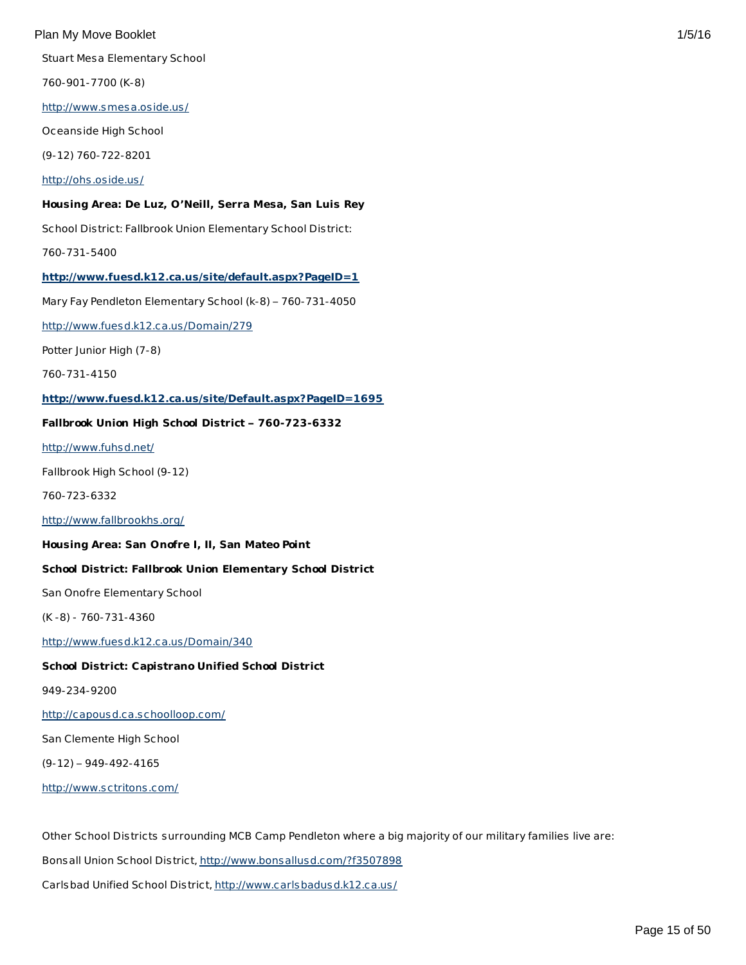Stuart Mesa Elementary School

760-901-7700 (K-8)

<http://www.smesa.oside.us/>

Oceanside High School

(9-12) 760-722-8201

## <http://ohs.oside.us/>

## **Housing Area: De Luz, O'Neill, Serra Mesa, San Luis Rey**

School District: Fallbrook Union Elementary School District:

760-731-5400

## **<http://www.fuesd.k12.ca.us/site/default.aspx?PageID=1>**

Mary Fay Pendleton Elementary School (k-8) – 760-731-4050

<http://www.fuesd.k12.ca.us/Domain/279>

Potter Junior High (7-8)

760-731-4150

## **<http://www.fuesd.k12.ca.us/site/Default.aspx?PageID=1695>**

# **Fallbrook Union High School District – 760-723-6332**

<http://www.fuhsd.net/>

Fallbrook High School (9-12)

760-723-6332

<http://www.fallbrookhs.org/>

## **Housing Area: San Onofre I, II, San Mateo Point**

# **School District: Fallbrook Union Elementary School District**

San Onofre Elementary School

(K -8) - 760-731-4360

<http://www.fuesd.k12.ca.us/Domain/340>

## **School District: Capistrano Unified School District**

949-234-9200

<http://capousd.ca.schoolloop.com/>

San Clemente High School

(9-12) – 949-492-4165

<http://www.sctritons.com/>

Other School Districts surrounding MCB Camp Pendleton where a big majority of our military families live are: Bonsall Union School District, <http://www.bonsallusd.com/?f3507898> Carlsbad Unified School District, <http://www.carlsbadusd.k12.ca.us/>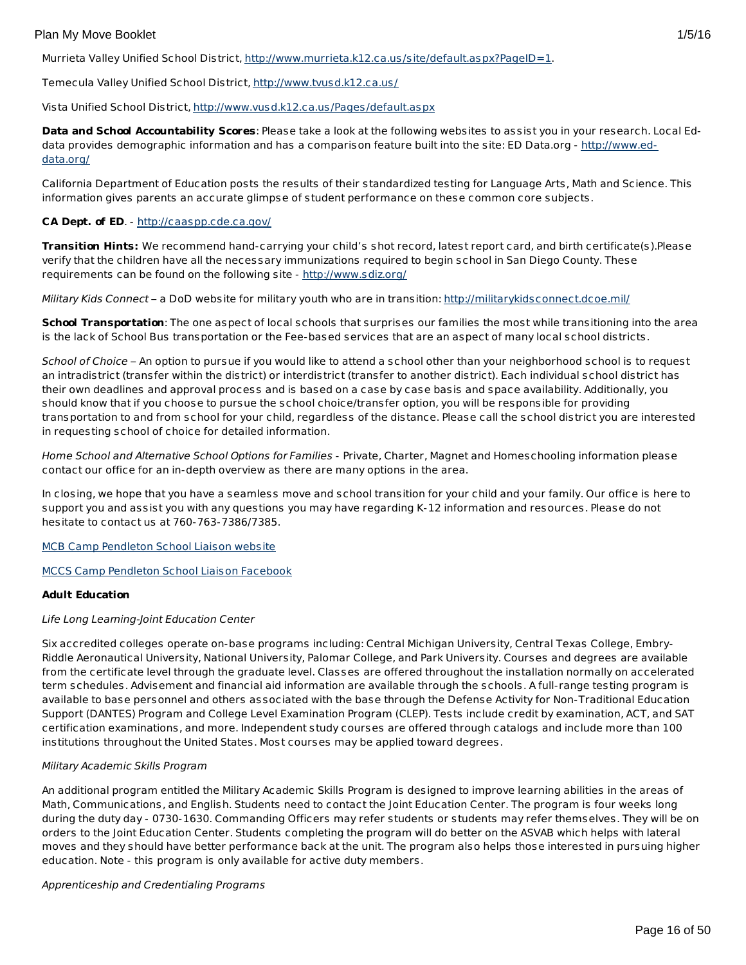Murrieta Valley Unified School District, <http://www.murrieta.k12.ca.us/site/default.aspx?PageID=1>.

Temecula Valley Unified School District, <http://www.tvusd.k12.ca.us/>

Vista Unified School District, <http://www.vusd.k12.ca.us/Pages/default.aspx>

**Data and School Accountability Scores**: Please take a look at the following websites to assist you in your research. Local Eddata provides demographic information and has a comparison feature built into the site: ED Data.org - [http://www.ed](http://www.ed-data.org/)data.org/

California Department of Education posts the results of their standardized testing for Language Arts, Math and Science. This information gives parents an accurate glimpse of student performance on these common core subjects.

# **CA Dept. of ED**. - <http://caaspp.cde.ca.gov/>

**Transition Hints:** We recommend hand-carrying your child's shot record, latest report card, and birth certificate(s).Please verify that the children have all the necessary immunizations required to begin school in San Diego County. These requirements can be found on the following site - <http://www.sdiz.org/>

Military Kids Connect – a DoD website for military youth who are in transition: <http://militarykidsconnect.dcoe.mil/>

**School Transportation**: The one aspect of local schools that surprises our families the most while transitioning into the area is the lack of School Bus transportation or the Fee-based services that are an aspect of many local school districts.

School of Choice – An option to pursue if you would like to attend a school other than your neighborhood school is to request an intradistrict (transfer within the district) or interdistrict (transfer to another district). Each individual school district has their own deadlines and approval process and is based on a case by case basis and space availability. Additionally, you should know that if you choose to pursue the school choice/transfer option, you will be responsible for providing transportation to and from school for your child, regardless of the distance. Please call the school district you are interested in requesting school of choice for detailed information.

Home School and Alternative School Options for Families - Private, Charter, Magnet and Homeschooling information please contact our office for an in-depth overview as there are many options in the area.

In closing, we hope that you have a seamless move and school transition for your child and your family. Our office is here to support you and assist you with any questions you may have regarding K-12 information and resources. Please do not hesitate to contact us at 760-763-7386/7385.

MCB Camp [Pendleton](http://www.pendleton.marines.mil/Services/SchoolLiason.aspx) School Liaison website

MCCS Camp [Pendleton](https://www.facebook.com/#!/media/set/?set=a.475151325887170.1073741834.174765495925756&type=1) School Liaison Facebook

# **Adult Education**

## Life Long Learning-Joint Education Center

Six accredited colleges operate on-base programs including: Central Michigan University, Central Texas College, Embry-Riddle Aeronautical University, National University, Palomar College, and Park University. Courses and degrees are available from the certificate level through the graduate level. Classes are offered throughout the installation normally on accelerated term schedules. Advisement and financial aid information are available through the schools. A full-range testing program is available to base personnel and others associated with the base through the Defense Activity for Non-Traditional Education Support (DANTES) Program and College Level Examination Program (CLEP). Tests include credit by examination, ACT, and SAT certification examinations, and more. Independent study courses are offered through catalogs and include more than 100 institutions throughout the United States. Most courses may be applied toward degrees.

# Military Academic Skills Program

An additional program entitled the Military Academic Skills Program is designed to improve learning abilities in the areas of Math, Communications, and English. Students need to contact the Joint Education Center. The program is four weeks long during the duty day - 0730-1630. Commanding Officers may refer students or students may refer themselves. They will be on orders to the Joint Education Center. Students completing the program will do better on the ASVAB which helps with lateral moves and they should have better performance back at the unit. The program also helps those interested in pursuing higher education. Note - this program is only available for active duty members.

## Apprenticeship and Credentialing Programs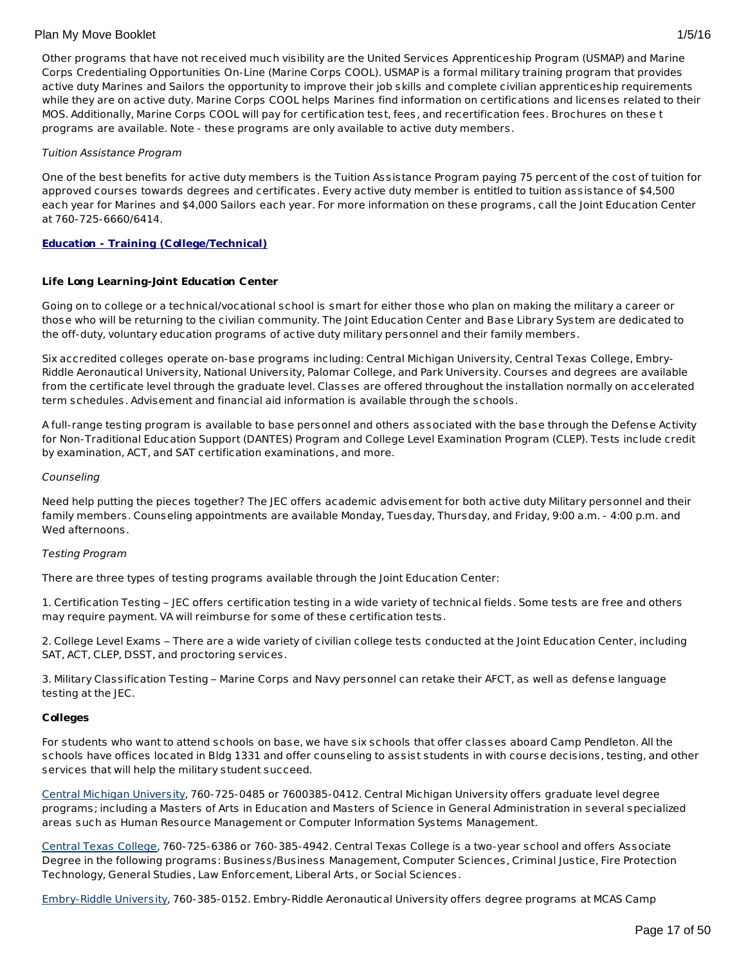Other programs that have not received much visibility are the United Services Apprenticeship Program (USMAP) and Marine Corps Credentialing Opportunities On-Line (Marine Corps COOL). USMAP is a formal military training program that provides active duty Marines and Sailors the opportunity to improve their job skills and complete civilian apprenticeship requirements while they are on active duty. Marine Corps COOL helps Marines find information on certifications and licenses related to their MOS. Additionally, Marine Corps COOL will pay for certification test, fees, and recertification fees. Brochures on these t programs are available. Note - these programs are only available to active duty members.

## Tuition Assistance Program

One of the best benefits for active duty members is the Tuition Assistance Program paying 75 percent of the cost of tuition for approved courses towards degrees and certificates. Every active duty member is entitled to tuition assistance of \$4,500 each year for Marines and \$4,000 Sailors each year. For more information on these programs, call the Joint Education Center at 760-725-6660/6414.

# **Education - Training (College/Technical)**

## **Life Long Learning-Joint Education Center**

Going on to college or a technical/vocational school is smart for either those who plan on making the military a career or those who will be returning to the civilian community. The Joint Education Center and Base Library System are dedicated to the off-duty, voluntary education programs of active duty military personnel and their family members.

Six accredited colleges operate on-base programs including: Central Michigan University, Central Texas College, Embry-Riddle Aeronautical University, National University, Palomar College, and Park University. Courses and degrees are available from the certificate level through the graduate level. Classes are offered throughout the installation normally on accelerated term schedules. Advisement and financial aid information is available through the schools.

A full-range testing program is available to base personnel and others associated with the base through the Defense Activity for Non-Traditional Education Support (DANTES) Program and College Level Examination Program (CLEP). Tests include credit by examination, ACT, and SAT certification examinations, and more.

## Counseling

Need help putting the pieces together? The JEC offers academic advisement for both active duty Military personnel and their family members. Counseling appointments are available Monday, Tuesday, Thursday, and Friday, 9:00 a.m. - 4:00 p.m. and Wed afternoons.

# Testing Program

There are three types of testing programs available through the Joint Education Center:

1. Certification Testing – JEC offers certification testing in a wide variety of technical fields. Some tests are free and others may require payment. VA will reimburse for some of these certification tests.

2. College Level Exams – There are a wide variety of civilian college tests conducted at the Joint Education Center, including SAT, ACT, CLEP, DSST, and proctoring services.

3. Military Classification Testing – Marine Corps and Navy personnel can retake their AFCT, as well as defense language testing at the JEC.

# **Colleges**

For students who want to attend schools on base, we have six schools that offer classes aboard Camp Pendleton. All the schools have offices located in Bldg 1331 and offer counseling to assist students in with course decisions, testing, and other services that will help the military student succeed.

Central Michigan [University](http://www.cel.cmich.edu), 760-725-0485 or 7600385-0412. Central Michigan University offers graduate level degree programs; including a Masters of Arts in Education and Masters of Science in General Administration in several specialized areas such as Human Resource Management or Computer Information Systems Management.

[Central](http://www.ctc-pendleton.com) Texas College, 760-725-6386 or 760-385-4942. Central Texas College is a two-year school and offers Associate Degree in the following programs: Business/Business Management, Computer Sciences, Criminal Justice, Fire Protection Technology, General Studies, Law Enforcement, Liberal Arts, or Social Sciences.

[Embry-Riddle](http://www.erau.edu/camppendleton) University, 760-385-0152. Embry-Riddle Aeronautical University offers degree programs at MCAS Camp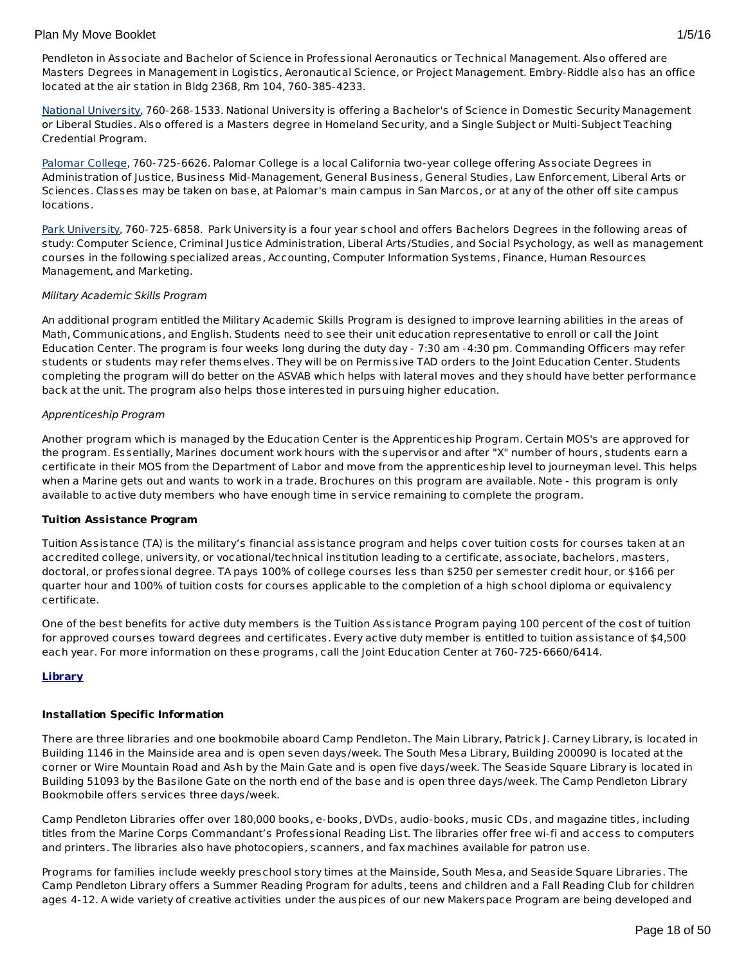Pendleton in Associate and Bachelor of Science in Professional Aeronautics or Technical Management. Also offered are Masters Degrees in Management in Logistics, Aeronautical Science, or Project Management. Embry-Riddle also has an office located at the air station in Bldg 2368, Rm 104, 760-385-4233.

National [University](http://www.nu.edu/Locations/MilitaryLocations/CampPendleton.html), 760-268-1533. National University is offering a Bachelor's of Science in Domestic Security Management or Liberal Studies. Also offered is a Masters degree in Homeland Security, and a Single Subject or Multi-Subject Teaching Credential Program.

[Palomar](http://www.palomar.edu/camppendleton) College, 760-725-6626. Palomar College is a local California two-year college offering Associate Degrees in Administration of Justice, Business Mid-Management, General Business, General Studies, Law Enforcement, Liberal Arts or Sciences. Classes may be taken on base, at Palomar's main campus in San Marcos, or at any of the other off site campus locations.

Park [University](http://www.park.edu/camp), 760-725-6858. Park University is a four year school and offers Bachelors Degrees in the following areas of study: Computer Science, Criminal Justice Administration, Liberal Arts/Studies, and Social Psychology, as well as management courses in the following specialized areas, Accounting, Computer Information Systems, Finance, Human Resources Management, and Marketing.

# Military Academic Skills Program

An additional program entitled the Military Academic Skills Program is designed to improve learning abilities in the areas of Math, Communications, and English. Students need to see their unit education representative to enroll or call the Joint Education Center. The program is four weeks long during the duty day - 7:30 am -4:30 pm. Commanding Officers may refer students or students may refer themselves. They will be on Permissive TAD orders to the Joint Education Center. Students completing the program will do better on the ASVAB which helps with lateral moves and they should have better performance back at the unit. The program also helps those interested in pursuing higher education.

## Apprenticeship Program

Another program which is managed by the Education Center is the Apprenticeship Program. Certain MOS's are approved for the program. Essentially, Marines document work hours with the supervisor and after "X" number of hours, students earn a certificate in their MOS from the Department of Labor and move from the apprenticeship level to journeyman level. This helps when a Marine gets out and wants to work in a trade. Brochures on this program are available. Note - this program is only available to active duty members who have enough time in service remaining to complete the program.

## **Tuition Assistance Program**

Tuition Assistance (TA) is the military's financial assistance program and helps cover tuition costs for courses taken at an accredited college, university, or vocational/technical institution leading to a certificate, associate, bachelors, masters, doctoral, or professional degree. TA pays 100% of college courses less than \$250 per semester credit hour, or \$166 per quarter hour and 100% of tuition costs for courses applicable to the completion of a high school diploma or equivalency certificate.

One of the best benefits for active duty members is the Tuition Assistance Program paying 100 percent of the cost of tuition for approved courses toward degrees and certificates. Every active duty member is entitled to tuition assistance of \$4,500 each year. For more information on these programs, call the Joint Education Center at 760-725-6660/6414.

# **Library**

# **Installation Specific Information**

There are three libraries and one bookmobile aboard Camp Pendleton. The Main Library, Patrick J. Carney Library, is located in Building 1146 in the Mainside area and is open seven days/week. The South Mesa Library, Building 200090 is located at the corner or Wire Mountain Road and Ash by the Main Gate and is open five days/week. The Seaside Square Library is located in Building 51093 by the Basilone Gate on the north end of the base and is open three days/week. The Camp Pendleton Library Bookmobile offers services three days/week.

Camp Pendleton Libraries offer over 180,000 books, e-books, DVDs, audio-books, music CDs, and magazine titles, including titles from the Marine Corps Commandant's Professional Reading List. The libraries offer free wi-fi and access to computers and printers. The libraries also have photocopiers, scanners, and fax machines available for patron use.

Programs for families include weekly preschool story times at the Mainside, South Mesa, and Seaside Square Libraries. The Camp Pendleton Library offers a Summer Reading Program for adults, teens and children and a Fall Reading Club for children ages 4-12. A wide variety of creative activities under the auspices of our new Makerspace Program are being developed and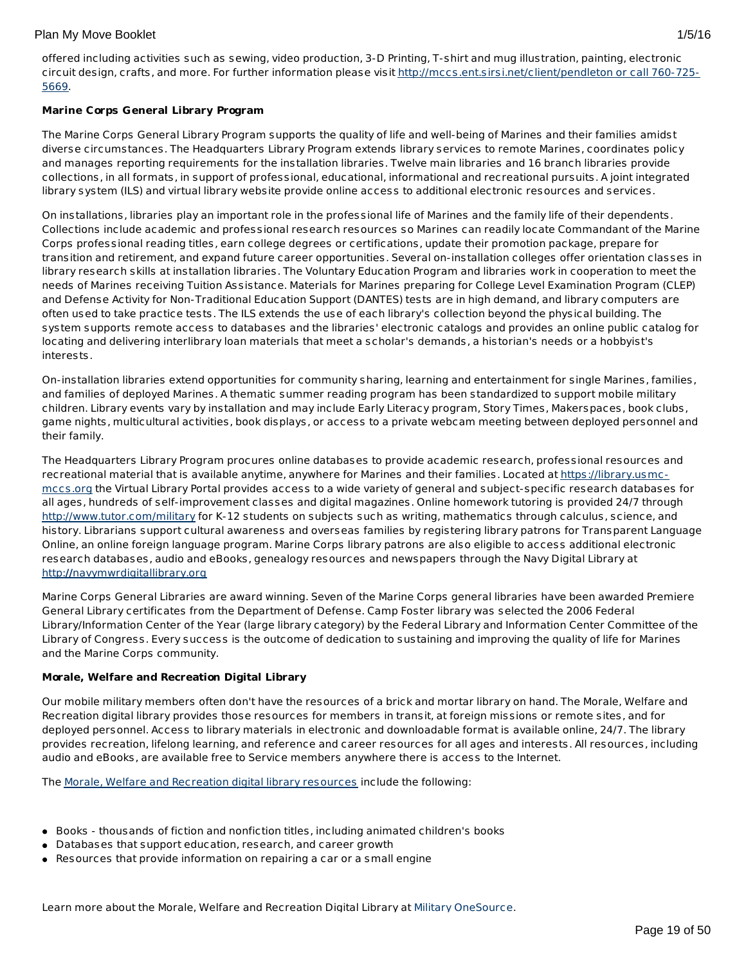offered including activities such as sewing, video production, 3-D Printing, T-shirt and mug illustration, painting, electronic circuit design, crafts, and more. For further information please visit [http://mccs.ent.sirsi.net/client/pendleton](http://mccs.ent.sirsi.net/client/pendleton or call 760-725-5669) or call 760-725- 5669.

# **Marine Corps General Library Program**

The Marine Corps General Library Program supports the quality of life and well-being of Marines and their families amidst diverse circumstances. The Headquarters Library Program extends library services to remote Marines, coordinates policy and manages reporting requirements for the installation libraries. Twelve main libraries and 16 branch libraries provide collections, in all formats, in support of professional, educational, informational and recreational pursuits. A joint integrated library system (ILS) and virtual library website provide online access to additional electronic resources and services.

On installations, libraries play an important role in the professional life of Marines and the family life of their dependents. Collections include academic and professional research resources so Marines can readily locate Commandant of the Marine Corps professional reading titles, earn college degrees or certifications, update their promotion package, prepare for transition and retirement, and expand future career opportunities. Several on-installation colleges offer orientation classes in library research skills at installation libraries. The Voluntary Education Program and libraries work in cooperation to meet the needs of Marines receiving Tuition Assistance. Materials for Marines preparing for College Level Examination Program (CLEP) and Defense Activity for Non-Traditional Education Support (DANTES) tests are in high demand, and library computers are often used to take practice tests. The ILS extends the use of each library's collection beyond the physical building. The system supports remote access to databases and the libraries' electronic catalogs and provides an online public catalog for locating and delivering interlibrary loan materials that meet a scholar's demands, a historian's needs or a hobbyist's interests.

On-installation libraries extend opportunities for community sharing, learning and entertainment for single Marines, families, and families of deployed Marines. A thematic summer reading program has been standardized to support mobile military children. Library events vary by installation and may include Early Literacy program, Story Times, Makerspaces, book clubs, game nights, multicultural activities, book displays, or access to a private webcam meeting between deployed personnel and their family.

The Headquarters Library Program procures online databases to provide academic research, professional resources and recreational material that is available anytime, anywhere for Marines and their families. Located at [https://library.usmc](https://library.usmc-mccs.org/)mccs.org the Virtual Library Portal provides access to a wide variety of general and subject-specific research databases for all ages, hundreds of self-improvement classes and digital magazines. Online homework tutoring is provided 24/7 through <http://www.tutor.com/military> for K-12 students on subjects such as writing, mathematics through calculus, science, and history. Librarians support cultural awareness and overseas families by registering library patrons for Transparent Language Online, an online foreign language program. Marine Corps library patrons are also eligible to access additional electronic research databases, audio and eBooks, genealogy resources and newspapers through the Navy Digital Library at http:**//**[navymwrdigitallibrary.org](http://navymwrdigitallibrary.org/)

Marine Corps General Libraries are award winning. Seven of the Marine Corps general libraries have been awarded Premiere General Library certificates from the Department of Defense. Camp Foster library was selected the 2006 Federal Library/Information Center of the Year (large library category) by the Federal Library and Information Center Committee of the Library of Congress. Every success is the outcome of dedication to sustaining and improving the quality of life for Marines and the Marine Corps community.

# **Morale, Welfare and Recreation Digital Library**

Our mobile military members often don't have the resources of a brick and mortar library on hand. The Morale, Welfare and Recreation digital library provides those resources for members in transit, at foreign missions or remote sites, and for deployed personnel. Access to library materials in electronic and downloadable format is available online, 24/7. The library provides recreation, lifelong learning, and reference and career resources for all ages and interests. All resources, including audio and eBooks, are available free to Service members anywhere there is access to the Internet.

The Morale, Welfare and [Recreation](https://www.militaryonesourceeap.org/achievesolutions/en/militaryonesource/Content.do?contentId=27777) digital library resources include the following:

- Books thousands of fiction and nonfiction titles, including animated children's books
- Databases that support education, research, and career growth
- Resources that provide information on repairing a car or a small engine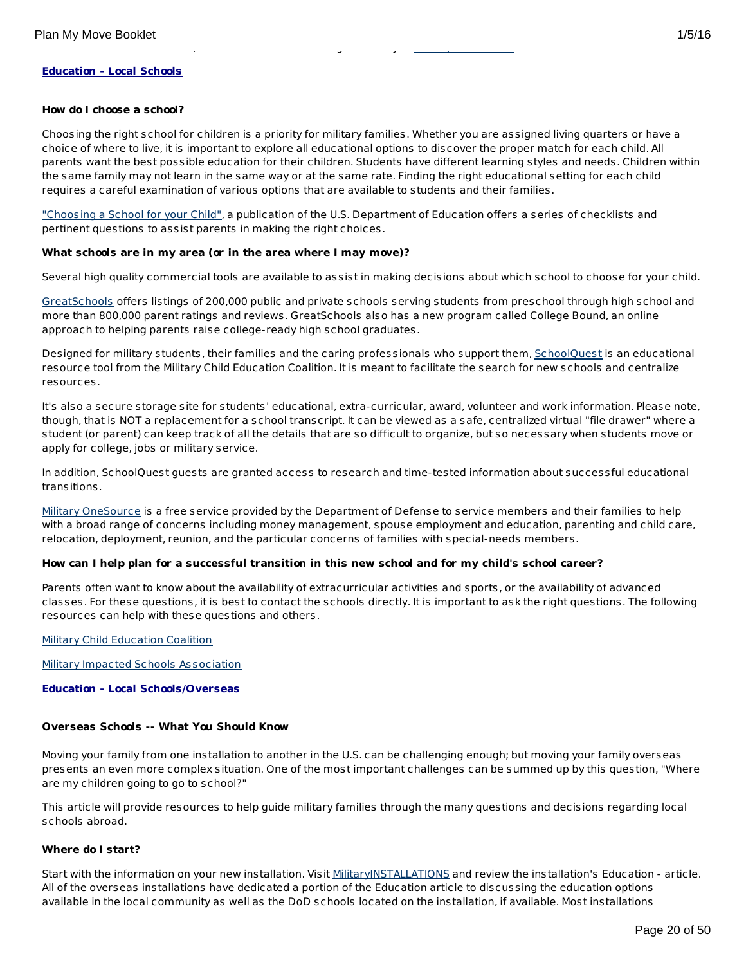## **Education - Local Schools**

#### **How do I choose a school?**

Choosing the right school for children is a priority for military families. Whether you are assigned living quarters or have a choice of where to live, it is important to explore all educational options to discover the proper match for each child. All parents want the best possible education for their children. Students have different learning styles and needs. Children within the same family may not learn in the same way or at the same rate. Finding the right educational setting for each child requires a careful examination of various options that are available to students and their families.

["Choosing](http://www2.ed.gov/parents/schools/find/choose/index.html) a School for your Child", a publication of the U.S. Department of Education offers a series of checklists and pertinent questions to assist parents in making the right choices.

#### **What schools are in my area (or in the area where I may move)?**

Learn more about the Morale, Welfare and Recreation Digital Library at Military OneSource.

Several high quality commercial tools are available to assist in making decisions about which school to choose for your child.

[GreatSchools](http://www.greatschools.org/) offers listings of 200,000 public and private schools serving students from preschool through high school and more than 800,000 parent ratings and reviews. GreatSchools also has a new program called College Bound, an online approach to helping parents raise college-ready high school graduates.

Designed for military students, their families and the caring professionals who support them, [SchoolQuest](http://www.schoolquest.org/) is an educational resource tool from the Military Child Education Coalition. It is meant to facilitate the search for new schools and centralize resources.

It's also a secure storage site for students' educational, extra-curricular, award, volunteer and work information. Please note, though, that is NOT a replacement for a school transcript. It can be viewed as a safe, centralized virtual "file drawer" where a student (or parent) can keep track of all the details that are so difficult to organize, but so necessary when students move or apply for college, jobs or military service.

In addition, SchoolQuest guests are granted access to research and time-tested information about successful educational transitions.

Military [OneSource](http://www.militaryonesource.mil/) is a free service provided by the Department of Defense to service members and their families to help with a broad range of concerns including money management, spouse employment and education, parenting and child care, relocation, deployment, reunion, and the particular concerns of families with special-needs members.

## How can I help plan for a successful transition in this new school and for my child's school career?

Parents often want to know about the availability of extracurricular activities and sports, or the availability of advanced classes. For these questions, it is best to contact the schools directly. It is important to ask the right questions. The following resources can help with these questions and others.

Military Child [Education](http://www.militarychild.org/) Coalition

Military Impacted Schools [Association](http://militaryimpactedschoolsassociation.org/)

**Education - Local Schools/Overseas**

#### **Overseas Schools -- What You Should Know**

Moving your family from one installation to another in the U.S. can be challenging enough; but moving your family overseas presents an even more complex situation. One of the most important challenges can be summed up by this question, "Where are my children going to go to school?"

This article will provide resources to help guide military families through the many questions and decisions regarding local schools abroad.

#### **Where do I start?**

Start with the information on your new installation. Visit [MilitaryINSTALLATIONS](http://www.militaryinstallations.dod.mil) and review the installation's Education - article. All of the overseas installations have dedicated a portion of the Education article to discussing the education options available in the local community as well as the DoD schools located on the installation, if available. Most installations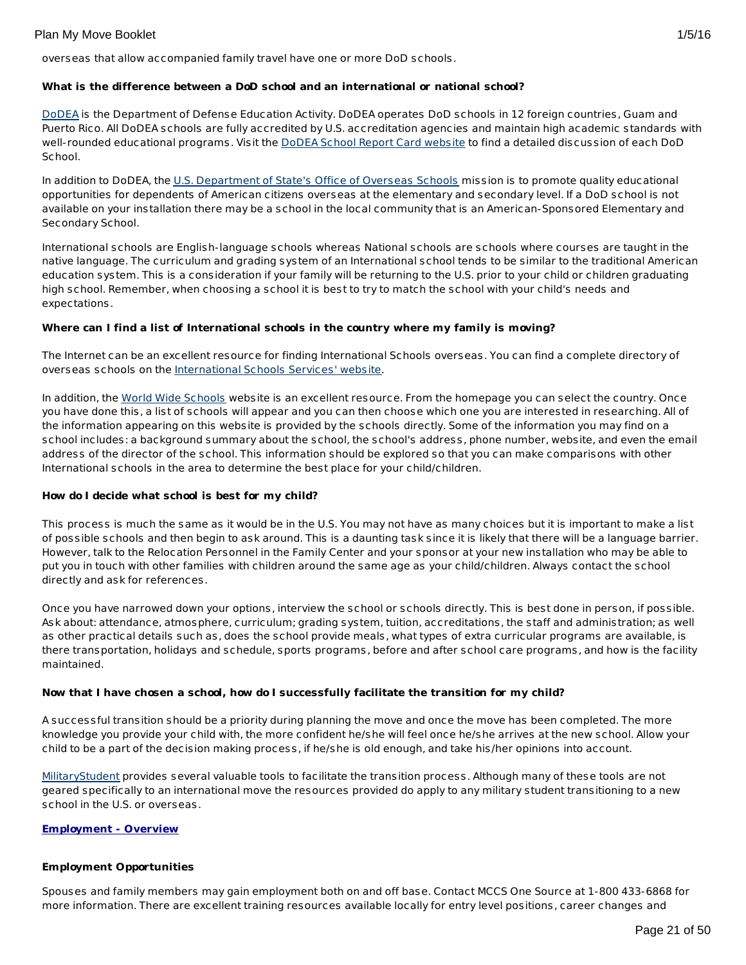overseas that allow accompanied family travel have one or more DoD schools.

## **What is the difference between a DoD school and an international or national school?**

[DoDEA](http://www.dodea.edu/) is the Department of Defense Education Activity. DoDEA operates DoD schools in 12 foreign countries, Guam and Puerto Rico. All DoDEA schools are fully accredited by U.S. accreditation agencies and maintain high academic standards with well-rounded educational programs. Visit the DoDEA School Report Card [website](https://webapps.dodea.edu/SRC) to find a detailed discussion of each DoD School.

In addition to DoDEA, the U.S. [Department](http://www.state.gov/m/a/os/) of State's Office of Overseas Schools mission is to promote quality educational opportunities for dependents of American citizens overseas at the elementary and secondary level. If a DoD school is not available on your installation there may be a school in the local community that is an American-Sponsored Elementary and Secondary School.

International schools are English-language schools whereas National schools are schools where courses are taught in the native language. The curriculum and grading system of an International school tends to be similar to the traditional American education system. This is a consideration if your family will be returning to the U.S. prior to your child or children graduating high school. Remember, when choosing a school it is best to try to match the school with your child's needs and expectations.

# **Where can I find a list of International schools in the country where my family is moving?**

The Internet can be an excellent resource for finding International Schools overseas. You can find a complete directory of overseas schools on the [International](http://www.iss.edu/) Schools Services' website.

In addition, the World Wide [Schools](http://www.english-schools.org/index.htm) website is an excellent resource. From the homepage you can select the country. Once you have done this, a list of schools will appear and you can then choose which one you are interested in researching. All of the information appearing on this website is provided by the schools directly. Some of the information you may find on a school includes: a background summary about the school, the school's address, phone number, website, and even the email address of the director of the school. This information should be explored so that you can make comparisons with other International schools in the area to determine the best place for your child/children.

# **How do I decide what school is best for my child?**

This process is much the same as it would be in the U.S. You may not have as many choices but it is important to make a list of possible schools and then begin to ask around. This is a daunting task since it is likely that there will be a language barrier. However, talk to the Relocation Personnel in the Family Center and your sponsor at your new installation who may be able to put you in touch with other families with children around the same age as your child/children. Always contact the school directly and ask for references.

Once you have narrowed down your options, interview the school or schools directly. This is best done in person, if possible. Ask about: attendance, atmosphere, curriculum; grading system, tuition, accreditations, the staff and administration; as well as other practical details such as, does the school provide meals, what types of extra curricular programs are available, is there transportation, holidays and schedule, sports programs, before and after school care programs, and how is the facility maintained.

# **Now that I have chosen a school, how do I successfully facilitate the transition for my child?**

A successful transition should be a priority during planning the move and once the move has been completed. The more knowledge you provide your child with, the more confident he/she will feel once he/she arrives at the new school. Allow your child to be a part of the decision making process, if he/she is old enough, and take his/her opinions into account.

[MilitaryStudent](http://militaryk12partners.dodea.edu/) provides several valuable tools to facilitate the transition process. Although many of these tools are not geared specifically to an international move the resources provided do apply to any military student transitioning to a new school in the U.S. or overseas.

## **Employment - Overview**

## **Employment Opportunities**

Spouses and family members may gain employment both on and off base. Contact MCCS One Source at 1-800 433-6868 for more information. There are excellent training resources available locally for entry level positions, career changes and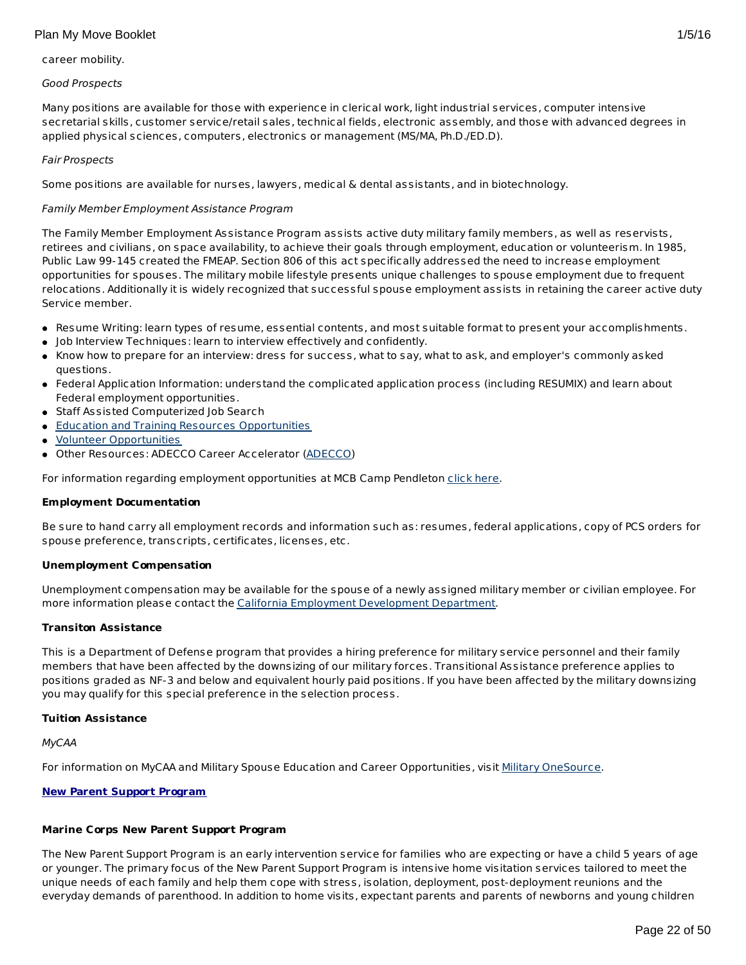## career mobility.

## Good Prospects

Many positions are available for those with experience in clerical work, light industrial services, computer intensive secretarial skills, customer service/retail sales, technical fields, electronic assembly, and those with advanced degrees in applied physical sciences, computers, electronics or management (MS/MA, Ph.D./ED.D).

## Fair Prospects

Some positions are available for nurses, lawyers, medical & dental assistants, and in biotechnology.

## Family Member Employment Assistance Program

The Family Member Employment Assistance Program assists active duty military family members, as well as reservists, retirees and civilians, on space availability, to achieve their goals through employment, education or volunteerism. In 1985, Public Law 99-145 created the FMEAP. Section 806 of this act specifically addressed the need to increase employment opportunities for spouses. The military mobile lifestyle presents unique challenges to spouse employment due to frequent relocations. Additionally it is widely recognized that successful spouse employment assists in retaining the career active duty Service member.

- Resume Writing: learn types of resume, essential contents, and most suitable format to present your accomplishments.
- Job Interview Techniques: learn to interview effectively and confidently.
- Know how to prepare for an interview: dress for success, what to say, what to ask, and employer's commonly asked questions.
- Federal Application Information: understand the complicated application process (including RESUMIX) and learn about Federal employment opportunities.
- Staff Assisted Computerized Job Search
- **Education and Training Resources [Opportunities](http://www.usmc-mccs.org/education/index.cfm)**
- Volunteer [Opportunities](http://www.usmc-mccs.org/mcftb/index.cfm)
- Other Resources: ADECCO Career Accelerator [\(ADECCO](#page-24-0))

For information regarding employment opportunities at MCB Camp Pendleton [click](http://www.usmc-mccs.org/employ/jobVacResults.cfm?sid=emp&smid=2&RequestTimeout=90) here.

## **Employment Documentation**

Be sure to hand carry all employment records and information such as: resumes, federal applications, copy of PCS orders for spouse preference, transcripts, certificates, licenses, etc.

## **Unemployment Compensation**

Unemployment compensation may be available for the spouse of a newly assigned military member or civilian employee. For more information please contact the California Employment [Development](http://www.edd.ca.gov/) Department.

## **Transiton Assistance**

This is a Department of Defense program that provides a hiring preference for military service personnel and their family members that have been affected by the downsizing of our military forces. Transitional Assistance preference applies to positions graded as NF-3 and below and equivalent hourly paid positions. If you have been affected by the military downsizing you may qualify for this special preference in the selection process.

## **Tuition Assistance**

MyCAA

For information on MyCAA and Military Spouse Education and Career Opportunities, visit Military [OneSource](http://www.militaryonesource.mil/MOS/f?p=MOS:TOPIC:0::::SV,UT,LG,CID,TID:ArmyActive,Member,EN,23.50.40.0.0.0.0.0.0,23.50.40.10.0.0.0.0.0).

# **New Parent Support Program**

# **Marine Corps New Parent Support Program**

The New Parent Support Program is an early intervention service for families who are expecting or have a child 5 years of age or younger. The primary focus of the New Parent Support Program is intensive home visitation services tailored to meet the unique needs of each family and help them cope with stress, isolation, deployment, post-deployment reunions and the everyday demands of parenthood. In addition to home visits, expectant parents and parents of newborns and young children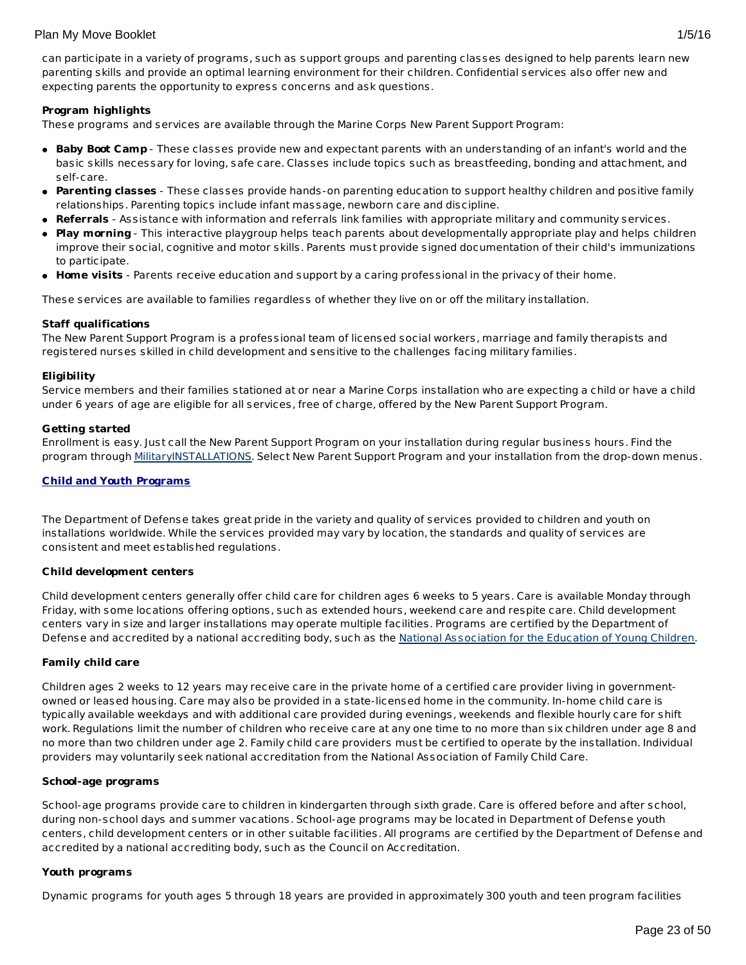can participate in a variety of programs, such as support groups and parenting classes designed to help parents learn new parenting skills and provide an optimal learning environment for their children. Confidential services also offer new and expecting parents the opportunity to express concerns and ask questions.

## **Program highlights**

These programs and services are available through the Marine Corps New Parent Support Program:

- **Baby Boot Camp** These classes provide new and expectant parents with an understanding of an infant's world and the basic skills necessary for loving, safe care. Classes include topics such as breastfeeding, bonding and attachment, and self-care.
- **Parenting classes** These classes provide hands-on parenting education to support healthy children and positive family relationships. Parenting topics include infant massage, newborn care and discipline.
- **Referrals** Assistance with information and referrals link families with appropriate military and community services.
- **Play morning** This interactive playgroup helps teach parents about developmentally appropriate play and helps children improve their social, cognitive and motor skills. Parents must provide signed documentation of their child's immunizations to participate.
- **Home visits** Parents receive education and support by a caring professional in the privacy of their home.

These services are available to families regardless of whether they live on or off the military installation.

## **Staff qualifications**

The New Parent Support Program is a professional team of licensed social workers, marriage and family therapists and registered nurses skilled in child development and sensitive to the challenges facing military families.

## **Eligibility**

Service members and their families stationed at or near a Marine Corps installation who are expecting a child or have a child under 6 years of age are eligible for all services, free of charge, offered by the New Parent Support Program.

## **Getting started**

Enrollment is easy. Just call the New Parent Support Program on your installation during regular business hours. Find the program through [MilitaryINSTALLATIONS](http://www.militaryinstallations.dod.mil/). Select New Parent Support Program and your installation from the drop-down menus.

## **Child and Youth Programs**

The Department of Defense takes great pride in the variety and quality of services provided to children and youth on installations worldwide. While the services provided may vary by location, the standards and quality of services are consistent and meet established regulations.

## **Child development centers**

Child development centers generally offer child care for children ages 6 weeks to 5 years. Care is available Monday through Friday, with some locations offering options, such as extended hours, weekend care and respite care. Child development centers vary in size and larger installations may operate multiple facilities. Programs are certified by the Department of Defense and accredited by a national accrediting body, such as the National [Association](http://www.naeyc.org/) for the Education of Young Children.

## **Family child care**

Children ages 2 weeks to 12 years may receive care in the private home of a certified care provider living in governmentowned or leased housing. Care may also be provided in a state-licensed home in the community. In-home child care is typically available weekdays and with additional care provided during evenings, weekends and flexible hourly care for shift work. Regulations limit the number of children who receive care at any one time to no more than six children under age 8 and no more than two children under age 2. Family child care providers must be certified to operate by the installation. Individual providers may voluntarily seek national accreditation from the National Association of Family Child Care.

## **School-age programs**

School-age programs provide care to children in kindergarten through sixth grade. Care is offered before and after school, during non-school days and summer vacations. School-age programs may be located in Department of Defense youth centers, child development centers or in other suitable facilities. All programs are certified by the Department of Defense and accredited by a national accrediting body, such as the Council on Accreditation.

## **Youth programs**

Dynamic programs for youth ages 5 through 18 years are provided in approximately 300 youth and teen program facilities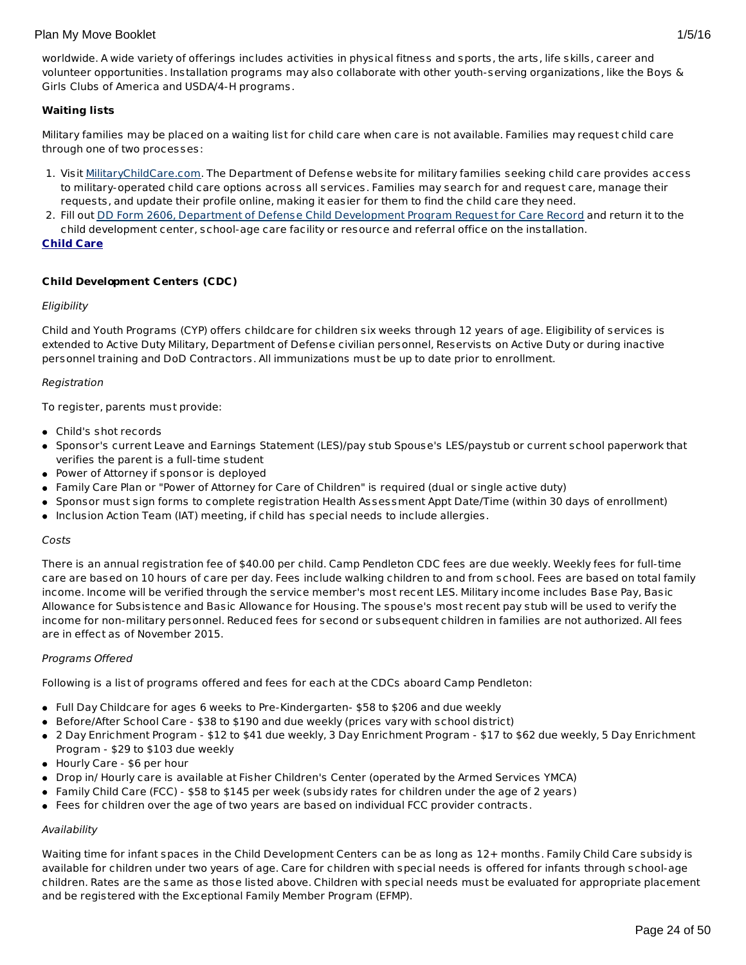worldwide. A wide variety of offerings includes activities in physical fitness and sports, the arts, life skills, career and volunteer opportunities. Installation programs may also collaborate with other youth-serving organizations, like the Boys & Girls Clubs of America and USDA/4-H programs.

# **Waiting lists**

Military families may be placed on a waiting list for child care when care is not available. Families may request child care through one of two processes:

- 1. Visit [MilitaryChildCare.com](https://militarychildcare.cnic.navy.mil/mcc-consumer/home/viewhome.action). The Department of Defense website for military families seeking child care provides access to military-operated child care options across all services. Families may search for and request care, manage their requests, and update their profile online, making it easier for them to find the child care they need.
- 2. Fill out DD Form 2606, Department of Defense Child [Development](http://www.dtic.mil/whs/directives/forms/eforms/dd2606.pdf) Program Request for Care Record and return it to the child development center, school-age care facility or resource and referral office on the installation.

## **Child Care**

# **Child Development Centers (CDC)**

## Eligibility

Child and Youth Programs (CYP) offers childcare for children six weeks through 12 years of age. Eligibility of services is extended to Active Duty Military, Department of Defense civilian personnel, Reservists on Active Duty or during inactive personnel training and DoD Contractors. All immunizations must be up to date prior to enrollment.

## Registration

To register, parents must provide:

- Child's shot records
- Sponsor's current Leave and Earnings Statement (LES)/pay stub Spouse's LES/paystub or current school paperwork that verifies the parent is a full-time student
- Power of Attorney if sponsor is deployed
- Family Care Plan or "Power of Attorney for Care of Children" is required (dual or single active duty)
- Sponsor must sign forms to complete registration Health Assessment Appt Date/Time (within 30 days of enrollment)
- $\bullet$  Inclusion Action Team (IAT) meeting, if child has special needs to include allergies.

## Costs

There is an annual registration fee of \$40.00 per child. Camp Pendleton CDC fees are due weekly. Weekly fees for full-time care are based on 10 hours of care per day. Fees include walking children to and from school. Fees are based on total family income. Income will be verified through the service member's most recent LES. Military income includes Base Pay, Basic Allowance for Subsistence and Basic Allowance for Housing. The spouse's most recent pay stub will be used to verify the income for non-military personnel. Reduced fees for second or subsequent children in families are not authorized. All fees are in effect as of November 2015.

## Programs Offered

Following is a list of programs offered and fees for each at the CDCs aboard Camp Pendleton:

- Full Day Childcare for ages 6 weeks to Pre-Kindergarten- \$58 to \$206 and due weekly
- Before/After School Care \$38 to \$190 and due weekly (prices vary with school district)
- 2 Day Enrichment Program \$12 to \$41 due weekly, 3 Day Enrichment Program \$17 to \$62 due weekly, 5 Day Enrichment Program - \$29 to \$103 due weekly
- Hourly Care \$6 per hour
- Drop in/ Hourly care is available at Fisher Children's Center (operated by the Armed Services YMCA)
- Family Child Care (FCC) \$58 to \$145 per week (subsidy rates for children under the age of 2 years)
- Fees for children over the age of two years are based on individual FCC provider contracts.

# Availability

Waiting time for infant spaces in the Child Development Centers can be as long as 12+ months. Family Child Care subsidy is available for children under two years of age. Care for children with special needs is offered for infants through school-age children. Rates are the same as those listed above. Children with special needs must be evaluated for appropriate placement and be registered with the Exceptional Family Member Program (EFMP).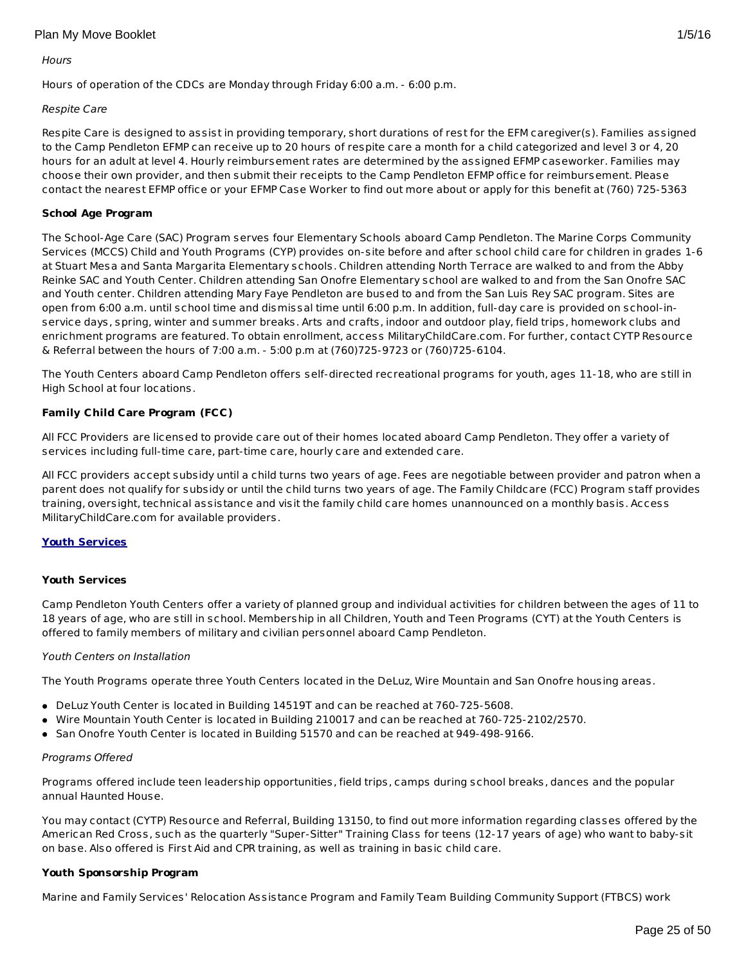#### <span id="page-24-0"></span>**Hours**

Hours of operation of the CDCs are Monday through Friday 6:00 a.m. - 6:00 p.m.

## Respite Care

Respite Care is designed to assist in providing temporary, short durations of rest for the EFM caregiver(s). Families assigned to the Camp Pendleton EFMP can receive up to 20 hours of respite care a month for a child categorized and level 3 or 4, 20 hours for an adult at level 4. Hourly reimbursement rates are determined by the assigned EFMP caseworker. Families may choose their own provider, and then submit their receipts to the Camp Pendleton EFMP office for reimbursement. Please contact the nearest EFMP office or your EFMP Case Worker to find out more about or apply for this benefit at (760) 725-5363

## **School Age Program**

The School-Age Care (SAC) Program serves four Elementary Schools aboard Camp Pendleton. The Marine Corps Community Services (MCCS) Child and Youth Programs (CYP) provides on-site before and after school child care for children in grades 1-6 at Stuart Mesa and Santa Margarita Elementary schools. Children attending North Terrace are walked to and from the Abby Reinke SAC and Youth Center. Children attending San Onofre Elementary school are walked to and from the San Onofre SAC and Youth center. Children attending Mary Faye Pendleton are bused to and from the San Luis Rey SAC program. Sites are open from 6:00 a.m. until school time and dismissal time until 6:00 p.m. In addition, full-day care is provided on school-inservice days, spring, winter and summer breaks. Arts and crafts, indoor and outdoor play, field trips, homework clubs and enrichment programs are featured. To obtain enrollment, access MilitaryChildCare.com. For further, contact CYTP Resource & Referral between the hours of 7:00 a.m. - 5:00 p.m at (760)725-9723 or (760)725-6104.

The Youth Centers aboard Camp Pendleton offers self-directed recreational programs for youth, ages 11-18, who are still in High School at four locations.

## **Family Child Care Program (FCC)**

All FCC Providers are licensed to provide care out of their homes located aboard Camp Pendleton. They offer a variety of services including full-time care, part-time care, hourly care and extended care.

All FCC providers accept subsidy until a child turns two years of age. Fees are negotiable between provider and patron when a parent does not qualify for subsidy or until the child turns two years of age. The Family Childcare (FCC) Program staff provides training, oversight, technical assistance and visit the family child care homes unannounced on a monthly basis. Access MilitaryChildCare.com for available providers.

## **Youth Services**

## **Youth Services**

Camp Pendleton Youth Centers offer a variety of planned group and individual activities for children between the ages of 11 to 18 years of age, who are still in school. Membership in all Children, Youth and Teen Programs (CYT) at the Youth Centers is offered to family members of military and civilian personnel aboard Camp Pendleton.

## Youth Centers on Installation

The Youth Programs operate three Youth Centers located in the DeLuz, Wire Mountain and San Onofre housing areas.

- DeLuz Youth Center is located in Building 14519T and can be reached at 760-725-5608.
- Wire Mountain Youth Center is located in Building 210017 and can be reached at 760-725-2102/2570.
- San Onofre Youth Center is located in Building 51570 and can be reached at 949-498-9166.

#### Programs Offered

Programs offered include teen leadership opportunities, field trips, camps during school breaks, dances and the popular annual Haunted House.

You may contact (CYTP) Resource and Referral, Building 13150, to find out more information regarding classes offered by the American Red Cross, such as the quarterly "Super-Sitter" Training Class for teens (12-17 years of age) who want to baby-sit on base. Also offered is First Aid and CPR training, as well as training in basic child care.

## **Youth Sponsorship Program**

Marine and Family Services' Relocation Assistance Program and Family Team Building Community Support (FTBCS) work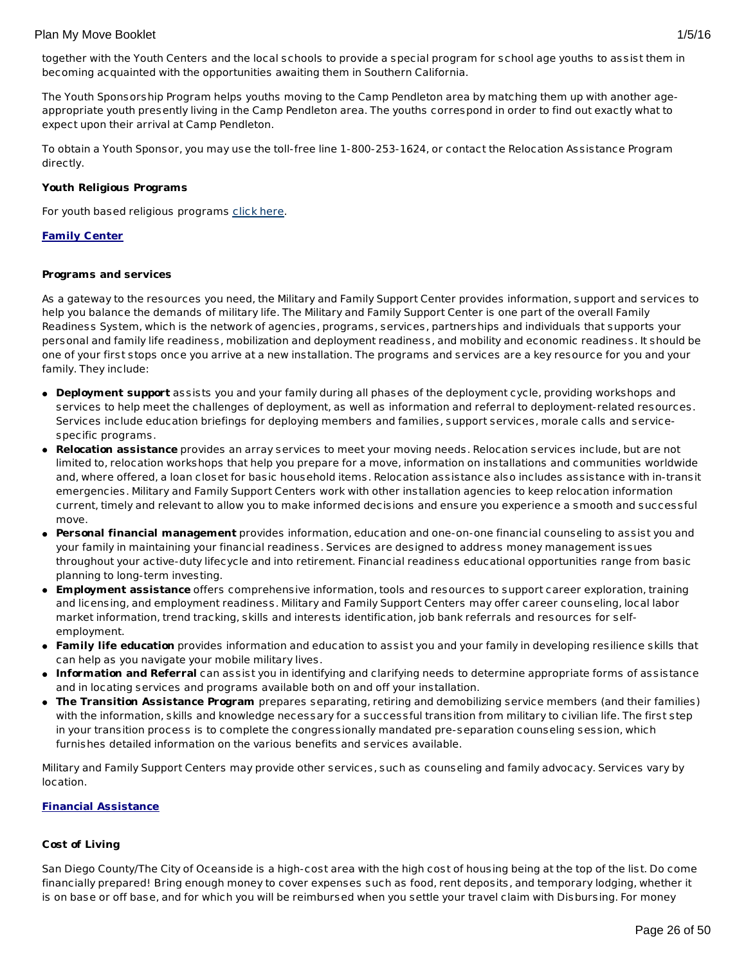The Youth Sponsorship Program helps youths moving to the Camp Pendleton area by matching them up with another ageappropriate youth presently living in the Camp Pendleton area. The youths correspond in order to find out exactly what to expect upon their arrival at Camp Pendleton.

To obtain a Youth Sponsor, you may use the toll-free line 1-800-253-1624, or contact the Relocation Assistance Program directly.

## **Youth Religious Programs**

For youth based religious programs [click](http://www.pendleton.usmc.mil/chaplain/HWFlyer.pdf) here.

## **Family Center**

## **Programs and services**

As a gateway to the resources you need, the Military and Family Support Center provides information, support and services to help you balance the demands of military life. The Military and Family Support Center is one part of the overall Family Readiness System, which is the network of agencies, programs, services, partnerships and individuals that supports your personal and family life readiness, mobilization and deployment readiness, and mobility and economic readiness. It should be one of your first stops once you arrive at a new installation. The programs and services are a key resource for you and your family. They include:

- **Deployment support** assists you and your family during all phases of the deployment cycle, providing workshops and services to help meet the challenges of deployment, as well as information and referral to deployment-related resources. Services include education briefings for deploying members and families, support services, morale calls and servicespecific programs.
- **Relocation assistance** provides an array services to meet your moving needs. Relocation services include, but are not limited to, relocation workshops that help you prepare for a move, information on installations and communities worldwide and, where offered, a loan closet for basic household items. Relocation assistance also includes assistance with in-transit emergencies. Military and Family Support Centers work with other installation agencies to keep relocation information current, timely and relevant to allow you to make informed decisions and ensure you experience a smooth and successful move.
- **Personal financial management** provides information, education and one-on-one financial counseling to assist you and your family in maintaining your financial readiness. Services are designed to address money management issues throughout your active-duty lifecycle and into retirement. Financial readiness educational opportunities range from basic planning to long-term investing.
- **Employment assistance** offers comprehensive information, tools and resources to support career exploration, training and licensing, and employment readiness. Military and Family Support Centers may offer career counseling, local labor market information, trend tracking, skills and interests identification, job bank referrals and resources for selfemployment.
- **Family life education** provides information and education to assist you and your family in developing resilience skills that can help as you navigate your mobile military lives.
- **Information and Referral** can assist you in identifying and clarifying needs to determine appropriate forms of assistance and in locating services and programs available both on and off your installation.
- **The Transition Assistance Program** prepares separating, retiring and demobilizing service members (and their families) with the information, skills and knowledge necessary for a successful transition from military to civilian life. The first step in your transition process is to complete the congressionally mandated pre-separation counseling session, which furnishes detailed information on the various benefits and services available.

Military and Family Support Centers may provide other services, such as counseling and family advocacy. Services vary by location.

## **Financial Assistance**

## **Cost of Living**

San Diego County/The City of Oceanside is a high-cost area with the high cost of housing being at the top of the list. Do come financially prepared! Bring enough money to cover expenses such as food, rent deposits, and temporary lodging, whether it is on base or off base, and for which you will be reimbursed when you settle your travel claim with Disbursing. For money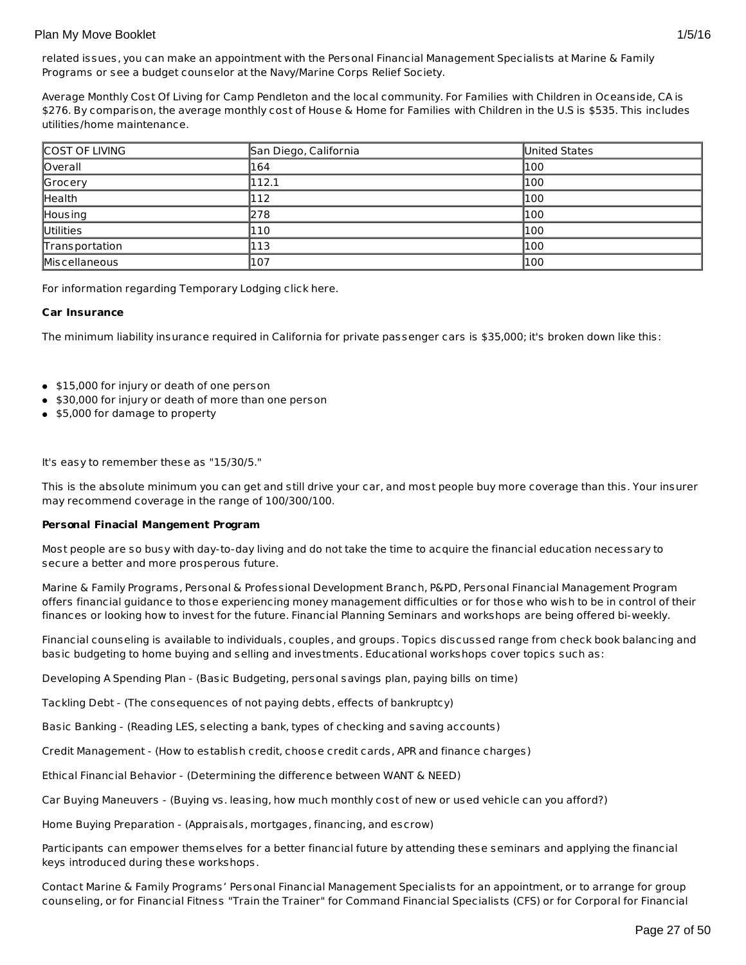related issues, you can make an appointment with the Personal Financial Management Specialists at Marine & Family Programs or see a budget counselor at the Navy/Marine Corps Relief Society.

Average Monthly Cost Of Living for Camp Pendleton and the local community. For Families with Children in Oceanside, CA is \$276. By comparison, the average monthly cost of House & Home for Families with Children in the U.S is \$535. This includes utilities/home maintenance.

| COST OF LIVING | San Diego, California | United States |
|----------------|-----------------------|---------------|
| Overall        | 164                   | 1100          |
| Grocery        | 112.1                 | 1100          |
| Health         | 112                   | 1100          |
| Housing        | 278                   | 100           |
| Utilities      | 110                   | 1100          |
| Transportation | 113                   | 1100          |
| Miscellaneous  | 107                   | 100           |

For information regarding Temporary Lodging click here.

## **Car Insurance**

The minimum liability insurance required in California for private passenger cars is \$35,000; it's broken down like this:

- \$15,000 for injury or death of one person
- \$30,000 for injury or death of more than one person
- \$5,000 for damage to property

It's easy to remember these as "15/30/5."

This is the absolute minimum you can get and still drive your car, and most people buy more coverage than this. Your insurer may recommend coverage in the range of 100/300/100.

## **Personal Finacial Mangement Program**

Most people are so busy with day-to-day living and do not take the time to acquire the financial education necessary to secure a better and more prosperous future.

Marine & Family Programs, Personal & Professional Development Branch, P&PD, Personal Financial Management Program offers financial guidance to those experiencing money management difficulties or for those who wish to be in control of their finances or looking how to invest for the future. Financial Planning Seminars and workshops are being offered bi-weekly.

Financial counseling is available to individuals, couples, and groups. Topics discussed range from check book balancing and basic budgeting to home buying and selling and investments. Educational workshops cover topics such as:

Developing A Spending Plan - (Basic Budgeting, personal savings plan, paying bills on time)

Tackling Debt - (The consequences of not paying debts, effects of bankruptcy)

Basic Banking - (Reading LES, selecting a bank, types of checking and saving accounts)

Credit Management - (How to establish credit, choose credit cards, APR and finance charges)

Ethical Financial Behavior - (Determining the difference between WANT & NEED)

Car Buying Maneuvers - (Buying vs. leasing, how much monthly cost of new or used vehicle can you afford?)

Home Buying Preparation - (Appraisals, mortgages, financing, and escrow)

Participants can empower themselves for a better financial future by attending these seminars and applying the financial keys introduced during these workshops.

Contact Marine & Family Programs' Personal Financial Management Specialists for an appointment, or to arrange for group counseling, or for Financial Fitness "Train the Trainer" for Command Financial Specialists (CFS) or for Corporal for Financial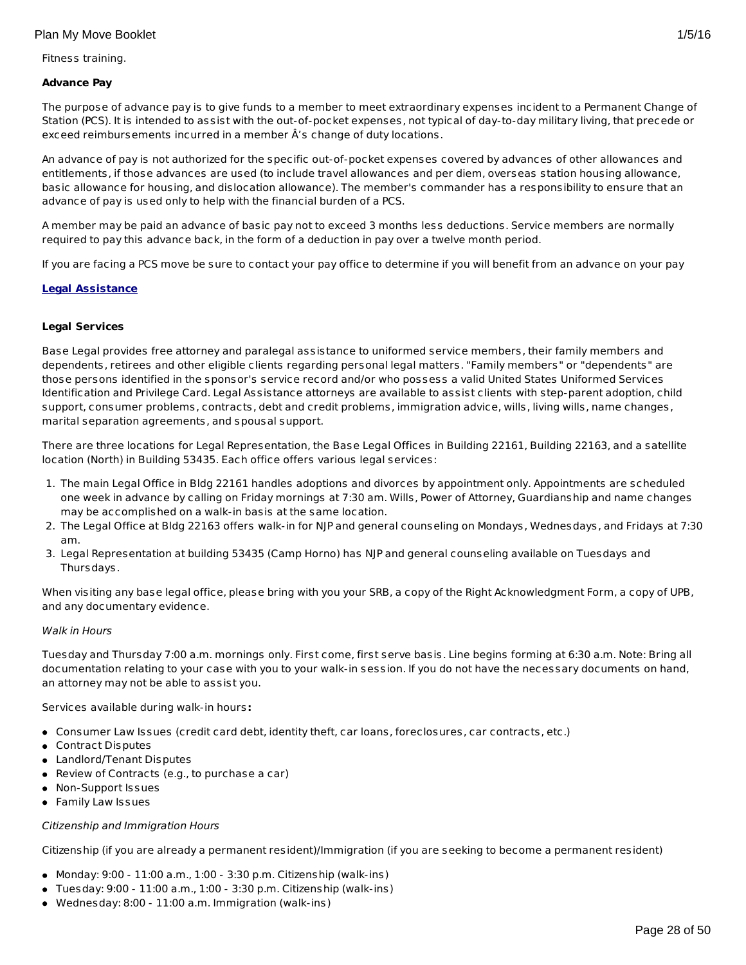Fitness training.

## **Advance Pay**

The purpose of advance pay is to give funds to a member to meet extraordinary expenses incident to a Permanent Change of Station (PCS). It is intended to assist with the out-of-pocket expenses, not typical of day-to-day military living, that precede or exceed reimbursements incurred in a member Â's change of duty locations.

An advance of pay is not authorized for the specific out-of-pocket expenses covered by advances of other allowances and entitlements, if those advances are used (to include travel allowances and per diem, overseas station housing allowance, basic allowance for housing, and dislocation allowance). The member's commander has a responsibility to ensure that an advance of pay is used only to help with the financial burden of a PCS.

A member may be paid an advance of basic pay not to exceed 3 months less deductions. Service members are normally required to pay this advance back, in the form of a deduction in pay over a twelve month period.

If you are facing a PCS move be sure to contact your pay office to determine if you will benefit from an advance on your pay

## **Legal Assistance**

## **Legal Services**

Base Legal provides free attorney and paralegal assistance to uniformed service members, their family members and dependents, retirees and other eligible clients regarding personal legal matters. "Family members" or "dependents" are those persons identified in the sponsor's service record and/or who possess a valid United States Uniformed Services Identification and Privilege Card. Legal Assistance attorneys are available to assist clients with step-parent adoption, child support, consumer problems, contracts, debt and credit problems, immigration advice, wills, living wills, name changes, marital separation agreements, and spousal support.

There are three locations for Legal Representation, the Base Legal Offices in Building 22161, Building 22163, and a satellite location (North) in Building 53435. Each office offers various legal services:

- 1. The main Legal Office in Bldg 22161 handles adoptions and divorces by appointment only. Appointments are scheduled one week in advance by calling on Friday mornings at 7:30 am. Wills, Power of Attorney, Guardianship and name changes may be accomplished on a walk-in basis at the same location.
- 2. The Legal Office at Bldg 22163 offers walk-in for NJP and general counseling on Mondays, Wednesdays, and Fridays at 7:30 am.
- 3. Legal Representation at building 53435 (Camp Horno) has NJP and general counseling available on Tuesdays and Thursdays.

When visiting any base legal office, please bring with you your SRB, a copy of the Right Acknowledgment Form, a copy of UPB, and any documentary evidence.

## Walk in Hours

Tuesday and Thursday 7:00 a.m. mornings only. First come, first serve basis. Line begins forming at 6:30 a.m. Note: Bring all documentation relating to your case with you to your walk-in session. If you do not have the necessary documents on hand, an attorney may not be able to assist you.

Services available during walk-in hours**:**

- Consumer Law Issues (credit card debt, identity theft, car loans, foreclosures, car contracts, etc.)
- Contract Disputes
- Landlord/Tenant Disputes
- Review of Contracts (e.g., to purchase a car)
- Non-Support Issues
- **•** Family Law Issues

## Citizenship and Immigration Hours

Citizenship (if you are already a permanent resident)/Immigration (if you are seeking to become a permanent resident)

- $\bullet$  Monday: 9:00 11:00 a.m., 1:00 3:30 p.m. Citizenship (walk-ins)
- Tuesday: 9:00 11:00 a.m., 1:00 3:30 p.m. Citizenship (walk-ins)
- Wednesday: 8:00 11:00 a.m. Immigration (walk-ins)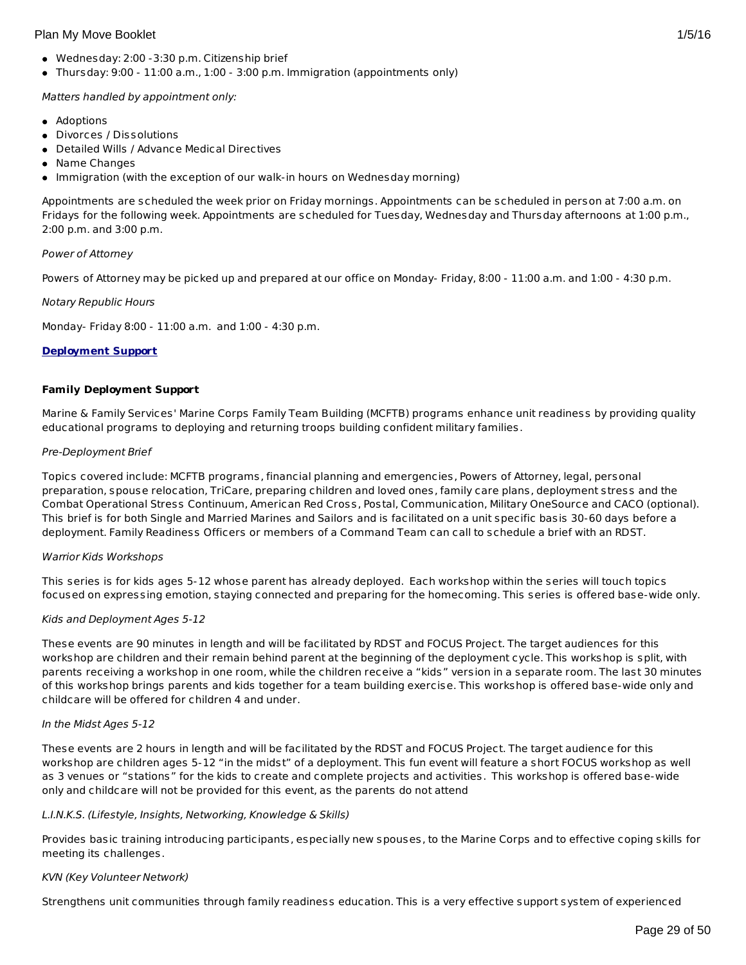- Wednesday: 2:00 -3:30 p.m. Citizenship brief
- Thursday: 9:00 11:00 a.m., 1:00 3:00 p.m. Immigration (appointments only)

Matters handled by appointment only:

- Adoptions
- Divorces / Dissolutions
- Detailed Wills / Advance Medical Directives
- Name Changes
- Immigration (with the exception of our walk-in hours on Wednesday morning)

Appointments are scheduled the week prior on Friday mornings. Appointments can be scheduled in person at 7:00 a.m. on Fridays for the following week. Appointments are scheduled for Tuesday, Wednesday and Thursday afternoons at 1:00 p.m., 2:00 p.m. and 3:00 p.m.

## Power of Attorney

Powers of Attorney may be picked up and prepared at our office on Monday- Friday, 8:00 - 11:00 a.m. and 1:00 - 4:30 p.m.

## Notary Republic Hours

Monday- Friday 8:00 - 11:00 a.m. and 1:00 - 4:30 p.m.

## **Deployment Support**

## **Family Deployment Support**

Marine & Family Services' Marine Corps Family Team Building (MCFTB) programs enhance unit readiness by providing quality educational programs to deploying and returning troops building confident military families.

## Pre-Deployment Brief

Topics covered include: MCFTB programs, financial planning and emergencies, Powers of Attorney, legal, personal preparation, spouse relocation, TriCare, preparing children and loved ones, family care plans, deployment stress and the Combat Operational Stress Continuum, American Red Cross, Postal, Communication, Military OneSource and CACO (optional). This brief is for both Single and Married Marines and Sailors and is facilitated on a unit specific basis 30-60 days before a deployment. Family Readiness Officers or members of a Command Team can call to schedule a brief with an RDST.

## Warrior Kids Workshops

This series is for kids ages 5-12 whose parent has already deployed. Each workshop within the series will touch topics focused on expressing emotion, staying connected and preparing for the homecoming. This series is offered base-wide only.

# Kids and Deployment Ages 5-12

These events are 90 minutes in length and will be facilitated by RDST and FOCUS Project. The target audiences for this workshop are children and their remain behind parent at the beginning of the deployment cycle. This workshop is split, with parents receiving a workshop in one room, while the children receive a "kids" version in a separate room. The last 30 minutes of this workshop brings parents and kids together for a team building exercise. This workshop is offered base-wide only and childcare will be offered for children 4 and under.

## In the Midst Ages 5-12

These events are 2 hours in length and will be facilitated by the RDST and FOCUS Project. The target audience for this workshop are children ages 5-12 "in the midst" of a deployment. This fun event will feature a short FOCUS workshop as well as 3 venues or "stations" for the kids to create and complete projects and activities. This workshop is offered base-wide only and childcare will not be provided for this event, as the parents do not attend

## L.I.N.K.S. (Lifestyle, Insights, Networking, Knowledge & Skills)

Provides basic training introducing participants, especially new spouses, to the Marine Corps and to effective coping skills for meeting its challenges.

## KVN (Key Volunteer Network)

Strengthens unit communities through family readiness education. This is a very effective support system of experienced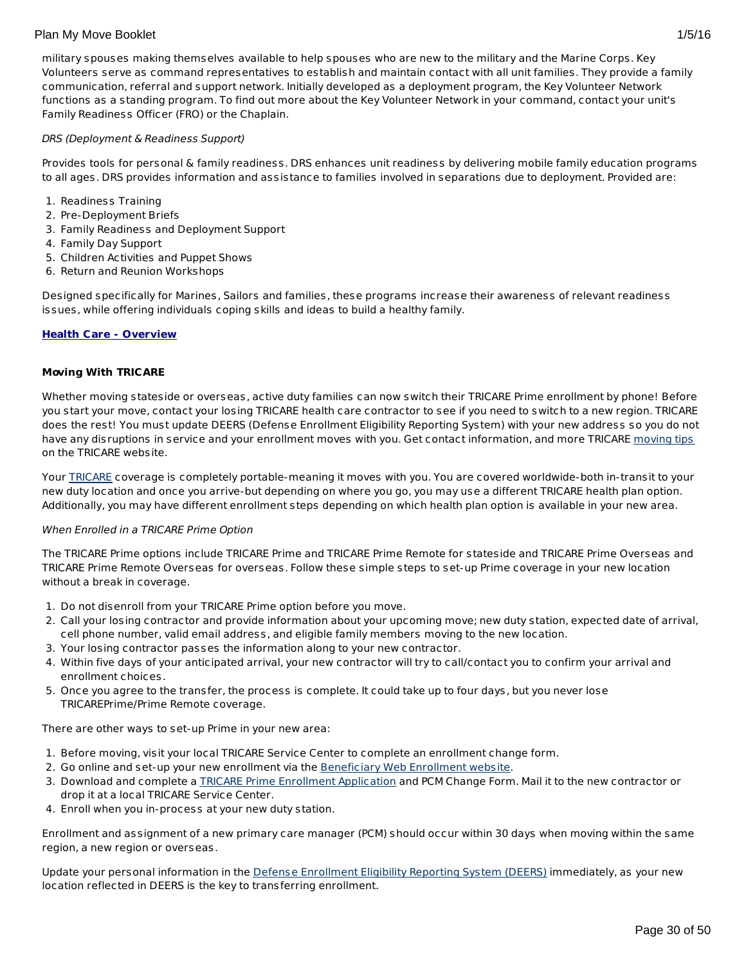military spouses making themselves available to help spouses who are new to the military and the Marine Corps. Key Volunteers serve as command representatives to establish and maintain contact with all unit families. They provide a family communication, referral and support network. Initially developed as a deployment program, the Key Volunteer Network functions as a standing program. To find out more about the Key Volunteer Network in your command, contact your unit's Family Readiness Officer (FRO) or the Chaplain.

## DRS (Deployment & Readiness Support)

Provides tools for personal & family readiness. DRS enhances unit readiness by delivering mobile family education programs to all ages. DRS provides information and assistance to families involved in separations due to deployment. Provided are:

- 1. Readiness Training
- 2. Pre-Deployment Briefs
- 3. Family Readiness and Deployment Support
- 4. Family Day Support
- 5. Children Activities and Puppet Shows
- 6. Return and Reunion Workshops

Designed specifically for Marines, Sailors and families, these programs increase their awareness of relevant readiness issues, while offering individuals coping skills and ideas to build a healthy family.

## **Health Care - Overview**

## **Moving With TRICARE**

Whether moving stateside or overseas, active duty families can now switch their TRICARE Prime enrollment by phone! Before you start your move, contact your losing TRICARE health care contractor to see if you need to switch to a new region. TRICARE does the rest! You must update DEERS (Defense Enrollment Eligibility Reporting System) with your new address so you do not have any disruptions in service and your enrollment moves with you. Get contact information, and more TRICARE [moving](http://www.tricare.mil/moving) tips on the TRICARE website.

Your [TRICARE](http://www.tricare.mil/) coverage is completely portable-meaning it moves with you. You are covered worldwide-both in-transit to your new duty location and once you arrive-but depending on where you go, you may use a different TRICARE health plan option. Additionally, you may have different enrollment steps depending on which health plan option is available in your new area.

## When Enrolled in a TRICARE Prime Option

The TRICARE Prime options include TRICARE Prime and TRICARE Prime Remote for stateside and TRICARE Prime Overseas and TRICARE Prime Remote Overseas for overseas. Follow these simple steps to set-up Prime coverage in your new location without a break in coverage.

- 1. Do not disenroll from your TRICARE Prime option before you move.
- 2. Call your losing contractor and provide information about your upcoming move; new duty station, expected date of arrival, cell phone number, valid email address, and eligible family members moving to the new location.
- 3. Your losing contractor passes the information along to your new contractor.
- 4. Within five days of your anticipated arrival, your new contractor will try to call/contact you to confirm your arrival and enrollment choices.
- 5. Once you agree to the transfer, the process is complete. It could take up to four days, but you never lose TRICAREPrime/Prime Remote coverage.

There are other ways to set-up Prime in your new area:

- 1. Before moving, visit your local TRICARE Service Center to complete an enrollment change form.
- 2. Go online and set-up your new enrollment via the **[Beneficiary](https://www.dmdc.osd.mil/appj/bwe/indexAction.do;jsessionid=7962ecfc6b86dfb33476ab70607f4835a6bef5c6f4af875ca0a4ac0a6b3b2fe3) Web Enrollment website**.
- 3. Download and complete a TRICARE Prime [Enrollment](http://www.tricare.mil/Forms/Enrollment/Prime.aspx) Application and PCM Change Form. Mail it to the new contractor or drop it at a local TRICARE Service Center.
- 4. Enroll when you in-process at your new duty station.

Enrollment and assignment of a new primary care manager (PCM) should occur within 30 days when moving within the same region, a new region or overseas.

Update your personal information in the Defense [Enrollment](https://www.dmdc.osd.mil/self_service/rapids/unauthenticated;jsessionid=5DgBRmXRqGc3NBSmDVTbTrDzTH3Pcz9QSnKjGsXnGSYnw3n5gGHL!-250999068?execution=e1s1) Eligibility Reporting System (DEERS) immediately, as your new location reflected in DEERS is the key to transferring enrollment.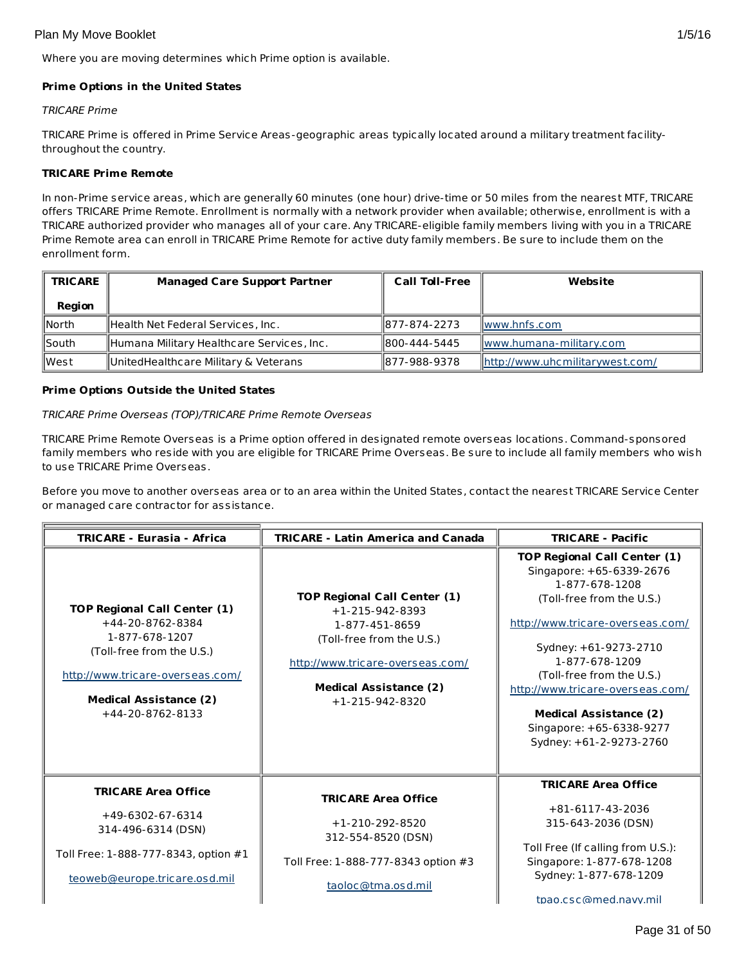Where you are moving determines which Prime option is available.

## **Prime Options in the United States**

## TRICARE Prime

TRICARE Prime is offered in Prime Service Areas-geographic areas typically located around a military treatment facilitythroughout the country.

## **TRICARE Prime Remote**

In non-Prime service areas, which are generally 60 minutes (one hour) drive-time or 50 miles from the nearest MTF, TRICARE offers TRICARE Prime Remote. Enrollment is normally with a network provider when available; otherwise, enrollment is with a TRICARE authorized provider who manages all of your care. Any TRICARE-eligible family members living with you in a TRICARE Prime Remote area can enroll in TRICARE Prime Remote for active duty family members. Be sure to include them on the enrollment form.

| <b>TRICARE</b> | <b>Managed Care Support Partner</b>       | <b>Call Toll-Free</b> | Website                         |
|----------------|-------------------------------------------|-----------------------|---------------------------------|
| Region         |                                           |                       |                                 |
| <b>North</b>   | Health Net Federal Services, Inc.         | 1877-874-2273         | Iwww.hnfs.com                   |
| South          | Humana Military Healthcare Services, Inc. | 1800-444-5445         | www.humana-military.com         |
| <b>l</b> West  | UnitedHealthcare Military & Veterans      | 1877-988-9378         | http://www.uhcmilitarywest.com/ |

## **Prime Options Outside the United States**

## TRICARE Prime Overseas (TOP)/TRICARE Prime Remote Overseas

TRICARE Prime Remote Overseas is a Prime option offered in designated remote overseas locations. Command-sponsored family members who reside with you are eligible for TRICARE Prime Overseas. Be sure to include all family members who wish to use TRICARE Prime Overseas.

Before you move to another overseas area or to an area within the United States, contact the nearest TRICARE Service Center or managed care contractor for assistance.

| <b>TRICARE - Eurasia - Africa</b>                                                                                                                                                                 | <b>TRICARE - Latin America and Canada</b>                                                                                                                                                               | <b>TRICARE - Pacific</b>                                                                                                                                                                                                                                                                                                                               |
|---------------------------------------------------------------------------------------------------------------------------------------------------------------------------------------------------|---------------------------------------------------------------------------------------------------------------------------------------------------------------------------------------------------------|--------------------------------------------------------------------------------------------------------------------------------------------------------------------------------------------------------------------------------------------------------------------------------------------------------------------------------------------------------|
| <b>TOP Regional Call Center (1)</b><br>+44-20-8762-8384<br>1-877-678-1207<br>(Toll-free from the U.S.)<br>http://www.tricare-overseas.com/<br><b>Medical Assistance (2)</b><br>$+44-20-8762-8133$ | <b>TOP Regional Call Center (1)</b><br>$+1 - 215 - 942 - 8393$<br>1-877-451-8659<br>(Toll-free from the U.S.)<br>http://www.tricare-overseas.com/<br><b>Medical Assistance (2)</b><br>$+1-215-942-8320$ | <b>TOP Regional Call Center (1)</b><br>Singapore: +65-6339-2676<br>1-877-678-1208<br>(Toll-free from the U.S.)<br>http://www.tricare-overseas.com/<br>Sydney: +61-9273-2710<br>1-877-678-1209<br>(Toll-free from the U.S.)<br>http://www.tricare-overseas.com/<br><b>Medical Assistance (2)</b><br>Singapore: +65-6338-9277<br>Sydney: +61-2-9273-2760 |
| <b>TRICARE Area Office</b><br>$+49-6302-67-6314$<br>314-496-6314 (DSN)<br>Toll Free: 1-888-777-8343, option #1<br>teoweb@europe.tricare.osd.mil                                                   | <b>TRICARE Area Office</b><br>$+1-210-292-8520$<br>312-554-8520 (DSN)<br>Toll Free: 1-888-777-8343 option #3<br>taoloc@tma.osd.mil                                                                      | <b>TRICARE Area Office</b><br>$+81-6117-43-2036$<br>315-643-2036 (DSN)<br>Toll Free (If calling from U.S.):<br>Singapore: 1-877-678-1208<br>Sydney: 1-877-678-1209<br>tpao.csc@med.navv.mil                                                                                                                                                            |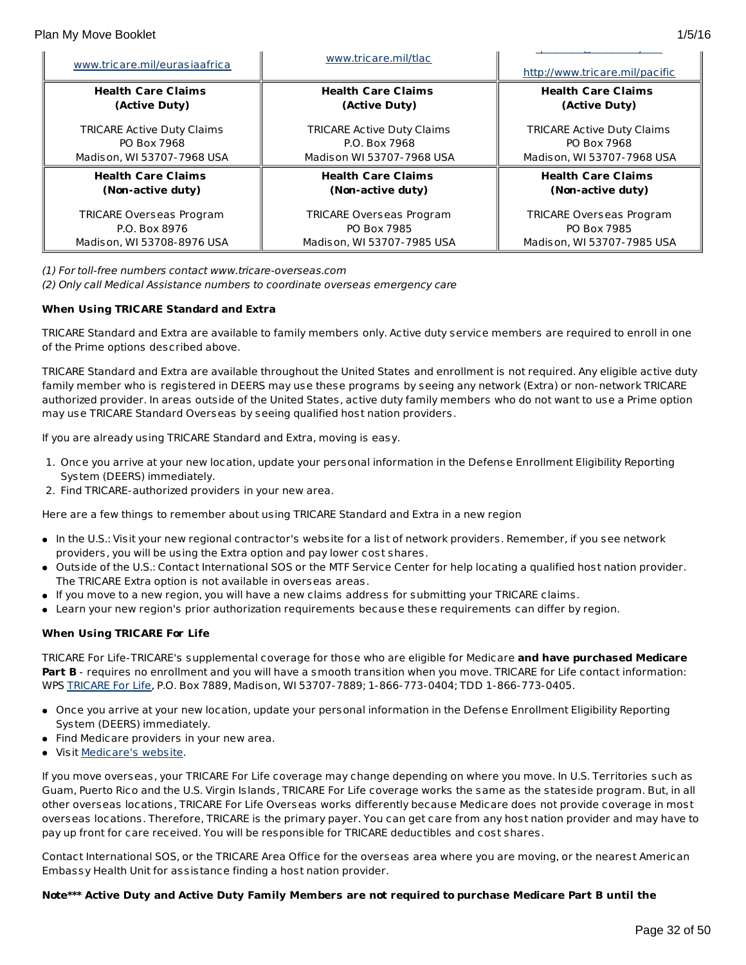| www.tricare.mil/eurasiaafrica     | www.tricare.mil/tlac              | http://www.tricare.mil/pacific    |  |  |
|-----------------------------------|-----------------------------------|-----------------------------------|--|--|
| <b>Health Care Claims</b>         | <b>Health Care Claims</b>         | <b>Health Care Claims</b>         |  |  |
| (Active Duty)                     | (Active Duty)                     | (Active Duty)                     |  |  |
| <b>TRICARE Active Duty Claims</b> | <b>TRICARE Active Duty Claims</b> | <b>TRICARE Active Duty Claims</b> |  |  |
| PO Box 7968                       | P.O. Box 7968                     | PO Box 7968                       |  |  |
| Madison, WI 53707-7968 USA        | Madison WI 53707-7968 USA         | Madison, WI 53707-7968 USA        |  |  |
| <b>Health Care Claims</b>         | <b>Health Care Claims</b>         | <b>Health Care Claims</b>         |  |  |
| (Non-active duty)                 | (Non-active duty)                 | (Non-active duty)                 |  |  |
| <b>TRICARE Overseas Program</b>   | <b>TRICARE Overseas Program</b>   | <b>TRICARE Overseas Program</b>   |  |  |
| P.O. Box 8976                     | PO Box 7985                       | PO Box 7985                       |  |  |
| Madison, WI 53708-8976 USA        | Madison, WI 53707-7985 USA        | Madison, WI 53707-7985 USA        |  |  |

(1) For toll-free numbers contact www.tricare-overseas.com

(2) Only call Medical Assistance numbers to coordinate overseas emergency care

# **When Using TRICARE Standard and Extra**

TRICARE Standard and Extra are available to family members only. Active duty service members are required to enroll in one of the Prime options described above.

TRICARE Standard and Extra are available throughout the United States and enrollment is not required. Any eligible active duty family member who is registered in DEERS may use these programs by seeing any network (Extra) or non-network TRICARE authorized provider. In areas outside of the United States, active duty family members who do not want to use a Prime option may use TRICARE Standard Overseas by seeing qualified host nation providers.

If you are already using TRICARE Standard and Extra, moving is easy.

- 1. Once you arrive at your new location, update your personal information in the Defense Enrollment Eligibility Reporting System (DEERS) immediately.
- 2. Find TRICARE-authorized providers in your new area.

Here are a few things to remember about using TRICARE Standard and Extra in a new region

- In the U.S.: Visit your new regional contractor's website for a list of network providers. Remember, if you see network providers, you will be using the Extra option and pay lower cost shares.
- Outside of the U.S.: Contact International SOS or the MTF Service Center for help locating a qualified host nation provider. The TRICARE Extra option is not available in overseas areas.
- If you move to a new region, you will have a new claims address for submitting your TRICARE claims.
- Learn your new region's prior authorization requirements because these requirements can differ by region.

# **When Using TRICARE For Life**

TRICARE For Life-TRICARE's supplemental coverage for those who are eligible for Medicare **and have purchased Medicare Part B** - requires no enrollment and you will have a smooth transition when you move. TRICARE for Life contact information: WPS [TRICARE](https://www.tricare4u.com/apps-portal/tricareapps-app/static/) For Life, P.O. Box 7889, Madison, WI 53707-7889; 1-866-773-0404; TDD 1-866-773-0405.

- Once you arrive at your new location, update your personal information in the Defense Enrollment Eligibility Reporting System (DEERS) immediately.
- Find Medicare providers in your new area.
- Visit [Medicare's](http://www.medicare.gov/) website.

If you move overseas, your TRICARE For Life coverage may change depending on where you move. In U.S. Territories such as Guam, Puerto Rico and the U.S. Virgin Islands, TRICARE For Life coverage works the same as the stateside program. But, in all other overseas locations, TRICARE For Life Overseas works differently because Medicare does not provide coverage in most overseas locations. Therefore, TRICARE is the primary payer. You can get care from any host nation provider and may have to pay up front for care received. You will be responsible for TRICARE deductibles and cost shares.

Contact International SOS, or the TRICARE Area Office for the overseas area where you are moving, or the nearest American Embassy Health Unit for assistance finding a host nation provider.

# Note\*\*\* Active Duty and Active Duty Family Members are not required to purchase Medicare Part B until the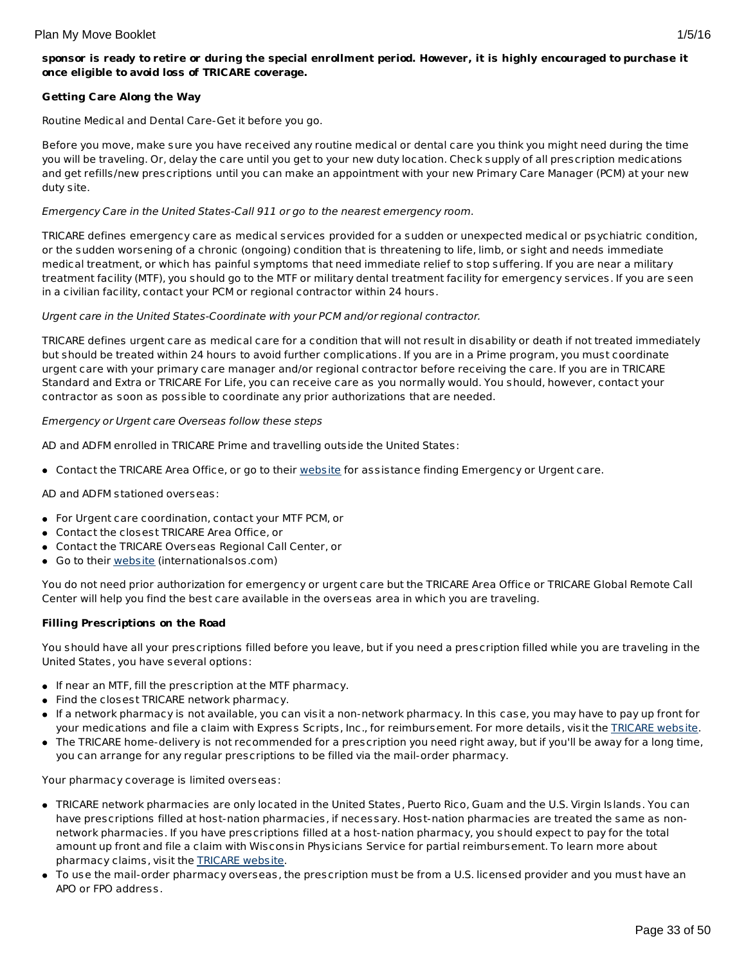# sponsor is ready to retire or during the special enrollment period. However, it is highly encouraged to purchase it **once eligible to avoid loss of TRICARE coverage.**

# **Getting Care Along the Way**

Routine Medical and Dental Care-Get it before you go.

Before you move, make sure you have received any routine medical or dental care you think you might need during the time you will be traveling. Or, delay the care until you get to your new duty location. Check supply of all prescription medications and get refills/new prescriptions until you can make an appointment with your new Primary Care Manager (PCM) at your new duty site.

## Emergency Care in the United States-Call 911 or go to the nearest emergency room.

TRICARE defines emergency care as medical services provided for a sudden or unexpected medical or psychiatric condition, or the sudden worsening of a chronic (ongoing) condition that is threatening to life, limb, or sight and needs immediate medical treatment, or which has painful symptoms that need immediate relief to stop suffering. If you are near a military treatment facility (MTF), you should go to the MTF or military dental treatment facility for emergency services. If you are seen in a civilian facility, contact your PCM or regional contractor within 24 hours.

## Urgent care in the United States-Coordinate with your PCM and/or regional contractor.

TRICARE defines urgent care as medical care for a condition that will not result in disability or death if not treated immediately but should be treated within 24 hours to avoid further complications. If you are in a Prime program, you must coordinate urgent care with your primary care manager and/or regional contractor before receiving the care. If you are in TRICARE Standard and Extra or TRICARE For Life, you can receive care as you normally would. You should, however, contact your contractor as soon as possible to coordinate any prior authorizations that are needed.

## Emergency or Urgent care Overseas follow these steps

AD and ADFM enrolled in TRICARE Prime and travelling outside the United States:

• Contact the TRICARE Area Office, or go to their [website](http://www.internationalsos.com/en/) for assistance finding Emergency or Urgent care.

AD and ADFM stationed overseas:

- For Urgent care coordination, contact your MTF PCM, or
- Contact the closest TRICARE Area Office, or
- Contact the TRICARE Overseas Regional Call Center, or
- Go to their [website](http://www.internationalsos.com/en/) (internationalsos.com)

You do not need prior authorization for emergency or urgent care but the TRICARE Area Office or TRICARE Global Remote Call Center will help you find the best care available in the overseas area in which you are traveling.

# **Filling Prescriptions on the Road**

You should have all your prescriptions filled before you leave, but if you need a prescription filled while you are traveling in the United States, you have several options:

- If near an MTF, fill the prescription at the MTF pharmacy.
- Find the closest TRICARE network pharmacy.
- If a network pharmacy is not available, you can visit a non-network pharmacy. In this case, you may have to pay up front for your medications and file a claim with Express Scripts, Inc., for reimbursement. For more details, visit the [TRICARE](http://www.tricare.mil/) website.
- The TRICARE home-delivery is not recommended for a prescription you need right away, but if you'll be away for a long time, you can arrange for any regular prescriptions to be filled via the mail-order pharmacy.

Your pharmacy coverage is limited overseas:

- TRICARE network pharmacies are only located in the United States, Puerto Rico, Guam and the U.S. Virgin Islands. You can have prescriptions filled at host-nation pharmacies, if necessary. Host-nation pharmacies are treated the same as nonnetwork pharmacies. If you have prescriptions filled at a host-nation pharmacy, you should expect to pay for the total amount up front and file a claim with Wisconsin Physicians Service for partial reimbursement. To learn more about pharmacy claims, visit the [TRICARE](http://www.tricare.mil/) website.
- To use the mail-order pharmacy overseas, the prescription must be from a U.S. licensed provider and you must have an APO or FPO address.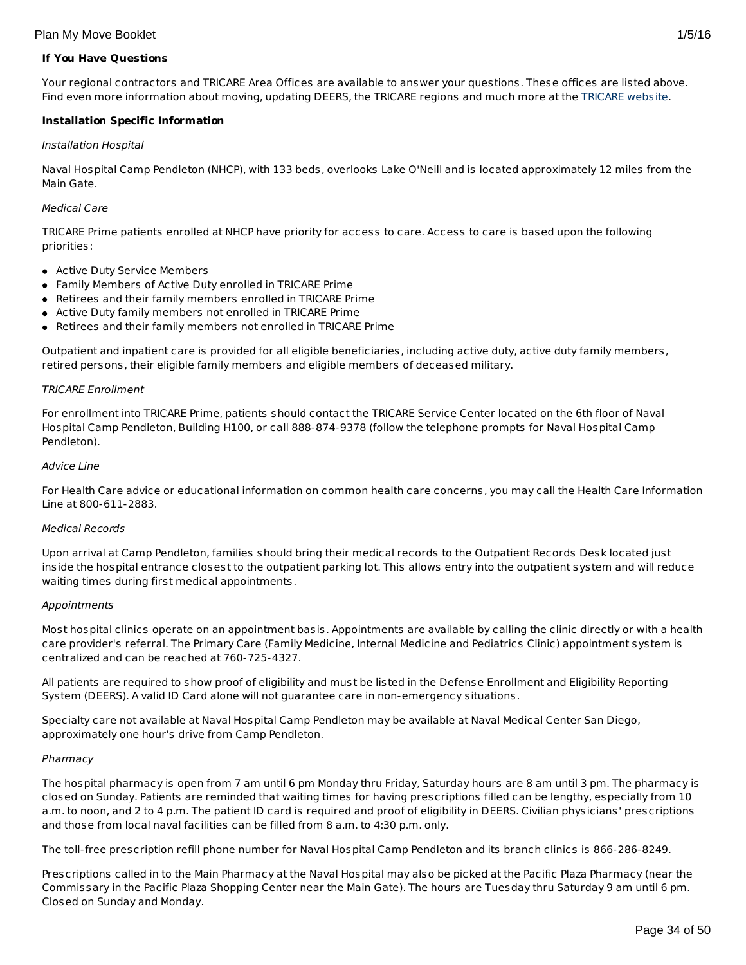## **If You Have Questions**

Your regional contractors and TRICARE Area Offices are available to answer your questions. These offices are listed above. Find even more information about moving, updating DEERS, the TRICARE regions and much more at the [TRICARE](http://www.tricare.mil/) website.

## **Installation Specific Information**

## Installation Hospital

Naval Hospital Camp Pendleton (NHCP), with 133 beds, overlooks Lake O'Neill and is located approximately 12 miles from the Main Gate.

## Medical Care

TRICARE Prime patients enrolled at NHCP have priority for access to care. Access to care is based upon the following priorities:

- **Active Duty Service Members**
- Family Members of Active Duty enrolled in TRICARE Prime
- Retirees and their family members enrolled in TRICARE Prime
- Active Duty family members not enrolled in TRICARE Prime
- Retirees and their family members not enrolled in TRICARE Prime

Outpatient and inpatient care is provided for all eligible beneficiaries, including active duty, active duty family members, retired persons, their eligible family members and eligible members of deceased military.

## TRICARE Enrollment

For enrollment into TRICARE Prime, patients should contact the TRICARE Service Center located on the 6th floor of Naval Hospital Camp Pendleton, Building H100, or call 888-874-9378 (follow the telephone prompts for Naval Hospital Camp Pendleton).

## Advice Line

For Health Care advice or educational information on common health care concerns, you may call the Health Care Information Line at 800-611-2883.

## Medical Records

Upon arrival at Camp Pendleton, families should bring their medical records to the Outpatient Records Desk located just inside the hospital entrance closest to the outpatient parking lot. This allows entry into the outpatient system and will reduce waiting times during first medical appointments.

## Appointments

Most hospital clinics operate on an appointment basis. Appointments are available by calling the clinic directly or with a health care provider's referral. The Primary Care (Family Medicine, Internal Medicine and Pediatrics Clinic) appointment system is centralized and can be reached at 760-725-4327.

All patients are required to show proof of eligibility and must be listed in the Defense Enrollment and Eligibility Reporting System (DEERS). A valid ID Card alone will not guarantee care in non-emergency situations.

Specialty care not available at Naval Hospital Camp Pendleton may be available at Naval Medical Center San Diego, approximately one hour's drive from Camp Pendleton.

## Pharmacy

The hospital pharmacy is open from 7 am until 6 pm Monday thru Friday, Saturday hours are 8 am until 3 pm. The pharmacy is closed on Sunday. Patients are reminded that waiting times for having prescriptions filled can be lengthy, especially from 10 a.m. to noon, and 2 to 4 p.m. The patient ID card is required and proof of eligibility in DEERS. Civilian physicians' prescriptions and those from local naval facilities can be filled from 8 a.m. to 4:30 p.m. only.

The toll-free prescription refill phone number for Naval Hospital Camp Pendleton and its branch clinics is 866-286-8249.

Prescriptions called in to the Main Pharmacy at the Naval Hospital may also be picked at the Pacific Plaza Pharmacy (near the Commissary in the Pacific Plaza Shopping Center near the Main Gate). The hours are Tuesday thru Saturday 9 am until 6 pm. Closed on Sunday and Monday.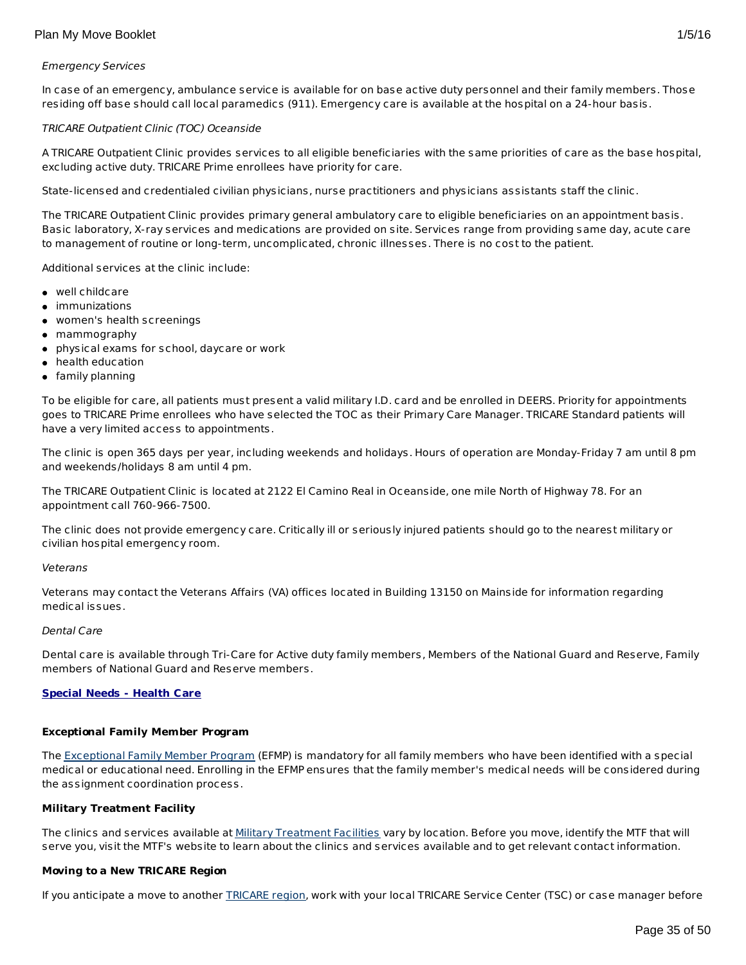## Emergency Services

In case of an emergency, ambulance service is available for on base active duty personnel and their family members. Those residing off base should call local paramedics (911). Emergency care is available at the hospital on a 24-hour basis.

## TRICARE Outpatient Clinic (TOC) Oceanside

A TRICARE Outpatient Clinic provides services to all eligible beneficiaries with the same priorities of care as the base hospital, excluding active duty. TRICARE Prime enrollees have priority for care.

State-licensed and credentialed civilian physicians, nurse practitioners and physicians assistants staff the clinic.

The TRICARE Outpatient Clinic provides primary general ambulatory care to eligible beneficiaries on an appointment basis. Basic laboratory, X-ray services and medications are provided on site. Services range from providing same day, acute care to management of routine or long-term, uncomplicated, chronic illnesses. There is no cost to the patient.

Additional services at the clinic include:

- well childcare
- immunizations
- women's health screenings
- mammography
- physical exams for school, daycare or work
- health education
- **•** family planning

To be eligible for care, all patients must present a valid military I.D. card and be enrolled in DEERS. Priority for appointments goes to TRICARE Prime enrollees who have selected the TOC as their Primary Care Manager. TRICARE Standard patients will have a very limited access to appointments.

The clinic is open 365 days per year, including weekends and holidays. Hours of operation are Monday-Friday 7 am until 8 pm and weekends/holidays 8 am until 4 pm.

The TRICARE Outpatient Clinic is located at 2122 El Camino Real in Oceanside, one mile North of Highway 78. For an appointment call 760-966-7500.

The clinic does not provide emergency care. Critically ill or seriously injured patients should go to the nearest military or civilian hospital emergency room.

## Veterans

Veterans may contact the Veterans Affairs (VA) offices located in Building 13150 on Mainside for information regarding medical issues.

## Dental Care

Dental care is available through Tri-Care for Active duty family members, Members of the National Guard and Reserve, Family members of National Guard and Reserve members.

## **Special Needs - Health Care**

## **Exceptional Family Member Program**

The [Exceptional](http://www.militaryhomefront.dod.mil/MOS/f?p=MHF:HOME1:0::::SID:20.40.500.570.0.0.0.0.0) Family Member Program (EFMP) is mandatory for all family members who have been identified with a special medical or educational need. Enrolling in the EFMP ensures that the family member's medical needs will be considered during the assignment coordination process.

## **Military Treatment Facility**

The clinics and services available at Military [Treatment](http://tricare.mil/mtf/main1.aspx) Facilities vary by location. Before you move, identify the MTF that will serve you, visit the MTF's website to learn about the clinics and services available and to get relevant contact information.

## **Moving to a New TRICARE Region**

If you anticipate a move to another **[TRICARE](http://www.tricare.mil/mhshome.aspx) region**, work with your local TRICARE Service Center (TSC) or case manager before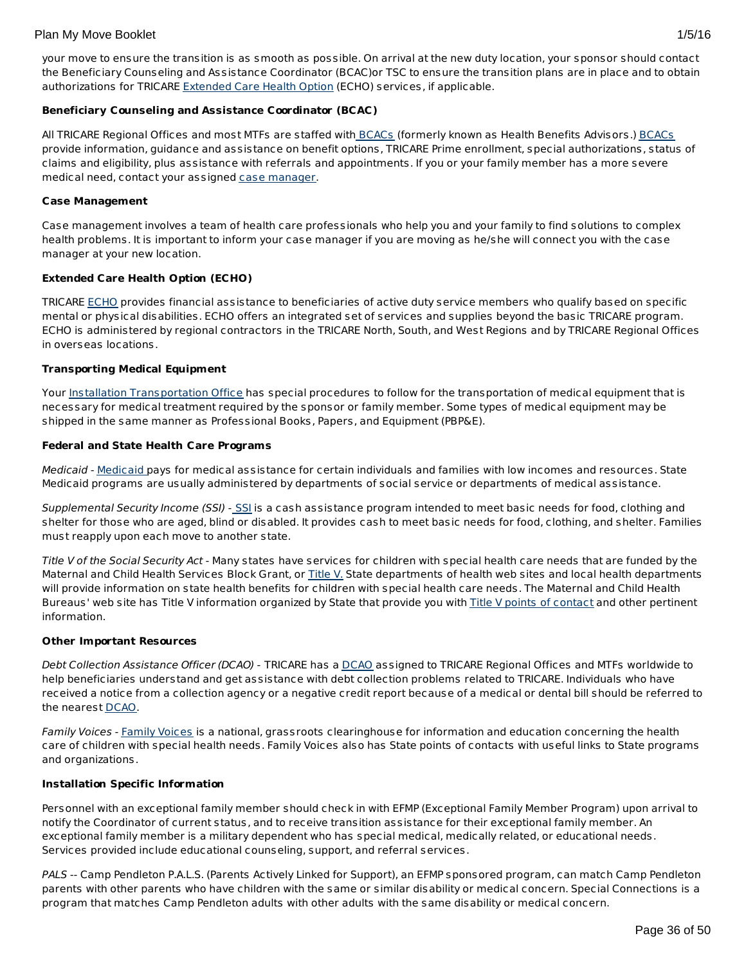## Plan My Move Booklet 2008 2008 2012 2022 2023 2024 2022 2032 2040 205/16 205/206 205/206 205/206 205/206 205/20

your move to ensure the transition is as smooth as possible. On arrival at the new duty location, your sponsor should contact the Beneficiary Counseling and Assistance Coordinator (BCAC)or TSC to ensure the transition plans are in place and to obtain authorizations for TRICARE [Extended](http://tricare.mil/mybenefit/ProfileFilter.do?puri=%2Fhome%2Foverview%2FSpecialPrograms%2FECHO) Care Health Option (ECHO) services, if applicable.

# **Beneficiary Counseling and Assistance Coordinator (BCAC)**

All TRICARE Regional Offices and most MTFs are staffed with [BCACs](http://www.tricare.mil/bcacdcao/) (formerly known as Health Benefits Advisors.) BCACs provide information, guidance and assistance on benefit options, TRICARE Prime enrollment, special authorizations, status of claims and eligibility, plus assistance with referrals and appointments. If you or your family member has a more severe medical need, contact your assigned case [manager](http://www.militaryhomefront.dod.mil/tf/efmp).

## **Case Management**

Case management involves a team of health care professionals who help you and your family to find solutions to complex health problems. It is important to inform your case manager if you are moving as he/she will connect you with the case manager at your new location.

## **Extended Care Health Option (ECHO)**

TRICARE [ECHO](http://tricare.mil/mybenefit/ProfileFilter.do?puri=%2Fhome%2Foverview%2FSpecialPrograms%2FECHO) provides financial assistance to beneficiaries of active duty service members who qualify based on specific mental or physical disabilities. ECHO offers an integrated set of services and supplies beyond the basic TRICARE program. ECHO is administered by regional contractors in the TRICARE North, South, and West Regions and by TRICARE Regional Offices in overseas locations.

## **Transporting Medical Equipment**

Your Installation [Transportation](http://www.militaryinstallations.dod.mil/) Office has special procedures to follow for the transportation of medical equipment that is necessary for medical treatment required by the sponsor or family member. Some types of medical equipment may be shipped in the same manner as Professional Books, Papers, and Equipment (PBP&E).

## **Federal and State Health Care Programs**

[Medicaid](http://www.militaryhomefront.dod.mil/tf/efmp/resources) - Medicaid pays for medical assistance for certain individuals and families with low incomes and resources. State Medicaid programs are usually administered by departments of social service or departments of medical assistance.

Supplemental Security Income ([SSI](http://www.socialsecurity.gov/pgm/ssi.htm)) - SSI is a cash assistance program intended to meet basic needs for food, clothing and shelter for those who are aged, blind or disabled. It provides cash to meet basic needs for food, clothing, and shelter. Families must reapply upon each move to another state.

Title V of the Social Security Act - Many states have services for children with special health care needs that are funded by the Maternal and Child Health Services Block Grant, or [Title](http://www.socialsecurity.gov/OP_Home/ssact/title05/0500.htm) V. State departments of health web sites and local health departments will provide information on state health benefits for children with special health care needs. The Maternal and Child Health Bureaus' web site has Title V information organized by State that provide you with Title V points of [contact](https://perfdata.hrsa.gov/mchb/TVISReports/ContactInfo/StateContactSearch.aspx) and other pertinent information.

## **Other Important Resources**

Debt Collection Assistance Officer (DCAO) - TRICARE has a [DCAO](http://www.tricare.mil/bcacdcao/) assigned to TRICARE Regional Offices and MTFs worldwide to help beneficiaries understand and get assistance with debt collection problems related to TRICARE. Individuals who have received a notice from a collection agency or a negative credit report because of a medical or dental bill should be referred to the nearest [DCAO](http://www.tricare.mil/bcacdcao/).

Family Voices - Family [Voices](http://www.familyvoices.org) is a national, grassroots clearinghouse for information and education concerning the health care of children with special health needs. Family Voices also has State points of contacts with useful links to State programs and organizations.

## **Installation Specific Information**

Personnel with an exceptional family member should check in with EFMP (Exceptional Family Member Program) upon arrival to notify the Coordinator of current status, and to receive transition assistance for their exceptional family member. An exceptional family member is a military dependent who has special medical, medically related, or educational needs. Services provided include educational counseling, support, and referral services.

PALS -- Camp Pendleton P.A.L.S. (Parents Actively Linked for Support), an EFMP sponsored program, can match Camp Pendleton parents with other parents who have children with the same or similar disability or medical concern. Special Connections is a program that matches Camp Pendleton adults with other adults with the same disability or medical concern.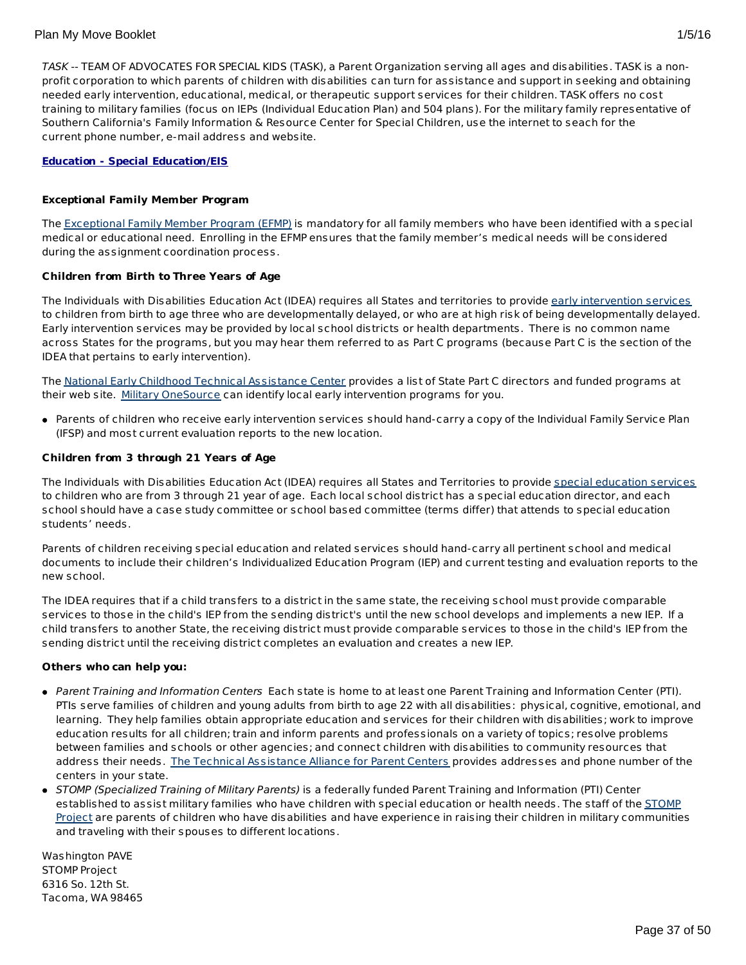TASK -- TEAM OF ADVOCATES FOR SPECIAL KIDS (TASK), a Parent Organization serving all ages and disabilities. TASK is a nonprofit corporation to which parents of children with disabilities can turn for assistance and support in seeking and obtaining needed early intervention, educational, medical, or therapeutic support services for their children. TASK offers no cost training to military families (focus on IEPs (Individual Education Plan) and 504 plans). For the military family representative of Southern California's Family Information & Resource Center for Special Children, use the internet to seach for the current phone number, e-mail address and website.

## **Education - Special Education/EIS**

## **Exceptional Family Member Program**

The [Exceptional](http://www.militaryhomefront.dod.mil/tf/efmp) Family Member Program (EFMP) is mandatory for all family members who have been identified with a special medical or educational need. Enrolling in the EFMP ensures that the family member's medical needs will be considered during the assignment coordination process.

## **Children from Birth to Three Years of Age**

The Individuals with Disabilities Education Act (IDEA) requires all States and territories to provide early [intervention](http://www.militaryhomefront.dod.mil/tf/efmp) services to children from birth to age three who are developmentally delayed, or who are at high risk of being developmentally delayed. Early intervention services may be provided by local school districts or health departments. There is no common name across States for the programs, but you may hear them referred to as Part C programs (because Part C is the section of the IDEA that pertains to early intervention).

The National Early Childhood Technical [Assistance](http://www.nectac.org/) Center provides a list of State Part C directors and funded programs at their web site. Military [OneSource](http://www.militaryonesource.mil) can identify local early intervention programs for you.

Parents of children who receive early intervention services should hand-carry a copy of the Individual Family Service Plan (IFSP) and most current evaluation reports to the new location.

## **Children from 3 through 21 Years of Age**

The Individuals with Disabilities Education Act (IDEA) requires all States and Territories to provide special [education](http://www.militaryhomefront.dod.mil/tf/efmp) services to children who are from 3 through 21 year of age. Each local school district has a special education director, and each school should have a case study committee or school based committee (terms differ) that attends to special education students' needs.

Parents of children receiving special education and related services should hand-carry all pertinent school and medical documents to include their children's Individualized Education Program (IEP) and current testing and evaluation reports to the new school.

The IDEA requires that if a child transfers to a district in the same state, the receiving school must provide comparable services to those in the child's IEP from the sending district's until the new school develops and implements a new IEP. If a child transfers to another State, the receiving district must provide comparable services to those in the child's IEP from the sending district until the receiving district completes an evaluation and creates a new IEP.

## **Others who can help you:**

- Parent Training and Information Centers Each state is home to at least one Parent Training and Information Center (PTI). PTIs serve families of children and young adults from birth to age 22 with all disabilities: physical, cognitive, emotional, and learning. They help families obtain appropriate education and services for their children with disabilities; work to improve education results for all children; train and inform parents and professionals on a variety of topics; resolve problems between families and schools or other agencies; and connect children with disabilities to community resources that address their needs. The Technical [Assistance](http://www.taalliance.org) Alliance for Parent Centers provides addresses and phone number of the centers in your state.
- STOMP (Specialized Training of Military Parents) is a federally funded Parent Training and Information (PTI) Center [established](http://www.stompproject.org/) to assist military families who have children with special education or health needs. The staff of the STOMP Project are parents of children who have disabilities and have experience in raising their children in military communities and traveling with their spouses to different locations.

Washington PAVE STOMP Project 6316 So. 12th St. Tacoma, WA 98465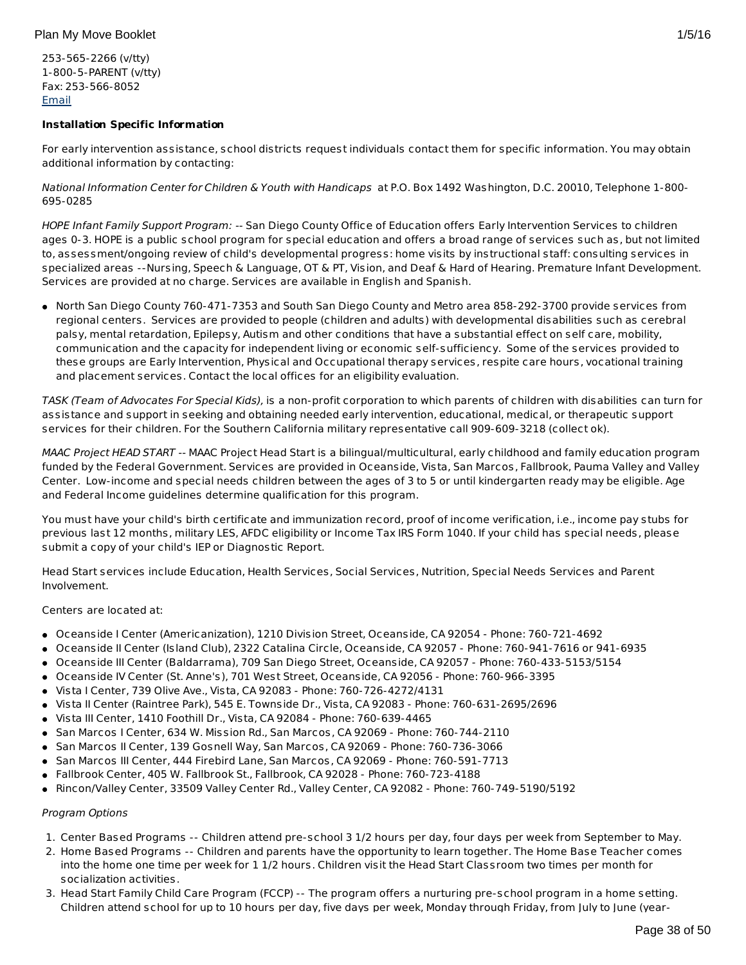253-565-2266 (v/tty) 1-800-5-PARENT (v/tty) Fax: 253-566-8052 [Email](http://apps.militaryonesource.mil/MOS/f?p=108:5:0::NO::P5_APP_NAME,P5_MSG_TYPE,P5_EID:STOMP Project,Consultant,1000001266)

# **Installation Specific Information**

For early intervention assistance, school districts request individuals contact them for specific information. You may obtain additional information by contacting:

National Information Center for Children & Youth with Handicaps at P.O. Box 1492 Washington, D.C. 20010, Telephone 1-800- 695-0285

HOPE Infant Family Support Program: -- San Diego County Office of Education offers Early Intervention Services to children ages 0-3. HOPE is a public school program for special education and offers a broad range of services such as, but not limited to, assessment/ongoing review of child's developmental progress: home visits by instructional staff: consulting services in specialized areas --Nursing, Speech & Language, OT & PT, Vision, and Deaf & Hard of Hearing. Premature Infant Development. Services are provided at no charge. Services are available in English and Spanish.

North San Diego County 760-471-7353 and South San Diego County and Metro area 858-292-3700 provide services from regional centers. Services are provided to people (children and adults) with developmental disabilities such as cerebral palsy, mental retardation, Epilepsy, Autism and other conditions that have a substantial effect on self care, mobility, communication and the capacity for independent living or economic self-sufficiency. Some of the services provided to these groups are Early Intervention, Physical and Occupational therapy services, respite care hours, vocational training and placement services. Contact the local offices for an eligibility evaluation.

TASK (Team of Advocates For Special Kids), is a non-profit corporation to which parents of children with disabilities can turn for assistance and support in seeking and obtaining needed early intervention, educational, medical, or therapeutic support services for their children. For the Southern California military representative call 909-609-3218 (collect ok).

MAAC Project HEAD START -- MAAC Project Head Start is a bilingual/multicultural, early childhood and family education program funded by the Federal Government. Services are provided in Oceanside, Vista, San Marcos, Fallbrook, Pauma Valley and Valley Center. Low-income and special needs children between the ages of 3 to 5 or until kindergarten ready may be eligible. Age and Federal Income guidelines determine qualification for this program.

You must have your child's birth certificate and immunization record, proof of income verification, i.e., income pay stubs for previous last 12 months, military LES, AFDC eligibility or Income Tax IRS Form 1040. If your child has special needs, please submit a copy of your child's IEP or Diagnostic Report.

Head Start services include Education, Health Services, Social Services, Nutrition, Special Needs Services and Parent Involvement.

Centers are located at:

- Oceanside I Center (Americanization), 1210 Division Street, Oceanside, CA 92054 Phone: 760-721-4692
- Oceanside II Center (Island Club), 2322 Catalina Circle, Oceanside, CA 92057 Phone: 760-941-7616 or 941-6935
- Oceanside III Center (Baldarrama), 709 San Diego Street, Oceanside, CA 92057 Phone: 760-433-5153/5154
- Oceanside IV Center (St. Anne's), 701 West Street, Oceanside, CA 92056 Phone: 760-966-3395
- Vista I Center, 739 Olive Ave., Vista, CA 92083 Phone: 760-726-4272/4131
- Vista II Center (Raintree Park), 545 E. Townside Dr., Vista, CA 92083 Phone: 760-631-2695/2696
- Vista III Center, 1410 Foothill Dr., Vista, CA 92084 Phone: 760-639-4465
- **San Marcos I Center, 634 W. Mission Rd., San Marcos, CA 92069 Phone: 760-744-2110**
- San Marcos II Center, 139 Gosnell Way, San Marcos, CA 92069 Phone: 760-736-3066
- San Marcos III Center, 444 Firebird Lane, San Marcos, CA 92069 Phone: 760-591-7713
- Fallbrook Center, 405 W. Fallbrook St., Fallbrook, CA 92028 Phone: 760-723-4188
- Rincon/Valley Center, 33509 Valley Center Rd., Valley Center, CA 92082 Phone: 760-749-5190/5192

# Program Options

- 1. Center Based Programs -- Children attend pre-school 3 1/2 hours per day, four days per week from September to May.
- 2. Home Based Programs -- Children and parents have the opportunity to learn together. The Home Base Teacher comes into the home one time per week for 1 1/2 hours. Children visit the Head Start Classroom two times per month for socialization activities.
- 3. Head Start Family Child Care Program (FCCP) -- The program offers a nurturing pre-school program in a home setting. Children attend school for up to 10 hours per day, five days per week, Monday through Friday, from July to June (year-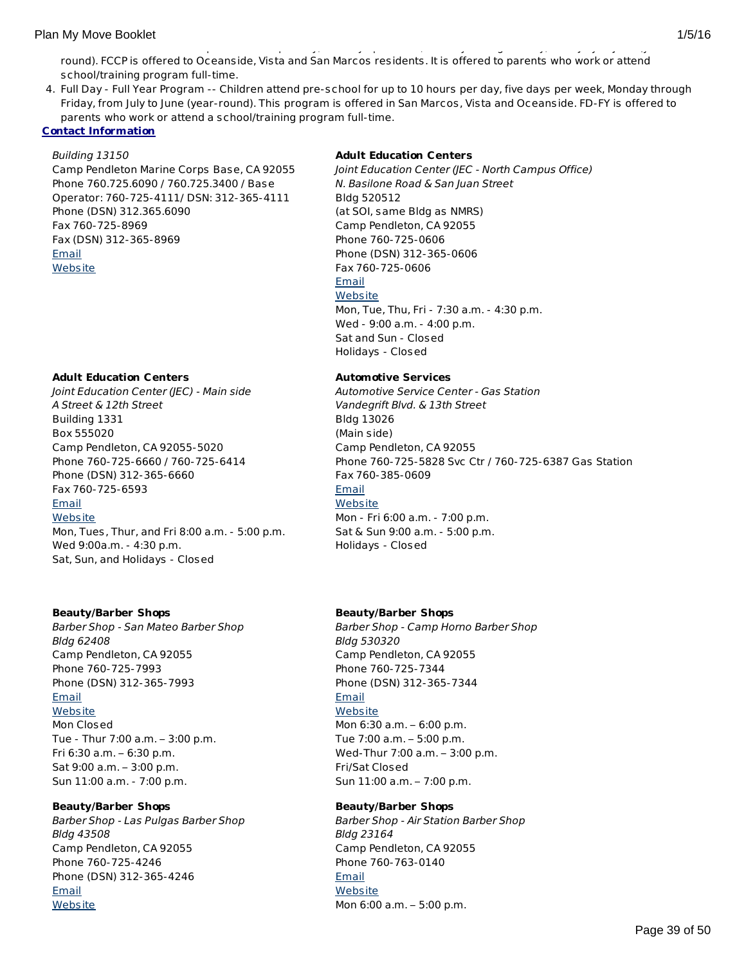4. Full Day - Full Year Program -- Children attend pre-school for up to 10 hours per day, five days per week, Monday through Friday, from July to June (year-round). This program is offered in San Marcos, Vista and Oceanside. FD-FY is offered to parents who work or attend a school/training program full-time.

## **Contact Information**

## Building 13150

Camp Pendleton Marine Corps Base, CA 92055 Phone 760.725.6090 / 760.725.3400 / Base Operator: 760-725-4111/ DSN: 312-365-4111 Phone (DSN) 312.365.6090 Fax 760-725-8969 Fax (DSN) 312-365-8969 [Email](http://apps.militaryonesource.mil/MOS/f?p=AMS:5:0::::P5_APP_NAME,P5_MSG_TYPE,P5_EID:Plan My Move,Installation Address,87489) **[Website](http://mccscp.com/)** 

## **Adult Education Centers**

Joint Education Center (JEC) - Main side A Street & 12th Street Building 1331 Box 555020 Camp Pendleton, CA 92055-5020 Phone 760-725-6660 / 760-725-6414 Phone (DSN) 312-365-6660 Fax 760-725-6593 **[Email](http://apps.militaryonesource.mil/MOS/f?p=AMS:5:0::::P5_APP_NAME,P5_MSG_TYPE,P5_EID:Plan My Move,Joint Education Center (JEC) - Main side,91301) [Website](http://mccscp.com/jec)** Mon, Tues, Thur, and Fri 8:00 a.m. - 5:00 p.m. Wed 9:00a.m. - 4:30 p.m. Sat, Sun, and Holidays - Closed

## **Beauty/Barber Shops**

Barber Shop - San Mateo Barber Shop Bldg 62408 Camp Pendleton, CA 92055 Phone 760-725-7993 Phone (DSN) 312-365-7993 [Email](http://apps.militaryonesource.mil/MOS/f?p=AMS:5:0::::P5_APP_NAME,P5_MSG_TYPE,P5_EID:Plan My Move,Barber Shop - San Mateo Barber Shop,1000009236) **[Website](http://www.mccscp.com/services)** Mon Closed Tue - Thur 7:00 a.m. – 3:00 p.m. Fri 6:30 a.m. – 6:30 p.m. Sat 9:00 a.m. – 3:00 p.m. Sun 11:00 a.m. - 7:00 p.m.

# **Beauty/Barber Shops**

Barber Shop - Las Pulgas Barber Shop Bldg 43508 Camp Pendleton, CA 92055 Phone 760-725-4246 Phone (DSN) 312-365-4246 [Email](http://apps.militaryonesource.mil/MOS/f?p=AMS:5:0::::P5_APP_NAME,P5_MSG_TYPE,P5_EID:Plan My Move,Barber Shop - Las Pulgas Barber Shop,1000009234) **[Website](http://www.mccscp.com/services)** 

## **Adult Education Centers**

Joint Education Center (JEC - North Campus Office) N. Basilone Road & San Juan Street Bldg 520512 (at SOI, same Bldg as NMRS) Camp Pendleton, CA 92055 Phone 760-725-0606 Phone (DSN) 312-365-0606 Fax 760-725-0606 [Email](http://apps.militaryonesource.mil/MOS/f?p=AMS:5:0::::P5_APP_NAME,P5_MSG_TYPE,P5_EID:Plan My Move,Joint Education Center (JEC - North Campus Office),91302) **[Website](http://mccscp.com/jec)** Mon, Tue, Thu, Fri - 7:30 a.m. - 4:30 p.m. Wed - 9:00 a.m. - 4:00 p.m. Sat and Sun - Closed Holidays - Closed

## **Automotive Services**

Automotive Service Center - Gas Station Vandegrift Blvd. & 13th Street Bldg 13026 (Main side) Camp Pendleton, CA 92055 Phone 760-725-5828 Svc Ctr / 760-725-6387 Gas Station Fax 760-385-0609 [Email](http://apps.militaryonesource.mil/MOS/f?p=AMS:5:0::::P5_APP_NAME,P5_MSG_TYPE,P5_EID:Plan My Move,Automotive Service Center - Gas Station,199066) **[Website](http://mccscp.com/automotive)** Mon - Fri 6:00 a.m. - 7:00 p.m. Sat & Sun 9:00 a.m. - 5:00 p.m. Holidays - Closed

# **Beauty/Barber Shops**

Barber Shop - Camp Horno Barber Shop Bldg 530320 Camp Pendleton, CA 92055 Phone 760-725-7344 Phone (DSN) 312-365-7344 [Email](http://apps.militaryonesource.mil/MOS/f?p=AMS:5:0::::P5_APP_NAME,P5_MSG_TYPE,P5_EID:Plan My Move,Barber Shop - Camp Horno Barber Shop,1000009235) **[Website](http://www.mccscp.com/services)** Mon 6:30 a.m. – 6:00 p.m. Tue 7:00 a.m. – 5:00 p.m. Wed-Thur 7:00 a.m. – 3:00 p.m. Fri/Sat Closed

Sun 11:00 a.m. – 7:00 p.m.

# **Beauty/Barber Shops**

Barber Shop - Air Station Barber Shop Bldg 23164 Camp Pendleton, CA 92055 Phone 760-763-0140 [Email](http://apps.militaryonesource.mil/MOS/f?p=AMS:5:0::::P5_APP_NAME,P5_MSG_TYPE,P5_EID:Plan My Move,Barber Shop - Air Station Barber Shop,1000009233) **[Website](http://www.mccscp.com/services)** Mon 6:00 a.m. – 5:00 p.m.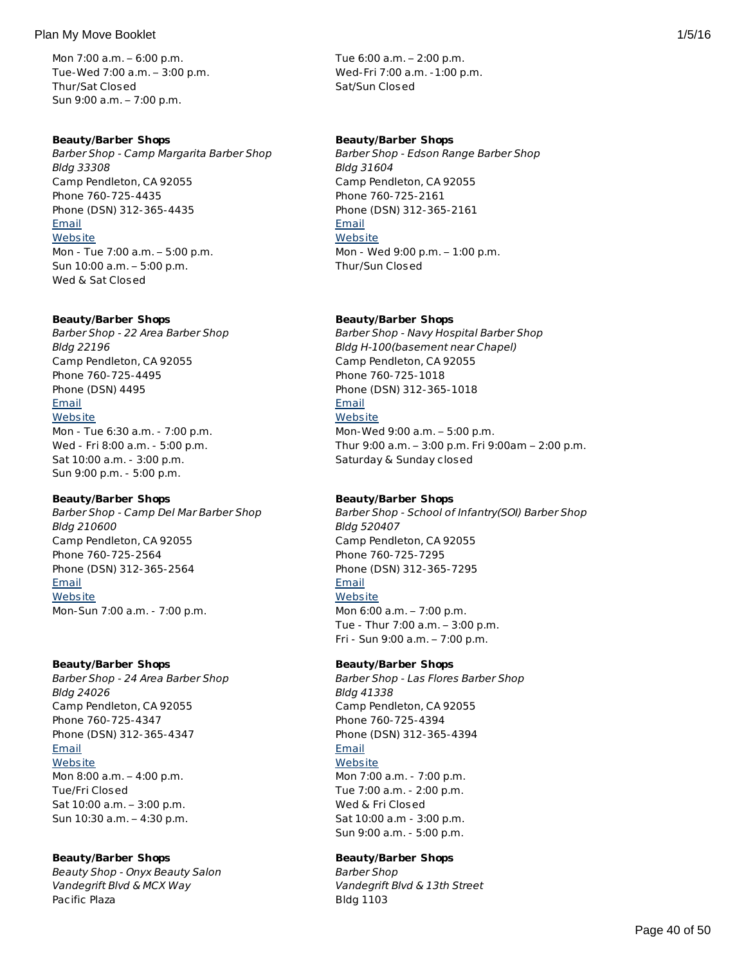Mon 7:00 a.m. – 6:00 p.m. Tue-Wed 7:00 a.m. – 3:00 p.m. Thur/Sat Closed Sun 9:00 a.m. – 7:00 p.m.

## **Beauty/Barber Shops**

Barber Shop - Camp Margarita Barber Shop Bldg 33308 Camp Pendleton, CA 92055 Phone 760-725-4435 Phone (DSN) 312-365-4435 [Email](http://apps.militaryonesource.mil/MOS/f?p=AMS:5:0::::P5_APP_NAME,P5_MSG_TYPE,P5_EID:Plan My Move,Barber Shop - Camp Margarita Barber Shop,1000009232) **[Website](http://www.mccscp.com/services)** Mon - Tue 7:00 a.m. – 5:00 p.m. Sun 10:00 a.m. – 5:00 p.m. Wed & Sat Closed

## **Beauty/Barber Shops**

Barber Shop - 22 Area Barber Shop Bldg 22196 Camp Pendleton, CA 92055 Phone 760-725-4495 Phone (DSN) 4495 **[Email](http://apps.militaryonesource.mil/MOS/f?p=AMS:5:0::::P5_APP_NAME,P5_MSG_TYPE,P5_EID:Plan My Move,Barber Shop - 22 Area Barber Shop,1000009230) [Website](http://www.mccscp.com/services)** Mon - Tue 6:30 a.m. - 7:00 p.m. Wed - Fri 8:00 a.m. - 5:00 p.m.

Sat 10:00 a.m. - 3:00 p.m. Sun 9:00 p.m. - 5:00 p.m. **Beauty/Barber Shops**

# Barber Shop - Camp Del Mar Barber Shop Bldg 210600 Camp Pendleton, CA 92055 Phone 760-725-2564 Phone (DSN) 312-365-2564 [Email](http://apps.militaryonesource.mil/MOS/f?p=AMS:5:0::::P5_APP_NAME,P5_MSG_TYPE,P5_EID:Plan My Move,Barber Shop - Camp Del Mar Barber Shop,1000009237) **[Website](http://www.mccscp.com/services)** Mon-Sun 7:00 a.m. - 7:00 p.m.

## **Beauty/Barber Shops**

Barber Shop - 24 Area Barber Shop Bldg 24026 Camp Pendleton, CA 92055 Phone 760-725-4347 Phone (DSN) 312-365-4347 [Email](http://apps.militaryonesource.mil/MOS/f?p=AMS:5:0::::P5_APP_NAME,P5_MSG_TYPE,P5_EID:Plan My Move,Barber Shop - 24 Area Barber Shop,1000009239) **[Website](http://www.mccscp.com/services)** Mon 8:00 a.m. – 4:00 p.m. Tue/Fri Closed Sat 10:00 a.m. – 3:00 p.m.

# **Beauty/Barber Shops**

Sun 10:30 a.m. – 4:30 p.m.

Beauty Shop - Onyx Beauty Salon Vandegrift Blvd & MCX Way Pacific Plaza

Tue 6:00 a.m. – 2:00 p.m. Wed-Fri 7:00 a.m. -1:00 p.m. Sat/Sun Closed

# **Beauty/Barber Shops**

Barber Shop - Edson Range Barber Shop Bldg 31604 Camp Pendleton, CA 92055 Phone 760-725-2161 Phone (DSN) 312-365-2161 [Email](http://apps.militaryonesource.mil/MOS/f?p=AMS:5:0::::P5_APP_NAME,P5_MSG_TYPE,P5_EID:Plan My Move,Barber Shop - Edson Range Barber Shop,1000009231) **[Website](http://www.mccscp.com/services)** Mon - Wed 9:00 p.m. – 1:00 p.m. Thur/Sun Closed

# **Beauty/Barber Shops**

Barber Shop - Navy Hospital Barber Shop Bldg H-100(basement near Chapel) Camp Pendleton, CA 92055 Phone 760-725-1018 Phone (DSN) 312-365-1018 **[Email](http://apps.militaryonesource.mil/MOS/f?p=AMS:5:0::::P5_APP_NAME,P5_MSG_TYPE,P5_EID:Plan My Move,Barber Shop - Navy Hospital Barber Shop,1000009229) [Website](http://www.mccscp.com/services)** Mon-Wed 9:00 a.m. – 5:00 p.m. Thur 9:00 a.m. – 3:00 p.m. Fri 9:00am – 2:00 p.m. Saturday & Sunday closed

# **Beauty/Barber Shops**

Barber Shop - School of Infantry(SOI) Barber Shop Bldg 520407 Camp Pendleton, CA 92055 Phone 760-725-7295 Phone (DSN) 312-365-7295 [Email](http://apps.militaryonesource.mil/MOS/f?p=AMS:5:0::::P5_APP_NAME,P5_MSG_TYPE,P5_EID:Plan My Move,Barber Shop - School of Infantry(SOI) Barber Shop,1000009238) **[Website](http://www.mccscp.com/services)** Mon 6:00 a.m. – 7:00 p.m.

Tue - Thur 7:00 a.m. – 3:00 p.m. Fri - Sun 9:00 a.m. – 7:00 p.m.

# **Beauty/Barber Shops**

Barber Shop - Las Flores Barber Shop Bldg 41338 Camp Pendleton, CA 92055 Phone 760-725-4394 Phone (DSN) 312-365-4394 [Email](http://apps.militaryonesource.mil/MOS/f?p=AMS:5:0::::P5_APP_NAME,P5_MSG_TYPE,P5_EID:Plan My Move,Barber Shop - Las Flores Barber Shop,1000009240) **[Website](http://www.mccscp.com/services)** Mon 7:00 a.m. - 7:00 p.m. Tue 7:00 a.m. - 2:00 p.m. Wed & Fri Closed Sat 10:00 a.m - 3:00 p.m.

Sun 9:00 a.m. - 5:00 p.m.

# **Beauty/Barber Shops**

Barber Shop Vandegrift Blvd & 13th Street Bldg 1103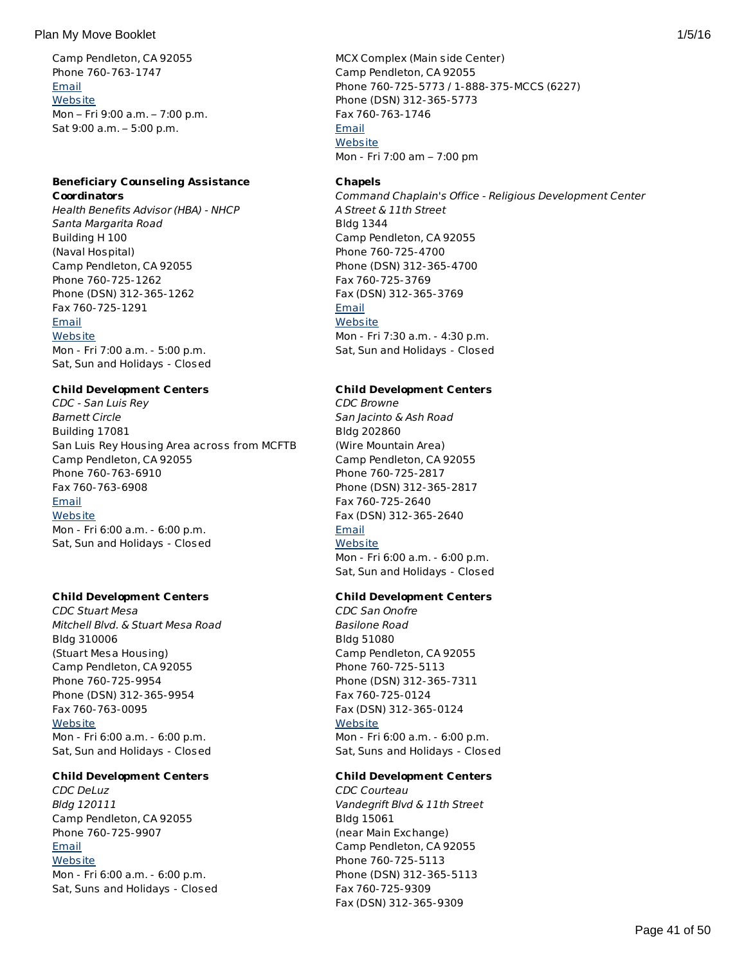## Plan My Move Booklet 2008 1/5/16 and 2008 1/5/16 and 2008 1/5/16 and 2008 1/5/16 and 2008 1/5/16 and 2008 1/5/16

Camp Pendleton, CA 92055 Phone 760-763-1747 [Email](http://apps.militaryonesource.mil/MOS/f?p=AMS:5:0::::P5_APP_NAME,P5_MSG_TYPE,P5_EID:Plan My Move,Beauty Shop - Onyx Beauty Salon,91155) **[Website](http://www.mccscp.com/pacific-plaza/)** Mon – Fri 9:00 a.m. – 7:00 p.m. Sat 9:00 a.m. – 5:00 p.m.

# **Beneficiary Counseling Assistance Coordinators**

Health Benefits Advisor (HBA) - NHCP Santa Margarita Road Building H 100 (Naval Hospital) Camp Pendleton, CA 92055 Phone 760-725-1262 Phone (DSN) 312-365-1262 Fax 760-725-1291 [Email](http://apps.militaryonesource.mil/MOS/f?p=AMS:5:0::::P5_APP_NAME,P5_MSG_TYPE,P5_EID:Plan My Move,Health Benefits Advisor (HBA) - NHCP,199482) **[Website](http://www.tricare.mil/mybenefit/)** Mon - Fri 7:00 a.m. - 5:00 p.m. Sat, Sun and Holidays - Closed

# **Child Development Centers**

CDC - San Luis Rey Barnett Circle Building 17081 San Luis Rey Housing Area across from MCFTB Camp Pendleton, CA 92055 Phone 760-763-6910 Fax 760-763-6908 [Email](http://apps.militaryonesource.mil/MOS/f?p=AMS:5:0::::P5_APP_NAME,P5_MSG_TYPE,P5_EID:Plan My Move,CDC -  San Luis Rey,91544) **[Website](http://www.mccscp.com/familycare)** Mon - Fri 6:00 a.m. - 6:00 p.m. Sat, Sun and Holidays - Closed

# **Child Development Centers**

CDC Stuart Mesa Mitchell Blvd. & Stuart Mesa Road Bldg 310006 (Stuart Mesa Housing) Camp Pendleton, CA 92055 Phone 760-725-9954 Phone (DSN) 312-365-9954 Fax 760-763-0095 **[Website](http://www.mccscp.com/familycare)** Mon - Fri 6:00 a.m. - 6:00 p.m. Sat, Sun and Holidays - Closed

# **Child Development Centers**

CDC DeLuz Bldg 120111 Camp Pendleton, CA 92055 Phone 760-725-9907 **[Email](http://apps.militaryonesource.mil/MOS/f?p=AMS:5:0::::P5_APP_NAME,P5_MSG_TYPE,P5_EID:Plan My Move,CDC DeLuz,1000009225) [Website](http://www.mccscp.com/familycare)** Mon - Fri 6:00 a.m. - 6:00 p.m. Sat, Suns and Holidays - Closed

MCX Complex (Main side Center) Camp Pendleton, CA 92055 Phone 760-725-5773 / 1-888-375-MCCS (6227) Phone (DSN) 312-365-5773 Fax 760-763-1746 [Email](http://apps.militaryonesource.mil/MOS/f?p=AMS:5:0::::P5_APP_NAME,P5_MSG_TYPE,P5_EID:Plan My Move,Barber Shop,91152) **[Website](http://www.mccscp.com/personal-services/)** Mon - Fri 7:00 am – 7:00 pm

## **Chapels**

Command Chaplain's Office - Religious Development Center A Street & 11th Street Bldg 1344 Camp Pendleton, CA 92055 Phone 760-725-4700 Phone (DSN) 312-365-4700 Fax 760-725-3769 Fax (DSN) 312-365-3769 [Email](http://apps.militaryonesource.mil/MOS/f?p=AMS:5:0::::P5_APP_NAME,P5_MSG_TYPE,P5_EID:Plan My Move,Command Chaplain) **[Website](http://www.marines.mil/unit/basecamppendleton/Pages/Services/Chaplain/Home.aspx )** Mon - Fri 7:30 a.m. - 4:30 p.m. Sat, Sun and Holidays - Closed

# **Child Development Centers**

CDC Browne San Jacinto & Ash Road Bldg 202860 (Wire Mountain Area) Camp Pendleton, CA 92055 Phone 760-725-2817 Phone (DSN) 312-365-2817 Fax 760-725-2640 Fax (DSN) 312-365-2640 [Email](http://apps.militaryonesource.mil/MOS/f?p=AMS:5:0::::P5_APP_NAME,P5_MSG_TYPE,P5_EID:Plan My Move,CDC Browne,91546) **[Website](http://www.mccscp.com/familycare)** Mon - Fri 6:00 a.m. - 6:00 p.m. Sat, Sun and Holidays - Closed

# **Child Development Centers**

CDC San Onofre Basilone Road Bldg 51080 Camp Pendleton, CA 92055 Phone 760-725-5113 Phone (DSN) 312-365-7311 Fax 760-725-0124 Fax (DSN) 312-365-0124 **[Website](http://www.mccscp.com/familycare)** Mon - Fri 6:00 a.m. - 6:00 p.m. Sat, Suns and Holidays - Closed

# **Child Development Centers**

CDC Courteau Vandegrift Blvd & 11th Street Bldg 15061 (near Main Exchange) Camp Pendleton, CA 92055 Phone 760-725-5113 Phone (DSN) 312-365-5113 Fax 760-725-9309 Fax (DSN) 312-365-9309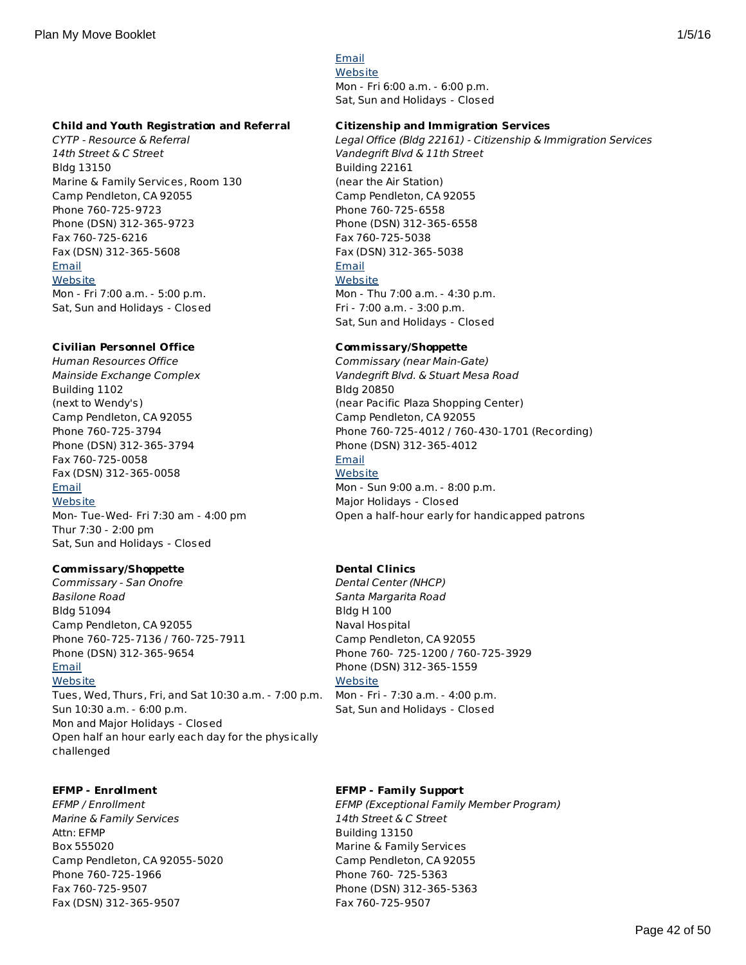[Email](http://apps.militaryonesource.mil/MOS/f?p=AMS:5:0::::P5_APP_NAME,P5_MSG_TYPE,P5_EID:Plan My Move,CDC Courteau,91545) **[Website](http://www.mccscp.com/familycare)** Mon - Fri 6:00 a.m. - 6:00 p.m. Sat, Sun and Holidays - Closed

## **Child and Youth Registration and Referral**

CYTP - Resource & Referral 14th Street & C Street Bldg 13150 Marine & Family Services, Room 130 Camp Pendleton, CA 92055 Phone 760-725-9723 Phone (DSN) 312-365-9723 Fax 760-725-6216 Fax (DSN) 312-365-5608 [Email](http://apps.militaryonesource.mil/MOS/f?p=AMS:5:0::::P5_APP_NAME,P5_MSG_TYPE,P5_EID:Plan My Move,CYTP -  Resource   Referral,91541) **[Website](http://www.mccscp.com/marine-family-programs)** Mon - Fri 7:00 a.m. - 5:00 p.m. Sat, Sun and Holidays - Closed

## **Civilian Personnel Office**

Human Resources Office Mainside Exchange Complex Building 1102 (next to Wendy's) Camp Pendleton, CA 92055 Phone 760-725-3794 Phone (DSN) 312-365-3794 Fax 760-725-0058 Fax (DSN) 312-365-0058 [Email](http://apps.militaryonesource.mil/MOS/f?p=AMS:5:0::::P5_APP_NAME,P5_MSG_TYPE,P5_EID:Plan My Move,Human Resources Office,91390) **[Website](http://apps.militaryonesource.mil/MOS/www.usajobs.gov)** Mon- Tue-Wed- Fri 7:30 am - 4:00 pm Thur 7:30 - 2:00 pm Sat, Sun and Holidays - Closed

# **Commissary/Shoppette**

Commissary - San Onofre Basilone Road Bldg 51094 Camp Pendleton, CA 92055 Phone 760-725-7136 / 760-725-7911 Phone (DSN) 312-365-9654 **[Email](http://apps.militaryonesource.mil/MOS/f?p=AMS:5:0::::P5_APP_NAME,P5_MSG_TYPE,P5_EID:Plan My Move,Commissary - San Onofre,91207) [Website](http://www.commissaries.com/stores/html/store.cfm?dodaac=HQCKMA)** Tues, Wed, Thurs, Fri, and Sat 10:30 a.m. - 7:00 p.m. Sun 10:30 a.m. - 6:00 p.m. Mon and Major Holidays - Closed Open half an hour early each day for the physically

## **EFMP - Enrollment**

challenged

EFMP / Enrollment Marine & Family Services Attn: EFMP Box 555020 Camp Pendleton, CA 92055-5020 Phone 760-725-1966 Fax 760-725-9507 Fax (DSN) 312-365-9507

#### **Citizenship and Immigration Services**

Legal Office (Bldg 22161) - Citizenship & Immigration Services Vandegrift Blvd & 11th Street Building 22161 (near the Air Station) Camp Pendleton, CA 92055 Phone 760-725-6558 Phone (DSN) 312-365-6558 Fax 760-725-5038 Fax (DSN) 312-365-5038 [Email](http://apps.militaryonesource.mil/MOS/f?p=AMS:5:0::::P5_APP_NAME,P5_MSG_TYPE,P5_EID:Plan My Move,Legal Office (Bldg 22161) - Citizenship   Immigration Services,91182) **[Website](http://www.pendleton.marines.mil/StaffAgencies/LegalServicesSupportTeam/LegalAssistance.aspx)** Mon - Thu 7:00 a.m. - 4:30 p.m. Fri - 7:00 a.m. - 3:00 p.m.

Sat, Sun and Holidays - Closed

## **Commissary/Shoppette**

Commissary (near Main-Gate) Vandegrift Blvd. & Stuart Mesa Road Bldg 20850 (near Pacific Plaza Shopping Center) Camp Pendleton, CA 92055 Phone 760-725-4012 / 760-430-1701 (Recording) Phone (DSN) 312-365-4012 [Email](http://apps.militaryonesource.mil/MOS/f?p=AMS:5:0::::P5_APP_NAME,P5_MSG_TYPE,P5_EID:Plan My Move,Commissary (near Main-Gate),91206) **[Website](http://www.commissaries.com/stores/html/store.cfm?dodaac=HQCKLM)** Mon - Sun 9:00 a.m. - 8:00 p.m. Major Holidays - Closed Open a half-hour early for handicapped patrons

## **Dental Clinics**

Dental Center (NHCP) Santa Margarita Road Bldg H 100 Naval Hospital Camp Pendleton, CA 92055 Phone 760- 725-1200 / 760-725-3929 Phone (DSN) 312-365-1559 **[Website](http://www.med.navy.mil/sites/ndccpen/Pages/default.aspx)** Mon - Fri - 7:30 a.m. - 4:00 p.m. Sat, Sun and Holidays - Closed

## **EFMP - Family Support**

EFMP (Exceptional Family Member Program) 14th Street & C Street Building 13150 Marine & Family Services Camp Pendleton, CA 92055 Phone 760- 725-5363 Phone (DSN) 312-365-5363 Fax 760-725-9507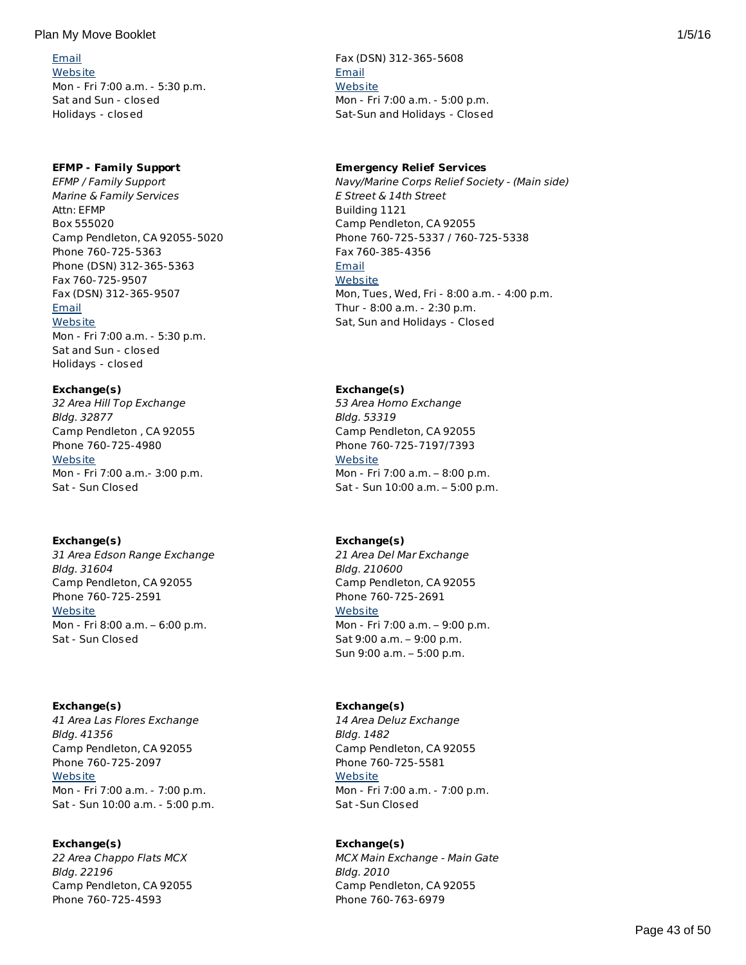[Email](http://apps.militaryonesource.mil/MOS/f?p=AMS:5:0::::P5_APP_NAME,P5_MSG_TYPE,P5_EID:Plan My Move,EFMP / Enrollment,1000007476) **[Website](http://www.mccscp.com/home/Family-Services/efmp.aspx)** Mon - Fri 7:00 a.m. - 5:30 p.m. Sat and Sun - closed Holidays - closed

# **EFMP - Family Support**

EFMP / Family Support Marine & Family Services Attn: EFMP Box 555020 Camp Pendleton, CA 92055-5020 Phone 760-725-5363 Phone (DSN) 312-365-5363 Fax 760-725-9507 Fax (DSN) 312-365-9507 [Email](http://apps.militaryonesource.mil/MOS/f?p=AMS:5:0::::P5_APP_NAME,P5_MSG_TYPE,P5_EID:Plan My Move,EFMP / Family Support,1000007477) **[Website](http://www.mccscp.com/efmp)** Mon - Fri 7:00 a.m. - 5:30 p.m. Sat and Sun - closed

Holidays - closed

**Exchange(s)**

32 Area Hill Top Exchange Bldg. 32877 Camp Pendleton , CA 92055 Phone 760-725-4980 **[Website](http://www.mccscp.com/mini-exchanges)** Mon - Fri 7:00 a.m.- 3:00 p.m. Sat - Sun Closed

# **Exchange(s)**

31 Area Edson Range Exchange Bldg. 31604 Camp Pendleton, CA 92055 Phone 760-725-2591 **[Website](http://www.mccscp.com/mini-exchanges)** Mon - Fri 8:00 a.m. – 6:00 p.m. Sat - Sun Closed

# **Exchange(s)**

41 Area Las Flores Exchange Bldg. 41356 Camp Pendleton, CA 92055 Phone 760-725-2097 **[Website](http://www.mccscp.com/mini-exchanges)** Mon - Fri 7:00 a.m. - 7:00 p.m. Sat - Sun 10:00 a.m. - 5:00 p.m.

# **Exchange(s)**

22 Area Chappo Flats MCX Bldg. 22196 Camp Pendleton, CA 92055 Phone 760-725-4593

Fax (DSN) 312-365-5608 [Email](http://apps.militaryonesource.mil/MOS/f?p=AMS:5:0::::P5_APP_NAME,P5_MSG_TYPE,P5_EID:Plan My Move,EFMP (Exceptional Family Member Program),91455) **[Website](http://www.mccscp.com/efmp)** Mon - Fri 7:00 a.m. - 5:00 p.m. Sat-Sun and Holidays - Closed

# **Emergency Relief Services**

Navy/Marine Corps Relief Society - (Main side) E Street & 14th Street Building 1121 Camp Pendleton, CA 92055 Phone 760-725-5337 / 760-725-5338 Fax 760-385-4356 [Email](http://apps.militaryonesource.mil/MOS/f?p=AMS:5:0::::P5_APP_NAME,P5_MSG_TYPE,P5_EID:Plan My Move,Navy/Marine Corps Relief Society - (Main side),91485) **[Website](http://www.nmcrs.org)** Mon, Tues, Wed, Fri - 8:00 a.m. - 4:00 p.m. Thur - 8:00 a.m. - 2:30 p.m. Sat, Sun and Holidays - Closed

# **Exchange(s)**

53 Area Horno Exchange Bldg. 53319 Camp Pendleton, CA 92055 Phone 760-725-7197/7393 **[Website](http://www.mccscp.com/mini-exchanges)** Mon - Fri 7:00 a.m. – 8:00 p.m. Sat - Sun 10:00 a.m. – 5:00 p.m.

# **Exchange(s)**

21 Area Del Mar Exchange Bldg. 210600 Camp Pendleton, CA 92055 Phone 760-725-2691 **[Website](http://www.mccscp.com/mini-exchanges)** Mon - Fri 7:00 a.m. – 9:00 p.m. Sat 9:00 a.m. – 9:00 p.m. Sun 9:00 a.m. – 5:00 p.m.

# **Exchange(s)**

14 Area Deluz Exchange Bldg. 1482 Camp Pendleton, CA 92055 Phone 760-725-5581 **[Website](http://www.mccscp.com/mini-exchanges)** Mon - Fri 7:00 a.m. - 7:00 p.m. Sat -Sun Closed

# **Exchange(s)**

MCX Main Exchange - Main Gate Bldg. 2010 Camp Pendleton, CA 92055 Phone 760-763-6979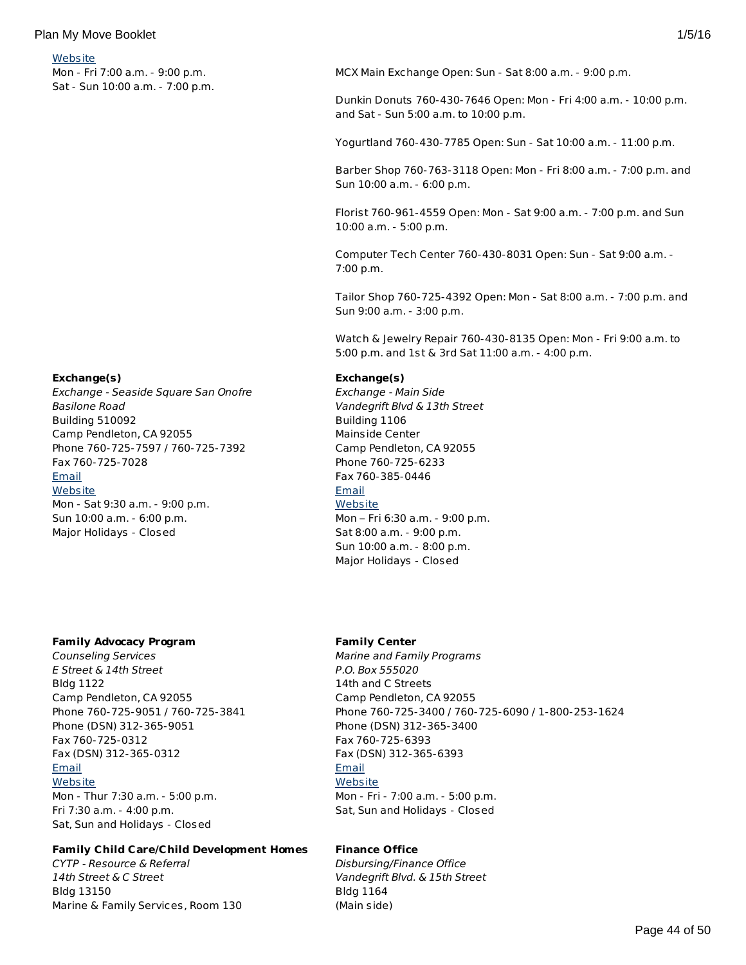## **[Website](http://www.mccscp.com/mini-exchanges)**

Mon - Fri 7:00 a.m. - 9:00 p.m. Sat - Sun 10:00 a.m. - 7:00 p.m.

#### **Exchange(s)**

Exchange - Seaside Square San Onofre Basilone Road Building 510092 Camp Pendleton, CA 92055 Phone 760-725-7597 / 760-725-7392 Fax 760-725-7028 [Email](http://apps.militaryonesource.mil/MOS/f?p=AMS:5:0::::P5_APP_NAME,P5_MSG_TYPE,P5_EID:Plan My Move,Exchange - Seaside Square San Onofre,91210) **[Website](http://www.mccscp.com/san-onofre-exchange)** Mon - Sat 9:30 a.m. - 9:00 p.m. Sun 10:00 a.m. - 6:00 p.m. Major Holidays - Closed

## **Family Advocacy Program**

Counseling Services E Street & 14th Street Bldg 1122 Camp Pendleton, CA 92055 Phone 760-725-9051 / 760-725-3841 Phone (DSN) 312-365-9051 Fax 760-725-0312 Fax (DSN) 312-365-0312 [Email](http://apps.militaryonesource.mil/MOS/f?p=AMS:5:0::::P5_APP_NAME,P5_MSG_TYPE,P5_EID:Plan My Move,Counseling Services,91507) **[Website](http://www.mccscp.com/counseling-services)** Mon - Thur 7:30 a.m. - 5:00 p.m.

Fri 7:30 a.m. - 4:00 p.m. Sat, Sun and Holidays - Closed

## **Family Child Care/Child Development Homes**

CYTP - Resource & Referral 14th Street & C Street Bldg 13150 Marine & Family Services, Room 130 MCX Main Exchange Open: Sun - Sat 8:00 a.m. - 9:00 p.m.

Dunkin Donuts 760-430-7646 Open: Mon - Fri 4:00 a.m. - 10:00 p.m. and Sat - Sun 5:00 a.m. to 10:00 p.m.

Yogurtland 760-430-7785 Open: Sun - Sat 10:00 a.m. - 11:00 p.m.

Barber Shop 760-763-3118 Open: Mon - Fri 8:00 a.m. - 7:00 p.m. and Sun 10:00 a.m. - 6:00 p.m.

Florist 760-961-4559 Open: Mon - Sat 9:00 a.m. - 7:00 p.m. and Sun 10:00 a.m. - 5:00 p.m.

Computer Tech Center 760-430-8031 Open: Sun - Sat 9:00 a.m. - 7:00 p.m.

Tailor Shop 760-725-4392 Open: Mon - Sat 8:00 a.m. - 7:00 p.m. and Sun 9:00 a.m. - 3:00 p.m.

Watch & Jewelry Repair 760-430-8135 Open: Mon - Fri 9:00 a.m. to 5:00 p.m. and 1st & 3rd Sat 11:00 a.m. - 4:00 p.m.

#### **Exchange(s)**

Exchange - Main Side Vandegrift Blvd & 13th Street Building 1106 Mainside Center Camp Pendleton, CA 92055 Phone 760-725-6233 Fax 760-385-0446 [Email](http://apps.militaryonesource.mil/MOS/f?p=AMS:5:0::::P5_APP_NAME,P5_MSG_TYPE,P5_EID:Plan My Move,Exchange - Main Side,91209) **[Website](http://www.mccscp.com/mainside-center)** Mon – Fri 6:30 a.m. - 9:00 p.m. Sat 8:00 a.m. - 9:00 p.m. Sun 10:00 a.m. - 8:00 p.m. Major Holidays - Closed

## **Family Center**

Marine and Family Programs P.O. Box 555020 14th and C Streets Camp Pendleton, CA 92055 Phone 760-725-3400 / 760-725-6090 / 1-800-253-1624 Phone (DSN) 312-365-3400 Fax 760-725-6393 Fax (DSN) 312-365-6393 [Email](http://apps.militaryonesource.mil/MOS/f?p=AMS:5:0::::P5_APP_NAME,P5_MSG_TYPE,P5_EID:Plan My Move,Marine and Family Programs,200693) **[Website](http://www.mccscp.com/marine-family-programs)** Mon - Fri - 7:00 a.m. - 5:00 p.m. Sat, Sun and Holidays - Closed

# **Finance Office**

Disbursing/Finance Office Vandegrift Blvd. & 15th Street Bldg 1164 (Main side)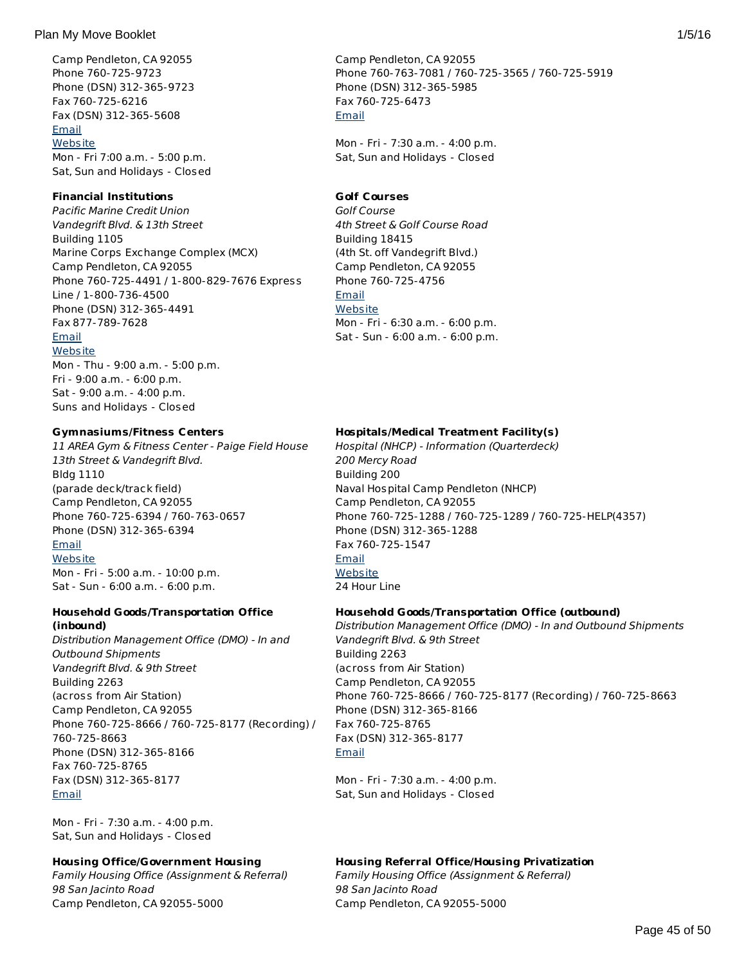## Plan My Move Booklet 2008 1/5/16 and 2008 1/5/16 and 2008 1/5/16 and 2008 1/5/16 and 2008 1/5/16 and 2008 1/5/16

Camp Pendleton, CA 92055 Phone 760-725-9723 Phone (DSN) 312-365-9723 Fax 760-725-6216 Fax (DSN) 312-365-5608 [Email](http://apps.militaryonesource.mil/MOS/f?p=AMS:5:0::::P5_APP_NAME,P5_MSG_TYPE,P5_EID:Plan My Move,CYTP -  Resource   Referral,91541) **[Website](http://www.mccscp.com/marine-family-programs)** Mon - Fri 7:00 a.m. - 5:00 p.m. Sat, Sun and Holidays - Closed

## **Financial Institutions**

Pacific Marine Credit Union Vandegrift Blvd. & 13th Street Building 1105 Marine Corps Exchange Complex (MCX) Camp Pendleton, CA 92055 Phone 760-725-4491 / 1-800-829-7676 Express Line / 1-800-736-4500 Phone (DSN) 312-365-4491 Fax 877-789-7628 [Email](http://apps.militaryonesource.mil/MOS/f?p=AMS:5:0::::P5_APP_NAME,P5_MSG_TYPE,P5_EID:Plan My Move,Pacific Marine Credit Union,91359) **[Website](http://www.pmcu.com)** Mon - Thu - 9:00 a.m. - 5:00 p.m. Fri - 9:00 a.m. - 6:00 p.m. Sat - 9:00 a.m. - 4:00 p.m.

## **Gymnasiums/Fitness Centers**

Suns and Holidays - Closed

11 AREA Gym & Fitness Center - Paige Field House 13th Street & Vandegrift Blvd. Bldg 1110 (parade deck/track field) Camp Pendleton, CA 92055 Phone 760-725-6394 / 760-763-0657 Phone (DSN) 312-365-6394 [Email](http://apps.militaryonesource.mil/MOS/f?p=AMS:5:0::::P5_APP_NAME,P5_MSG_TYPE,P5_EID:Plan My Move,11 AREA Gym   Fitness Center - Paige Field House,196459) **[Website](http://www.mccscp.com/home/recreation/Fitness_Centers.aspx)** Mon - Fri - 5:00 a.m. - 10:00 p.m.

Sat - Sun - 6:00 a.m. - 6:00 p.m.

## **Household Goods/Transportation Office (inbound)**

Distribution Management Office (DMO) - In and Outbound Shipments Vandegrift Blvd. & 9th Street Building 2263 (across from Air Station) Camp Pendleton, CA 92055 Phone 760-725-8666 / 760-725-8177 (Recording) / 760-725-8663 Phone (DSN) 312-365-8166 Fax 760-725-8765 Fax (DSN) 312-365-8177 [Email](http://apps.militaryonesource.mil/MOS/f?p=AMS:5:0::::P5_APP_NAME,P5_MSG_TYPE,P5_EID:Plan My Move,Distribution Management Office (DMO) - In and Outbound Shipments,91457)

Mon - Fri - 7:30 a.m. - 4:00 p.m. Sat, Sun and Holidays - Closed

## **Housing Office/Government Housing**

Family Housing Office (Assignment & Referral) 98 San Jacinto Road Camp Pendleton, CA 92055-5000

Camp Pendleton, CA 92055 Phone 760-763-7081 / 760-725-3565 / 760-725-5919 Phone (DSN) 312-365-5985 Fax 760-725-6473 [Email](http://apps.militaryonesource.mil/MOS/f?p=AMS:5:0::::P5_APP_NAME,P5_MSG_TYPE,P5_EID:Plan My Move,Disbursing/Finance Office,199063)

Mon - Fri - 7:30 a.m. - 4:00 p.m. Sat, Sun and Holidays - Closed

# **Golf Courses**

Golf Course 4th Street & Golf Course Road Building 18415 (4th St. off Vandegrift Blvd.) Camp Pendleton, CA 92055 Phone 760-725-4756 [Email](http://apps.militaryonesource.mil/MOS/f?p=AMS:5:0::::P5_APP_NAME,P5_MSG_TYPE,P5_EID:Plan My Move,Golf Course,91515) **[Website](http://www.mccscp.com/golf)** Mon - Fri - 6:30 a.m. - 6:00 p.m. Sat - Sun - 6:00 a.m. - 6:00 p.m.

# **Hospitals/Medical Treatment Facility(s)**

Hospital (NHCP) - Information (Quarterdeck) 200 Mercy Road Building 200 Naval Hospital Camp Pendleton (NHCP) Camp Pendleton, CA 92055 Phone 760-725-1288 / 760-725-1289 / 760-725-HELP(4357) Phone (DSN) 312-365-1288 Fax 760-725-1547 [Email](http://apps.militaryonesource.mil/MOS/f?p=AMS:5:0::::P5_APP_NAME,P5_MSG_TYPE,P5_EID:Plan My Move,Hospital (NHCP) - Information (Quarterdeck),91177) **[Website](http://www.med.navy.mil/sites/cpen/newsite/Pages/default.aspx)** 24 Hour Line

## **Household Goods/Transportation Office (outbound)**

Distribution Management Office (DMO) - In and Outbound Shipments Vandegrift Blvd. & 9th Street Building 2263 (across from Air Station) Camp Pendleton, CA 92055 Phone 760-725-8666 / 760-725-8177 (Recording) / 760-725-8663 Phone (DSN) 312-365-8166 Fax 760-725-8765 Fax (DSN) 312-365-8177 [Email](http://apps.militaryonesource.mil/MOS/f?p=AMS:5:0::::P5_APP_NAME,P5_MSG_TYPE,P5_EID:Plan My Move,Distribution Management Office (DMO) - In and Outbound Shipments,91457)

Mon - Fri - 7:30 a.m. - 4:00 p.m. Sat, Sun and Holidays - Closed

## **Housing Referral Office/Housing Privatization**

Family Housing Office (Assignment & Referral) 98 San Jacinto Road Camp Pendleton, CA 92055-5000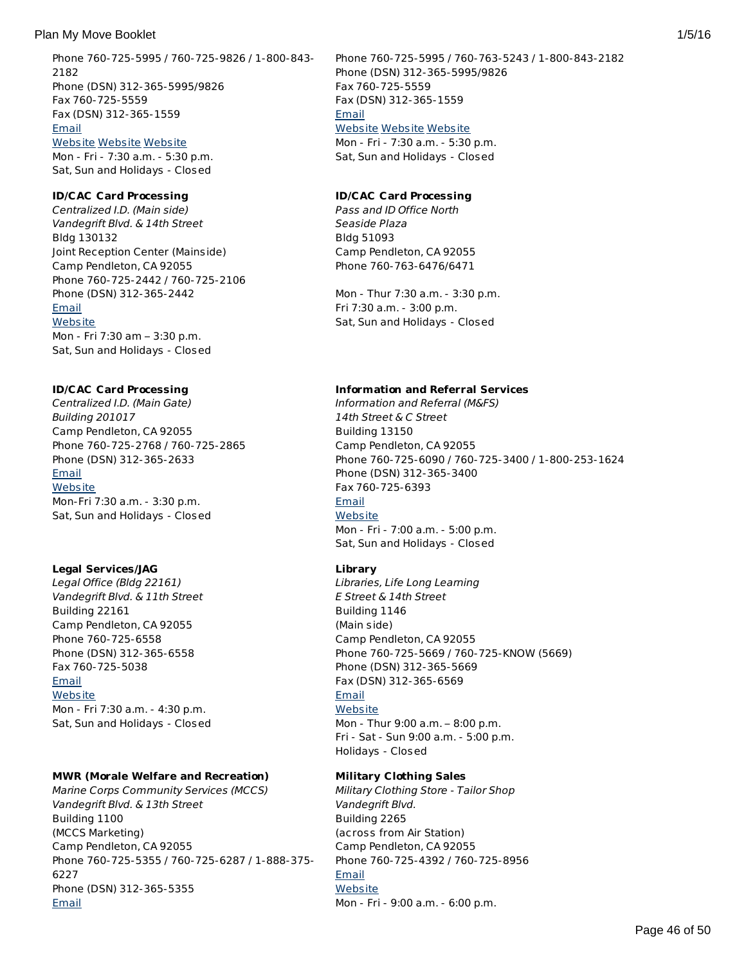Phone 760-725-5995 / 760-725-9826 / 1-800-843- 2182 Phone (DSN) 312-365-5995/9826 Fax 760-725-5559 Fax (DSN) 312-365-1559 [Email](http://apps.militaryonesource.mil/MOS/f?p=AMS:5:0::::P5_APP_NAME,P5_MSG_TYPE,P5_EID:Plan My Move,Family Housing Office (Assignment   Referral),91440) [Website](http://www.marines.mil/unit/basecamppendleton/Pages/Housing/Home.aspx) [Website](http://www.lincolnmilitary.com) [Website](http://www.deluzfamilyhousing.com) Mon - Fri - 7:30 a.m. - 5:30 p.m. Sat, Sun and Holidays - Closed

#### **ID/CAC Card Processing**

Centralized I.D. (Main side) Vandegrift Blvd. & 14th Street Bldg 130132 Joint Reception Center (Mainside) Camp Pendleton, CA 92055 Phone 760-725-2442 / 760-725-2106 Phone (DSN) 312-365-2442 [Email](http://apps.militaryonesource.mil/MOS/f?p=AMS:5:0::::P5_APP_NAME,P5_MSG_TYPE,P5_EID:Plan My Move,Centralized I.D. (Main side),91145) **[Website](http://www.pendleton.marines.mil/NewPersonnel/PassandIDSection.aspx)** Mon - Fri 7:30 am – 3:30 p.m.

Sat, Sun and Holidays - Closed

## **ID/CAC Card Processing**

Centralized I.D. (Main Gate) Building 201017 Camp Pendleton, CA 92055 Phone 760-725-2768 / 760-725-2865 Phone (DSN) 312-365-2633 [Email](http://apps.militaryonesource.mil/MOS/f?p=AMS:5:0::::P5_APP_NAME,P5_MSG_TYPE,P5_EID:Plan My Move,Centralized I.D. (Main Gate),91144) **[Website](http://www.pendleton.marines.mil/NewPersonnel/PassandIDSection.aspx)** Mon-Fri 7:30 a.m. - 3:30 p.m. Sat, Sun and Holidays - Closed

## **Legal Services/JAG**

Legal Office (Bldg 22161) Vandegrift Blvd. & 11th Street Building 22161 Camp Pendleton, CA 92055 Phone 760-725-6558 Phone (DSN) 312-365-6558 Fax 760-725-5038 [Email](http://apps.militaryonesource.mil/MOS/f?p=AMS:5:0::::P5_APP_NAME,P5_MSG_TYPE,P5_EID:Plan My Move,Legal Office (Bldg 22161),91181) **[Website](http://www.pendleton.marines.mil/StaffAgencies/LegalServicesSupportTeam/LegalAssistance.aspx)** Mon - Fri 7:30 a.m. - 4:30 p.m. Sat, Sun and Holidays - Closed

## **MWR (Morale Welfare and Recreation)**

Marine Corps Community Services (MCCS) Vandegrift Blvd. & 13th Street Building 1100 (MCCS Marketing) Camp Pendleton, CA 92055 Phone 760-725-5355 / 760-725-6287 / 1-888-375- 6227 Phone (DSN) 312-365-5355 [Email](http://apps.militaryonesource.mil/MOS/f?p=AMS:5:0::::P5_APP_NAME,P5_MSG_TYPE,P5_EID:Plan My Move,Marine Corps Community Services (MCCS),91511)

Phone 760-725-5995 / 760-763-5243 / 1-800-843-2182 Phone (DSN) 312-365-5995/9826 Fax 760-725-5559 Fax (DSN) 312-365-1559 **[Email](http://apps.militaryonesource.mil/MOS/f?p=AMS:5:0::::P5_APP_NAME,P5_MSG_TYPE,P5_EID:Plan My Move,Family Housing Office (Assignment   Referral),1000000967)** [Website](http://www.lincolnmilitary.com) [Website](http://www.marines.mil/unit/basecamppendleton/Pages/Housing/Home.aspx) [Website](http://www.deluzfamilyhousing.com)

Mon - Fri - 7:30 a.m. - 5:30 p.m. Sat, Sun and Holidays - Closed

#### **ID/CAC Card Processing**

Pass and ID Office North Seaside Plaza Bldg 51093 Camp Pendleton, CA 92055 Phone 760-763-6476/6471

Mon - Thur 7:30 a.m. - 3:30 p.m. Fri 7:30 a.m. - 3:00 p.m. Sat, Sun and Holidays - Closed

#### **Information and Referral Services**

Information and Referral (M&FS) 14th Street & C Street Building 13150 Camp Pendleton, CA 92055 Phone 760-725-6090 / 760-725-3400 / 1-800-253-1624 Phone (DSN) 312-365-3400 Fax 760-725-6393 [Email](http://apps.militaryonesource.mil/MOS/f?p=AMS:5:0::::P5_APP_NAME,P5_MSG_TYPE,P5_EID:Plan My Move,Information and Referral (M FS),174233) **[Website](http://www.mccscp.com/marine-family-programs)** Mon - Fri - 7:00 a.m. - 5:00 p.m. Sat, Sun and Holidays - Closed

## **Library**

Libraries, Life Long Learning E Street & 14th Street Building 1146 (Main side) Camp Pendleton, CA 92055 Phone 760-725-5669 / 760-725-KNOW (5669) Phone (DSN) 312-365-5669 Fax (DSN) 312-365-6569 [Email](http://apps.militaryonesource.mil/MOS/f?p=AMS:5:0::::P5_APP_NAME,P5_MSG_TYPE,P5_EID:Plan My Move,Libraries  Life Long Learning,91303) **[Website](http://www.mccscp.com/libraries)** Mon - Thur 9:00 a.m. – 8:00 p.m. Fri - Sat - Sun 9:00 a.m. - 5:00 p.m. Holidays - Closed

#### **Military Clothing Sales**

Military Clothing Store - Tailor Shop Vandegrift Blvd. Building 2265 (across from Air Station) Camp Pendleton, CA 92055 Phone 760-725-4392 / 760-725-8956 [Email](http://apps.militaryonesource.mil/MOS/f?p=AMS:5:0::::P5_APP_NAME,P5_MSG_TYPE,P5_EID:Plan My Move,Military Clothing Store - Tailor Shop,199060) **[Website](http://www.mccscp.com/shopping/military_clothing/index.cfm)** Mon - Fri - 9:00 a.m. - 6:00 p.m.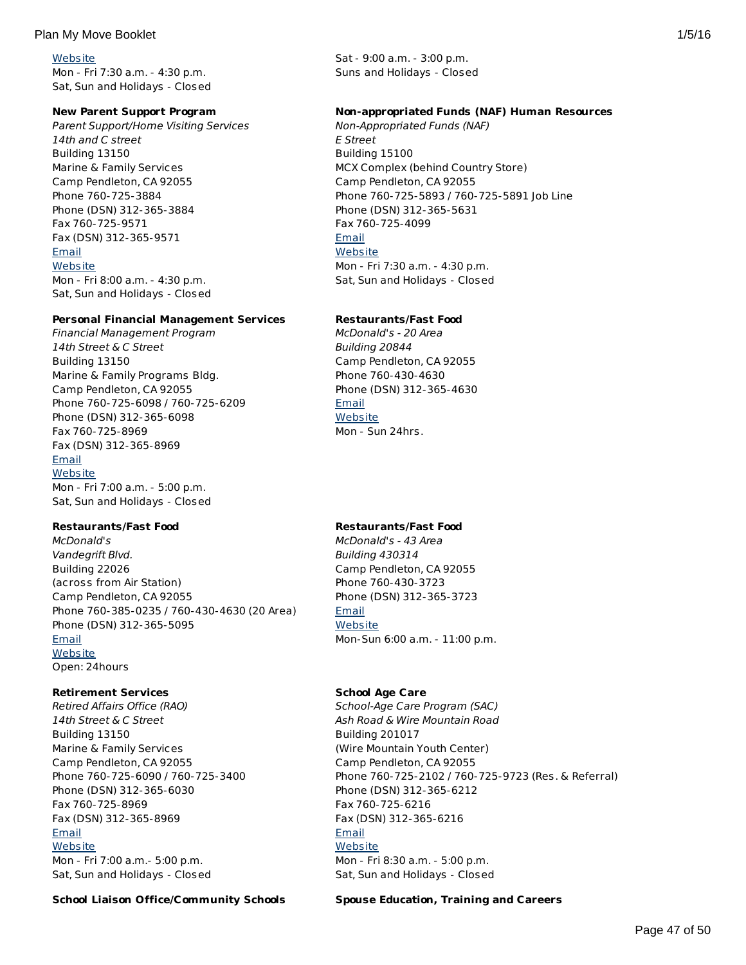## **[Website](http://www.mccscp.com/)**

Mon - Fri 7:30 a.m. - 4:30 p.m. Sat, Sun and Holidays - Closed

## **New Parent Support Program**

Parent Support/Home Visiting Services 14th and C street Building 13150 Marine & Family Services Camp Pendleton, CA 92055 Phone 760-725-3884 Phone (DSN) 312-365-3884 Fax 760-725-9571 Fax (DSN) 312-365-9571 [Email](http://apps.militaryonesource.mil/MOS/f?p=AMS:5:0::::P5_APP_NAME,P5_MSG_TYPE,P5_EID:Plan My Move,Parent Support/Home Visiting Services,91540) **[Website](http://www.mccscp.com/newparent)** Mon - Fri 8:00 a.m. - 4:30 p.m. Sat, Sun and Holidays - Closed

## **Personal Financial Management Services**

Financial Management Program 14th Street & C Street Building 13150 Marine & Family Programs Bldg. Camp Pendleton, CA 92055 Phone 760-725-6098 / 760-725-6209 Phone (DSN) 312-365-6098 Fax 760-725-8969 Fax (DSN) 312-365-8969 [Email](http://apps.militaryonesource.mil/MOS/f?p=AMS:5:0::::P5_APP_NAME,P5_MSG_TYPE,P5_EID:Plan My Move,Financial Management Program,91493) **[Website](http://www.mccscp.com/personal-finance)** Mon - Fri 7:00 a.m. - 5:00 p.m. Sat, Sun and Holidays - Closed

# **Restaurants/Fast Food**

McDonald's Vandegrift Blvd. Building 22026 (across from Air Station) Camp Pendleton, CA 92055 Phone 760-385-0235 / 760-430-4630 (20 Area) Phone (DSN) 312-365-5095 [Email](http://apps.militaryonesource.mil/MOS/f?p=AMS:5:0::::P5_APP_NAME,P5_MSG_TYPE,P5_EID:Plan My Move,McDonald) **[Website](http://www.mccscp.com/fast-food)** Open: 24hours

# **Retirement Services**

Retired Affairs Office (RAO) 14th Street & C Street Building 13150 Marine & Family Services Camp Pendleton, CA 92055 Phone 760-725-6090 / 760-725-3400 Phone (DSN) 312-365-6030 Fax 760-725-8969 Fax (DSN) 312-365-8969 [Email](http://apps.militaryonesource.mil/MOS/f?p=AMS:5:0::::P5_APP_NAME,P5_MSG_TYPE,P5_EID:Plan My Move,Retired Affairs Office (RAO),199059) **[Website](http://www.mccscp.com/retired-activities-office)** Mon - Fri 7:00 a.m.- 5:00 p.m. Sat, Sun and Holidays - Closed

**School Liaison Office/Community Schools Spouse Education, Training and Careers**

Sat - 9:00 a.m. - 3:00 p.m. Suns and Holidays - Closed

## **Non-appropriated Funds (NAF) Human Resources**

Non-Appropriated Funds (NAF) E Street Building 15100 MCX Complex (behind Country Store) Camp Pendleton, CA 92055 Phone 760-725-5893 / 760-725-5891 Job Line Phone (DSN) 312-365-5631 Fax 760-725-4099 [Email](http://apps.militaryonesource.mil/MOS/f?p=AMS:5:0::::P5_APP_NAME,P5_MSG_TYPE,P5_EID:Plan My Move,Non-Appropriated Funds (NAF),91358) **[Website](http://www.mccscp.com/hr-benefits)** Mon - Fri 7:30 a.m. - 4:30 p.m. Sat, Sun and Holidays - Closed

## **Restaurants/Fast Food**

McDonald's - 20 Area Building 20844 Camp Pendleton, CA 92055 Phone 760-430-4630 Phone (DSN) 312-365-4630 **[Email](http://apps.militaryonesource.mil/MOS/f?p=AMS:5:0::::P5_APP_NAME,P5_MSG_TYPE,P5_EID:Plan My Move,McDonald) [Website](http://www.mccscp.com/fast-food)** Mon - Sun 24hrs.

# **Restaurants/Fast Food**

McDonald's - 43 Area Building 430314 Camp Pendleton, CA 92055 Phone 760-430-3723 Phone (DSN) 312-365-3723 [Email](http://apps.militaryonesource.mil/MOS/f?p=AMS:5:0::::P5_APP_NAME,P5_MSG_TYPE,P5_EID:Plan My Move,McDonald) **[Website](http://www.mccscp.com/fast-food)** Mon-Sun 6:00 a.m. - 11:00 p.m.

## **School Age Care**

School-Age Care Program (SAC) Ash Road & Wire Mountain Road Building 201017 (Wire Mountain Youth Center) Camp Pendleton, CA 92055 Phone 760-725-2102 / 760-725-9723 (Res. & Referral) Phone (DSN) 312-365-6212 Fax 760-725-6216 Fax (DSN) 312-365-6216 [Email](http://apps.militaryonesource.mil/MOS/f?p=AMS:5:0::::P5_APP_NAME,P5_MSG_TYPE,P5_EID:Plan My Move,School-Age Care Program (SAC),175083) **[Website](http://www.mccscp.com/familycare)** Mon - Fri 8:30 a.m. - 5:00 p.m. Sat, Sun and Holidays - Closed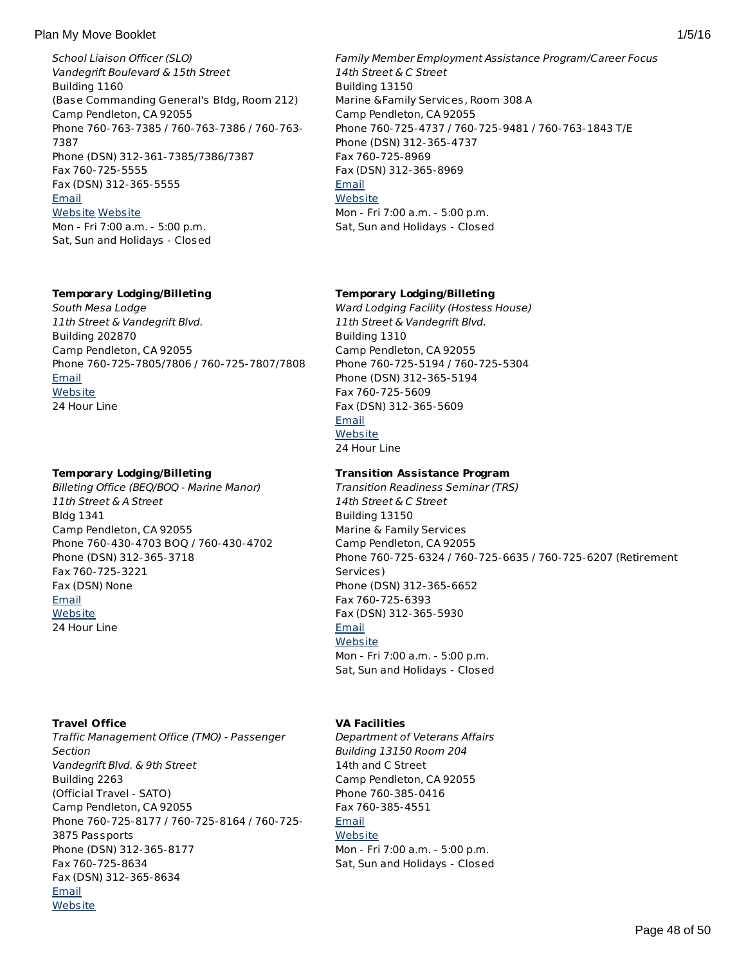School Liaison Officer (SLO) Vandegrift Boulevard & 15th Street Building 1160 (Base Commanding General's Bldg, Room 212) Camp Pendleton, CA 92055 Phone 760-763-7385 / 760-763-7386 / 760-763- 7387 Phone (DSN) 312-361-7385/7386/7387 Fax 760-725-5555 Fax (DSN) 312-365-5555 [Email](http://apps.militaryonesource.mil/MOS/f?p=AMS:5:0::::P5_APP_NAME,P5_MSG_TYPE,P5_EID:Plan My Move,School Liaison Officer (SLO),192458) [Website](http://www.pendleton.usmc.mil/services/SchoolLiaison.asp) [Website](http://www.dodea.edu/Partnership/schoolLiaisonOfficers.cfm) Mon - Fri 7:00 a.m. - 5:00 p.m. Sat, Sun and Holidays - Closed

# **Temporary Lodging/Billeting**

South Mesa Lodge 11th Street & Vandegrift Blvd. Building 202870 Camp Pendleton, CA 92055 Phone 760-725-7805/7806 / 760-725-7807/7808 [Email](http://apps.militaryonesource.mil/MOS/f?p=AMS:5:0::::P5_APP_NAME,P5_MSG_TYPE,P5_EID:Plan My Move,South Mesa Lodge,1000009226) **[Website](http://www.mccscp.com/tlf-lodging)** 24 Hour Line

## **Temporary Lodging/Billeting**

Billeting Office (BEQ/BOQ - Marine Manor) 11th Street & A Street Bldg 1341 Camp Pendleton, CA 92055 Phone 760-430-4703 BOQ / 760-430-4702 Phone (DSN) 312-365-3718 Fax 760-725-3221 Fax (DSN) None [Email](http://apps.militaryonesource.mil/MOS/f?p=AMS:5:0::::P5_APP_NAME,P5_MSG_TYPE,P5_EID:Plan My Move,Billeting Office (BEQ/BOQ - Marine Manor),91469) **[Website](http://www.pendleton.marines.mil/NewPersonnel/BilletingandLodging.aspx)** 24 Hour Line

# **Travel Office**

Traffic Management Office (TMO) - Passenger Section Vandegrift Blvd. & 9th Street Building 2263 (Official Travel - SATO) Camp Pendleton, CA 92055 Phone 760-725-8177 / 760-725-8164 / 760-725- 3875 Passports Phone (DSN) 312-365-8177 Fax 760-725-8634 Fax (DSN) 312-365-8634 [Email](http://apps.militaryonesource.mil/MOS/f?p=AMS:5:0::::P5_APP_NAME,P5_MSG_TYPE,P5_EID:Plan My Move,Traffic Management Office (TMO) - Passenger Section,91467) **[Website](http://www.marines.mil/unit/basecamppendleton/Pages/Services/DMO/Home.aspx)** 

Family Member Employment Assistance Program/Career Focus 14th Street & C Street Building 13150 Marine &Family Services, Room 308 A Camp Pendleton, CA 92055 Phone 760-725-4737 / 760-725-9481 / 760-763-1843 T/E Phone (DSN) 312-365-4737 Fax 760-725-8969 Fax (DSN) 312-365-8969 [Email](http://apps.militaryonesource.mil/MOS/f?p=AMS:5:0::::P5_APP_NAME,P5_MSG_TYPE,P5_EID:Plan My Move,Family Member Employment Assistance Program/Career Focus,91356) **[Website](http://www.mccscp.com/family-member-employment)** Mon - Fri 7:00 a.m. - 5:00 p.m. Sat, Sun and Holidays - Closed

## **Temporary Lodging/Billeting**

Ward Lodging Facility (Hostess House) 11th Street & Vandegrift Blvd. Building 1310 Camp Pendleton, CA 92055 Phone 760-725-5194 / 760-725-5304 Phone (DSN) 312-365-5194 Fax 760-725-5609 Fax (DSN) 312-365-5609 [Email](http://apps.militaryonesource.mil/MOS/f?p=AMS:5:0::::P5_APP_NAME,P5_MSG_TYPE,P5_EID:Plan My Move,Ward Lodging Facility (Hostess House),91197) **[Website](http://www.mccscp.com/inns#ward)** 24 Hour Line

## **Transition Assistance Program**

Transition Readiness Seminar (TRS) 14th Street & C Street Building 13150 Marine & Family Services Camp Pendleton, CA 92055 Phone 760-725-6324 / 760-725-6635 / 760-725-6207 (Retirement Services) Phone (DSN) 312-365-6652 Fax 760-725-6393 Fax (DSN) 312-365-5930 [Email](http://apps.militaryonesource.mil/MOS/f?p=AMS:5:0::::P5_APP_NAME,P5_MSG_TYPE,P5_EID:Plan My Move,Transition Readiness Seminar (TRS),91496) **[Website](http://www.mccscp.com/transition-assistance-veterans-benefits)** Mon - Fri 7:00 a.m. - 5:00 p.m. Sat, Sun and Holidays - Closed

# **VA Facilities**

Department of Veterans Affairs Building 13150 Room 204 14th and C Street Camp Pendleton, CA 92055 Phone 760-385-0416 Fax 760-385-4551 [Email](http://apps.militaryonesource.mil/MOS/f?p=AMS:5:0::::P5_APP_NAME,P5_MSG_TYPE,P5_EID:Plan My Move,Department of Veterans Affairs,1000003179) **[Website](http://www.va.gov)** Mon - Fri 7:00 a.m. - 5:00 p.m. Sat, Sun and Holidays - Closed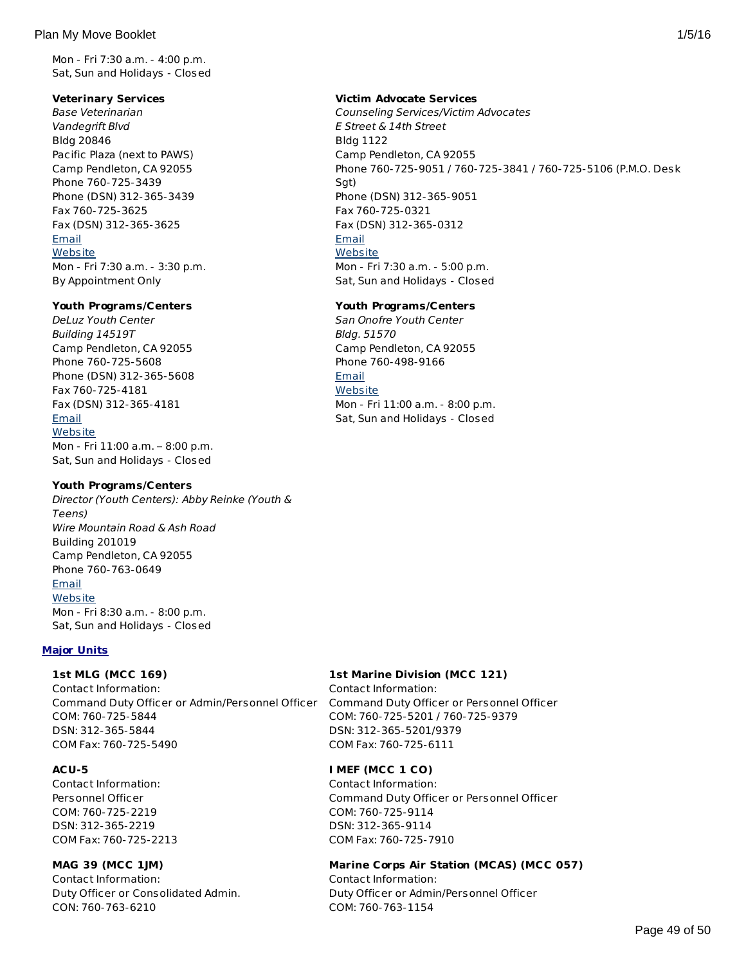Mon - Fri 7:30 a.m. - 4:00 p.m. Sat, Sun and Holidays - Closed

## **Veterinary Services**

Base Veterinarian Vandegrift Blvd Bldg 20846 Pacific Plaza (next to PAWS) Camp Pendleton, CA 92055 Phone 760-725-3439 Phone (DSN) 312-365-3439 Fax 760-725-3625 Fax (DSN) 312-365-3625 [Email](http://apps.militaryonesource.mil/MOS/f?p=AMS:5:0::::P5_APP_NAME,P5_MSG_TYPE,P5_EID:Plan My Move,Base Veterinarian,91466) **[Website](http://www.mccscamppendleton.com/)** Mon - Fri 7:30 a.m. - 3:30 p.m. By Appointment Only

## **Youth Programs/Centers**

DeLuz Youth Center Building 14519T Camp Pendleton, CA 92055 Phone 760-725-5608 Phone (DSN) 312-365-5608 Fax 760-725-4181 Fax (DSN) 312-365-4181 [Email](http://apps.militaryonesource.mil/MOS/f?p=AMS:5:0::::P5_APP_NAME,P5_MSG_TYPE,P5_EID:Plan My Move,DeLuz Youth Center ,1000006984) **[Website](http://www.mccscp.com/familycare)** Mon - Fri 11:00 a.m. – 8:00 p.m. Sat, Sun and Holidays - Closed

# **Youth Programs/Centers**

Director (Youth Centers): Abby Reinke (Youth & Teens) Wire Mountain Road & Ash Road Building 201019 Camp Pendleton, CA 92055 Phone 760-763-0649 [Email](http://apps.militaryonesource.mil/MOS/f?p=AMS:5:0::::P5_APP_NAME,P5_MSG_TYPE,P5_EID:Plan My Move,Director (Youth Centers)  Abby Reinke (Youth   Teens),91553) **[Website](http://www.mccscp.com/familycare)** Mon - Fri 8:30 a.m. - 8:00 p.m. Sat, Sun and Holidays - Closed

# **Major Units**

# **1st MLG (MCC 169)**

Contact Information: Command Duty Officer or Admin/Personnel Officer Command Duty Officer or Personnel Officer COM: 760-725-5844 DSN: 312-365-5844 COM Fax: 760-725-5490

# **ACU-5**

Contact Information: Personnel Officer COM: 760-725-2219 DSN: 312-365-2219 COM Fax: 760-725-2213

# **MAG 39 (MCC 1JM)**

Contact Information: Duty Officer or Consolidated Admin. CON: 760-763-6210

## **Victim Advocate Services**

Counseling Services/Victim Advocates E Street & 14th Street Bldg 1122 Camp Pendleton, CA 92055 Phone 760-725-9051 / 760-725-3841 / 760-725-5106 (P.M.O. Desk Sgt) Phone (DSN) 312-365-9051 Fax 760-725-0321 Fax (DSN) 312-365-0312 [Email](http://apps.militaryonesource.mil/MOS/f?p=AMS:5:0::::P5_APP_NAME,P5_MSG_TYPE,P5_EID:Plan My Move,Counseling Services/Victim Advocates,91501) **[Website](http://www.mccscp.com/counseling-services)** Mon - Fri 7:30 a.m. - 5:00 p.m. Sat, Sun and Holidays - Closed

## **Youth Programs/Centers**

San Onofre Youth Center Bldg. 51570 Camp Pendleton, CA 92055 Phone 760-498-9166 [Email](http://apps.militaryonesource.mil/MOS/f?p=AMS:5:0::::P5_APP_NAME,P5_MSG_TYPE,P5_EID:Plan My Move,San Onofre Youth Center,1000006985) **[Website](http://www.mccscp.com/familycare)** Mon - Fri 11:00 a.m. - 8:00 p.m. Sat, Sun and Holidays - Closed

# **1st Marine Division (MCC 121)**

Contact Information: COM: 760-725-5201 / 760-725-9379 DSN: 312-365-5201/9379 COM Fax: 760-725-6111

# **I MEF (MCC 1 CO)**

Contact Information: Command Duty Officer or Personnel Officer COM: 760-725-9114 DSN: 312-365-9114 COM Fax: 760-725-7910

# **Marine Corps Air Station (MCAS) (MCC 057)**

Contact Information: Duty Officer or Admin/Personnel Officer COM: 760-763-1154